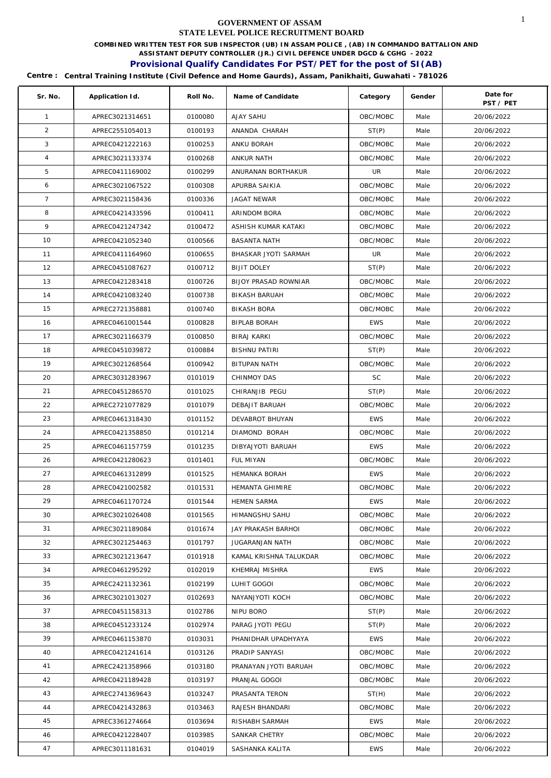**COMBINED WRITTEN TEST FOR SUB INSPECTOR (UB) IN ASSAM POLICE , (AB) IN COMMANDO BATTALION AND** 

**ASSISTANT DEPUTY CONTROLLER (JR.) CIVIL DEFENCE UNDER DGCD & CGHG - 2022** 

# **Provisional Qualify Candidates For PST/PET for the post of SI(AB)**

| Sr. No.         | Application Id. | Roll No. | Name of Candidate           | Category   | Gender | Date for<br>PST / PET |
|-----------------|-----------------|----------|-----------------------------|------------|--------|-----------------------|
| $\mathbf{1}$    | APREC3021314651 | 0100080  | <b>AJAY SAHU</b>            | OBC/MOBC   | Male   | 20/06/2022            |
| 2               | APREC2551054013 | 0100193  | ANANDA CHARAH               | ST(P)      | Male   | 20/06/2022            |
| 3               | APREC0421222163 | 0100253  | ANKU BORAH                  | OBC/MOBC   | Male   | 20/06/2022            |
| $\overline{4}$  | APREC3021133374 | 0100268  | ANKUR NATH                  | OBC/MOBC   | Male   | 20/06/2022            |
| 5               | APREC0411169002 | 0100299  | ANURANAN BORTHAKUR          | UR         | Male   | 20/06/2022            |
| 6               | APREC3021067522 | 0100308  | APURBA SAIKIA               | OBC/MOBC   | Male   | 20/06/2022            |
| $7\overline{ }$ | APREC3021158436 | 0100336  | JAGAT NEWAR                 | OBC/MOBC   | Male   | 20/06/2022            |
| 8               | APREC0421433596 | 0100411  | ARINDOM BORA                | OBC/MOBC   | Male   | 20/06/2022            |
| 9               | APREC0421247342 | 0100472  | ASHISH KUMAR KATAKI         | OBC/MOBC   | Male   | 20/06/2022            |
| 10              | APREC0421052340 | 0100566  | <b>BASANTA NATH</b>         | OBC/MOBC   | Male   | 20/06/2022            |
| 11              | APREC0411164960 | 0100655  | BHASKAR JYOTI SARMAH        | UR         | Male   | 20/06/2022            |
| 12              | APREC0451087627 | 0100712  | <b>BIJIT DOLEY</b>          | ST(P)      | Male   | 20/06/2022            |
| 13              | APREC0421283418 | 0100726  | <b>BIJOY PRASAD ROWNIAR</b> | OBC/MOBC   | Male   | 20/06/2022            |
| 14              | APREC0421083240 | 0100738  | <b>BIKASH BARUAH</b>        | OBC/MOBC   | Male   | 20/06/2022            |
| 15              | APREC2721358881 | 0100740  | <b>BIKASH BORA</b>          | OBC/MOBC   | Male   | 20/06/2022            |
| 16              | APREC0461001544 | 0100828  | <b>BIPLAB BORAH</b>         | <b>EWS</b> | Male   | 20/06/2022            |
| 17              | APREC3021166379 | 0100850  | <b>BIRAJ KARKI</b>          | OBC/MOBC   | Male   | 20/06/2022            |
| 18              | APREC0451039872 | 0100884  | <b>BISHNU PATIRI</b>        | ST(P)      | Male   | 20/06/2022            |
| 19              | APREC3021268564 | 0100942  | BITUPAN NATH                | OBC/MOBC   | Male   | 20/06/2022            |
| 20              | APREC3031283967 | 0101019  | CHINMOY DAS                 | <b>SC</b>  | Male   | 20/06/2022            |
| 21              | APREC0451286570 | 0101025  | CHIRANJIB PEGU              | ST(P)      | Male   | 20/06/2022            |
| 22              | APREC2721077829 | 0101079  | DEBAJIT BARUAH              | OBC/MOBC   | Male   | 20/06/2022            |
| 23              | APREC0461318430 | 0101152  | DEVABROT BHUYAN             | <b>EWS</b> | Male   | 20/06/2022            |
| 24              | APREC0421358850 | 0101214  | DIAMOND BORAH               | OBC/MOBC   | Male   | 20/06/2022            |
| 25              | APREC0461157759 | 0101235  | DIBYAJYOTI BARUAH           | <b>EWS</b> | Male   | 20/06/2022            |
| 26              | APREC0421280623 | 0101401  | FUL MIYAN                   | OBC/MOBC   | Male   | 20/06/2022            |
| 27              | APREC0461312899 | 0101525  | <b>HEMANKA BORAH</b>        | <b>EWS</b> | Male   | 20/06/2022            |
| 28              | APREC0421002582 | 0101531  | <b>HEMANTA GHIMIRE</b>      | OBC/MOBC   | Male   | 20/06/2022            |
| 29              | APREC0461170724 | 0101544  | <b>HEMEN SARMA</b>          | <b>EWS</b> | Male   | 20/06/2022            |
| 30              | APREC3021026408 | 0101565  | HIMANGSHU SAHU              | OBC/MOBC   | Male   | 20/06/2022            |
| 31              | APREC3021189084 | 0101674  | JAY PRAKASH BARHOI          | OBC/MOBC   | Male   | 20/06/2022            |
| 32              | APREC3021254463 | 0101797  | JUGARANJAN NATH             | OBC/MOBC   | Male   | 20/06/2022            |
| 33              | APREC3021213647 | 0101918  | KAMAL KRISHNA TALUKDAR      | OBC/MOBC   | Male   | 20/06/2022            |
| 34              | APREC0461295292 | 0102019  | KHEMRAJ MISHRA              | <b>EWS</b> | Male   | 20/06/2022            |
| 35              | APREC2421132361 | 0102199  | LUHIT GOGOI                 | OBC/MOBC   | Male   | 20/06/2022            |
| 36              | APREC3021013027 | 0102693  | NAYANJYOTI KOCH             | OBC/MOBC   | Male   | 20/06/2022            |
| 37              | APREC0451158313 | 0102786  | NIPU BORO                   | ST(P)      | Male   | 20/06/2022            |
| 38              | APREC0451233124 | 0102974  | PARAG JYOTI PEGU            | ST(P)      | Male   | 20/06/2022            |
| 39              | APREC0461153870 | 0103031  | PHANIDHAR UPADHYAYA         | <b>EWS</b> | Male   | 20/06/2022            |
| 40              | APREC0421241614 | 0103126  | PRADIP SANYASI              | OBC/MOBC   | Male   | 20/06/2022            |
| 41              | APREC2421358966 | 0103180  | PRANAYAN JYOTI BARUAH       | OBC/MOBC   | Male   | 20/06/2022            |
| 42              | APREC0421189428 | 0103197  | PRANJAL GOGOI               | OBC/MOBC   | Male   | 20/06/2022            |
| 43              | APREC2741369643 | 0103247  | PRASANTA TERON              | ST(H)      | Male   | 20/06/2022            |
| 44              | APREC0421432863 | 0103463  | RAJESH BHANDARI             | OBC/MOBC   | Male   | 20/06/2022            |
| 45              | APREC3361274664 | 0103694  | RISHABH SARMAH              | <b>EWS</b> | Male   | 20/06/2022            |
| 46              | APREC0421228407 | 0103985  | SANKAR CHETRY               | OBC/MOBC   | Male   | 20/06/2022            |
| 47              | APREC3011181631 | 0104019  | SASHANKA KALITA             | <b>EWS</b> | Male   | 20/06/2022            |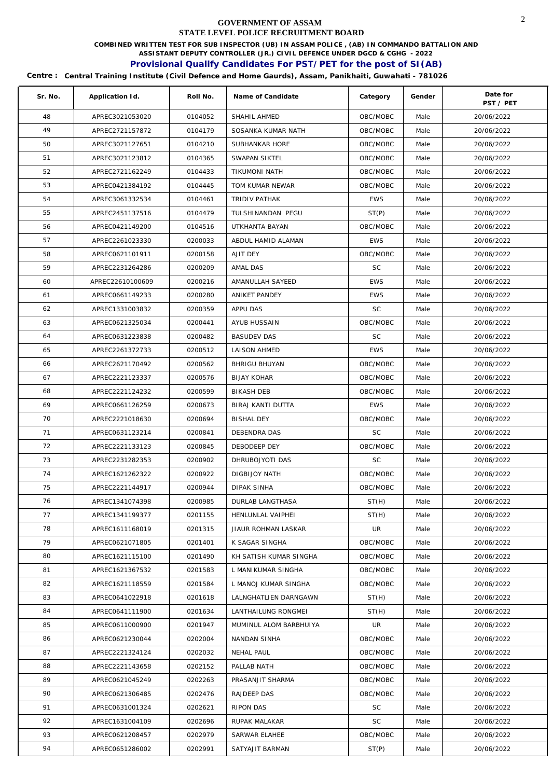**COMBINED WRITTEN TEST FOR SUB INSPECTOR (UB) IN ASSAM POLICE , (AB) IN COMMANDO BATTALION AND** 

**ASSISTANT DEPUTY CONTROLLER (JR.) CIVIL DEFENCE UNDER DGCD & CGHG - 2022** 

# **Provisional Qualify Candidates For PST/PET for the post of SI(AB)**

| Sr. No. | Application Id.  | Roll No. | Name of Candidate      | Category   | Gender | Date for<br>PST / PET |
|---------|------------------|----------|------------------------|------------|--------|-----------------------|
| 48      | APREC3021053020  | 0104052  | SHAHIL AHMED           | OBC/MOBC   | Male   | 20/06/2022            |
| 49      | APREC2721157872  | 0104179  | SOSANKA KUMAR NATH     | OBC/MOBC   | Male   | 20/06/2022            |
| 50      | APREC3021127651  | 0104210  | SUBHANKAR HORE         | OBC/MOBC   | Male   | 20/06/2022            |
| 51      | APREC3021123812  | 0104365  | SWAPAN SIKTEL          | OBC/MOBC   | Male   | 20/06/2022            |
| 52      | APREC2721162249  | 0104433  | TIKUMONI NATH          | OBC/MOBC   | Male   | 20/06/2022            |
| 53      | APREC0421384192  | 0104445  | TOM KUMAR NEWAR        | OBC/MOBC   | Male   | 20/06/2022            |
| 54      | APREC3061332534  | 0104461  | TRIDIV PATHAK          | <b>EWS</b> | Male   | 20/06/2022            |
| 55      | APREC2451137516  | 0104479  | TULSHINANDAN PEGU      | ST(P)      | Male   | 20/06/2022            |
| 56      | APREC0421149200  | 0104516  | UTKHANTA BAYAN         | OBC/MOBC   | Male   | 20/06/2022            |
| 57      | APREC2261023330  | 0200033  | ABDUL HAMID ALAMAN     | <b>EWS</b> | Male   | 20/06/2022            |
| 58      | APREC0621101911  | 0200158  | AJIT DEY               | OBC/MOBC   | Male   | 20/06/2022            |
| 59      | APREC2231264286  | 0200209  | AMAL DAS               | <b>SC</b>  | Male   | 20/06/2022            |
| 60      | APREC22610100609 | 0200216  | AMANULLAH SAYEED       | <b>EWS</b> | Male   | 20/06/2022            |
| 61      | APREC0661149233  | 0200280  | ANIKET PANDEY          | <b>EWS</b> | Male   | 20/06/2022            |
| 62      | APREC1331003832  | 0200359  | APPU DAS               | <b>SC</b>  | Male   | 20/06/2022            |
| 63      | APREC0621325034  | 0200441  | AYUB HUSSAIN           | OBC/MOBC   | Male   | 20/06/2022            |
| 64      | APREC0631223838  | 0200482  | <b>BASUDEV DAS</b>     | <b>SC</b>  | Male   | 20/06/2022            |
| 65      | APREC2261372733  | 0200512  | LAISON AHMED           | <b>EWS</b> | Male   | 20/06/2022            |
| 66      | APREC2621170492  | 0200562  | <b>BHRIGU BHUYAN</b>   | OBC/MOBC   | Male   | 20/06/2022            |
| 67      | APREC2221123337  | 0200576  | BIJAY KOHAR            | OBC/MOBC   | Male   | 20/06/2022            |
| 68      | APREC2221124232  | 0200599  | <b>BIKASH DEB</b>      | OBC/MOBC   | Male   | 20/06/2022            |
| 69      | APREC0661126259  | 0200673  | BIRAJ KANTI DUTTA      | <b>EWS</b> | Male   | 20/06/2022            |
| 70      | APREC2221018630  | 0200694  | <b>BISHAL DEY</b>      | OBC/MOBC   | Male   | 20/06/2022            |
| 71      | APREC0631123214  | 0200841  | DEBENDRA DAS           | <b>SC</b>  | Male   | 20/06/2022            |
| 72      | APREC2221133123  | 0200845  | DEBODEEP DEY           | OBC/MOBC   | Male   | 20/06/2022            |
| 73      | APREC2231282353  | 0200902  | DHRUBOJYOTI DAS        | <b>SC</b>  | Male   | 20/06/2022            |
| 74      | APREC1621262322  | 0200922  | DIGBIJOY NATH          | OBC/MOBC   | Male   | 20/06/2022            |
| 75      | APREC2221144917  | 0200944  | <b>DIPAK SINHA</b>     | OBC/MOBC   | Male   | 20/06/2022            |
| 76      | APREC1341074398  | 0200985  | DURLAB LANGTHASA       | ST(H)      | Male   | 20/06/2022            |
| 77      | APREC1341199377  | 0201155  | HENLUNLAL VAIPHEI      | ST(H)      | Male   | 20/06/2022            |
| 78      | APREC1611168019  | 0201315  | JIAUR ROHMAN LASKAR    | UR         | Male   | 20/06/2022            |
| 79      | APREC0621071805  | 0201401  | K SAGAR SINGHA         | OBC/MOBC   | Male   | 20/06/2022            |
| 80      | APREC1621115100  | 0201490  | KH SATISH KUMAR SINGHA | OBC/MOBC   | Male   | 20/06/2022            |
| 81      | APREC1621367532  | 0201583  | L MANIKUMAR SINGHA     | OBC/MOBC   | Male   | 20/06/2022            |
| 82      | APREC1621118559  | 0201584  | L MANOJ KUMAR SINGHA   | OBC/MOBC   | Male   | 20/06/2022            |
| 83      | APREC0641022918  | 0201618  | LALNGHATLIEN DARNGAWN  | ST(H)      | Male   | 20/06/2022            |
| 84      | APREC0641111900  | 0201634  | LANTHAILUNG RONGMEI    | ST(H)      | Male   | 20/06/2022            |
| 85      | APREC0611000900  | 0201947  | MUMINUL ALOM BARBHUIYA | UR         | Male   | 20/06/2022            |
| 86      | APREC0621230044  | 0202004  | NANDAN SINHA           | OBC/MOBC   | Male   | 20/06/2022            |
| 87      | APREC2221324124  | 0202032  | NEHAL PAUL             | OBC/MOBC   | Male   | 20/06/2022            |
| 88      | APREC2221143658  | 0202152  | PALLAB NATH            | OBC/MOBC   | Male   | 20/06/2022            |
| 89      | APREC0621045249  | 0202263  | PRASANJIT SHARMA       | OBC/MOBC   | Male   | 20/06/2022            |
| 90      | APREC0621306485  | 0202476  | RAJDEEP DAS            | OBC/MOBC   | Male   | 20/06/2022            |
| 91      | APREC0631001324  | 0202621  | RIPON DAS              | <b>SC</b>  | Male   | 20/06/2022            |
| 92      | APREC1631004109  | 0202696  | RUPAK MALAKAR          | <b>SC</b>  | Male   | 20/06/2022            |
| 93      | APREC0621208457  | 0202979  | SARWAR ELAHEE          | OBC/MOBC   | Male   | 20/06/2022            |
| 94      | APREC0651286002  | 0202991  | SATYAJIT BARMAN        | ST(P)      | Male   | 20/06/2022            |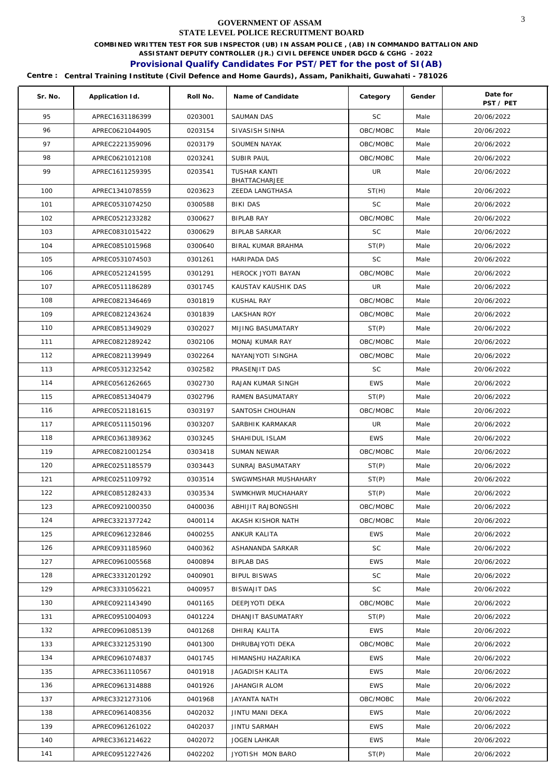**COMBINED WRITTEN TEST FOR SUB INSPECTOR (UB) IN ASSAM POLICE , (AB) IN COMMANDO BATTALION AND** 

**ASSISTANT DEPUTY CONTROLLER (JR.) CIVIL DEFENCE UNDER DGCD & CGHG - 2022** 

# **Provisional Qualify Candidates For PST/PET for the post of SI(AB)**

| Sr. No. | Application Id. | Roll No. | Name of Candidate                    | Category   | Gender | Date for<br>PST / PET |
|---------|-----------------|----------|--------------------------------------|------------|--------|-----------------------|
| 95      | APREC1631186399 | 0203001  | <b>SAUMAN DAS</b>                    | <b>SC</b>  | Male   | 20/06/2022            |
| 96      | APREC0621044905 | 0203154  | SIVASISH SINHA                       | OBC/MOBC   | Male   | 20/06/2022            |
| 97      | APREC2221359096 | 0203179  | SOUMEN NAYAK                         | OBC/MOBC   | Male   | 20/06/2022            |
| 98      | APREC0621012108 | 0203241  | <b>SUBIR PAUL</b>                    | OBC/MOBC   | Male   | 20/06/2022            |
| 99      | APREC1611259395 | 0203541  | <b>TUSHAR KANTI</b><br>BHATTACHARJEE | UR         | Male   | 20/06/2022            |
| 100     | APREC1341078559 | 0203623  | ZEEDA LANGTHASA                      | ST(H)      | Male   | 20/06/2022            |
| 101     | APREC0531074250 | 0300588  | <b>BIKI DAS</b>                      | <b>SC</b>  | Male   | 20/06/2022            |
| 102     | APREC0521233282 | 0300627  | <b>BIPLAB RAY</b>                    | OBC/MOBC   | Male   | 20/06/2022            |
| 103     | APREC0831015422 | 0300629  | <b>BIPLAB SARKAR</b>                 | <b>SC</b>  | Male   | 20/06/2022            |
| 104     | APREC0851015968 | 0300640  | BIRAL KUMAR BRAHMA                   | ST(P)      | Male   | 20/06/2022            |
| 105     | APREC0531074503 | 0301261  | HARIPADA DAS                         | <b>SC</b>  | Male   | 20/06/2022            |
| 106     | APREC0521241595 | 0301291  | HEROCK JYOTI BAYAN                   | OBC/MOBC   | Male   | 20/06/2022            |
| 107     | APREC0511186289 | 0301745  | KAUSTAV KAUSHIK DAS                  | UR         | Male   | 20/06/2022            |
| 108     | APREC0821346469 | 0301819  | <b>KUSHAL RAY</b>                    | OBC/MOBC   | Male   | 20/06/2022            |
| 109     | APREC0821243624 | 0301839  | <b>LAKSHAN ROY</b>                   | OBC/MOBC   | Male   | 20/06/2022            |
| 110     | APREC0851349029 | 0302027  | MIJING BASUMATARY                    | ST(P)      | Male   | 20/06/2022            |
| 111     | APREC0821289242 | 0302106  | <b>MONAJ KUMAR RAY</b>               | OBC/MOBC   | Male   | 20/06/2022            |
| 112     | APREC0821139949 | 0302264  | NAYANJYOTI SINGHA                    | OBC/MOBC   | Male   | 20/06/2022            |
| 113     | APREC0531232542 | 0302582  | PRASENJIT DAS                        | <b>SC</b>  | Male   | 20/06/2022            |
| 114     | APREC0561262665 | 0302730  | RAJAN KUMAR SINGH                    | <b>EWS</b> | Male   | 20/06/2022            |
| 115     | APREC0851340479 | 0302796  | RAMEN BASUMATARY                     | ST(P)      | Male   | 20/06/2022            |
| 116     | APREC0521181615 | 0303197  | SANTOSH CHOUHAN                      | OBC/MOBC   | Male   | 20/06/2022            |
| 117     | APREC0511150196 | 0303207  | SARBHIK KARMAKAR                     | <b>UR</b>  | Male   | 20/06/2022            |
| 118     | APREC0361389362 | 0303245  | SHAHIDUL ISLAM                       | <b>EWS</b> | Male   | 20/06/2022            |
| 119     | APREC0821001254 | 0303418  | <b>SUMAN NEWAR</b>                   | OBC/MOBC   | Male   | 20/06/2022            |
| 120     | APREC0251185579 | 0303443  | SUNRAJ BASUMATARY                    | ST(P)      | Male   | 20/06/2022            |
| 121     | APREC0251109792 | 0303514  | SWGWMSHAR MUSHAHARY                  | ST(P)      | Male   | 20/06/2022            |
| 122     | APREC0851282433 | 0303534  | SWMKHWR MUCHAHARY                    | ST(P)      | Male   | 20/06/2022            |
| 123     | APREC0921000350 | 0400036  | ABHIJIT RAJBONGSHI                   | OBC/MOBC   | Male   | 20/06/2022            |
| 124     | APREC3321377242 | 0400114  | AKASH KISHOR NATH                    | OBC/MOBC   | Male   | 20/06/2022            |
| 125     | APREC0961232846 | 0400255  | ANKUR KALITA                         | <b>EWS</b> | Male   | 20/06/2022            |
| 126     | APREC0931185960 | 0400362  | ASHANANDA SARKAR                     | SC         | Male   | 20/06/2022            |
| 127     | APREC0961005568 | 0400894  | <b>BIPLAB DAS</b>                    | <b>EWS</b> | Male   | 20/06/2022            |
| 128     | APREC3331201292 | 0400901  | <b>BIPUL BISWAS</b>                  | SC         | Male   | 20/06/2022            |
| 129     | APREC3331056221 | 0400957  | <b>BISWAJIT DAS</b>                  | <b>SC</b>  | Male   | 20/06/2022            |
| 130     | APREC0921143490 | 0401165  | DEEPJYOTI DEKA                       | OBC/MOBC   | Male   | 20/06/2022            |
| 131     | APREC0951004093 | 0401224  | DHANJIT BASUMATARY                   | ST(P)      | Male   | 20/06/2022            |
| 132     | APREC0961085139 | 0401268  | DHIRAJ KALITA                        | <b>EWS</b> | Male   | 20/06/2022            |
| 133     | APREC3321253190 | 0401300  | DHRUBAJYOTI DEKA                     | OBC/MOBC   | Male   | 20/06/2022            |
| 134     | APREC0961074837 | 0401745  | HIMANSHU HAZARIKA                    | <b>EWS</b> | Male   | 20/06/2022            |
| 135     | APREC3361110567 | 0401918  | JAGADISH KALITA                      | <b>EWS</b> | Male   | 20/06/2022            |
| 136     | APREC0961314888 | 0401926  | JAHANGIR ALOM                        | EWS        | Male   | 20/06/2022            |
| 137     | APREC3321273106 | 0401968  | JAYANTA NATH                         | OBC/MOBC   | Male   | 20/06/2022            |
| 138     | APREC0961408356 | 0402032  | JINTU MANI DEKA                      | <b>EWS</b> | Male   | 20/06/2022            |
| 139     | APREC0961261022 | 0402037  | <b>JINTU SARMAH</b>                  | <b>EWS</b> | Male   | 20/06/2022            |
| 140     | APREC3361214622 | 0402072  | <b>JOGEN LAHKAR</b>                  | <b>EWS</b> | Male   | 20/06/2022            |
| 141     | APREC0951227426 | 0402202  | JYOTISH MON BARO                     | ST(P)      | Male   | 20/06/2022            |
|         |                 |          |                                      |            |        |                       |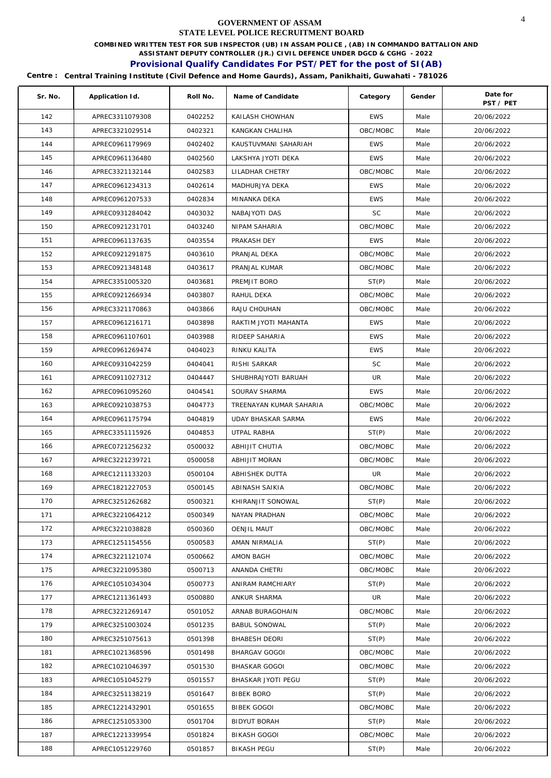**COMBINED WRITTEN TEST FOR SUB INSPECTOR (UB) IN ASSAM POLICE , (AB) IN COMMANDO BATTALION AND** 

**ASSISTANT DEPUTY CONTROLLER (JR.) CIVIL DEFENCE UNDER DGCD & CGHG - 2022** 

# **Provisional Qualify Candidates For PST/PET for the post of SI(AB)**

| Sr. No. | Application Id. | Roll No. | Name of Candidate       | Category   | Gender | Date for<br>PST / PET |
|---------|-----------------|----------|-------------------------|------------|--------|-----------------------|
| 142     | APREC3311079308 | 0402252  | KAILASH CHOWHAN         | <b>EWS</b> | Male   | 20/06/2022            |
| 143     | APREC3321029514 | 0402321  | KANGKAN CHALIHA         | OBC/MOBC   | Male   | 20/06/2022            |
| 144     | APREC0961179969 | 0402402  | KAUSTUVMANI SAHARIAH    | <b>EWS</b> | Male   | 20/06/2022            |
| 145     | APREC0961136480 | 0402560  | LAKSHYA JYOTI DEKA      | <b>EWS</b> | Male   | 20/06/2022            |
| 146     | APREC3321132144 | 0402583  | LILADHAR CHETRY         | OBC/MOBC   | Male   | 20/06/2022            |
| 147     | APREC0961234313 | 0402614  | MADHURJYA DEKA          | <b>EWS</b> | Male   | 20/06/2022            |
| 148     | APREC0961207533 | 0402834  | MINANKA DEKA            | <b>EWS</b> | Male   | 20/06/2022            |
| 149     | APREC0931284042 | 0403032  | NABAJYOTI DAS           | <b>SC</b>  | Male   | 20/06/2022            |
| 150     | APREC0921231701 | 0403240  | NIPAM SAHARIA           | OBC/MOBC   | Male   | 20/06/2022            |
| 151     | APREC0961137635 | 0403554  | PRAKASH DEY             | <b>EWS</b> | Male   | 20/06/2022            |
| 152     | APREC0921291875 | 0403610  | PRANJAL DEKA            | OBC/MOBC   | Male   | 20/06/2022            |
| 153     | APREC0921348148 | 0403617  | PRANJAL KUMAR           | OBC/MOBC   | Male   | 20/06/2022            |
| 154     | APREC3351005320 | 0403681  | PREMJIT BORO            | ST(P)      | Male   | 20/06/2022            |
| 155     | APREC0921266934 | 0403807  | RAHUL DEKA              | OBC/MOBC   | Male   | 20/06/2022            |
| 156     | APREC3321170863 | 0403866  | RAJU CHOUHAN            | OBC/MOBC   | Male   | 20/06/2022            |
| 157     | APREC0961216171 | 0403898  | RAKTIM JYOTI MAHANTA    | <b>EWS</b> | Male   | 20/06/2022            |
| 158     | APREC0961107601 | 0403988  | RIDEEP SAHARIA          | <b>EWS</b> | Male   | 20/06/2022            |
| 159     | APREC0961269474 | 0404023  | RINKU KALITA            | <b>EWS</b> | Male   | 20/06/2022            |
| 160     | APREC0931042259 | 0404041  | RISHI SARKAR            | <b>SC</b>  | Male   | 20/06/2022            |
| 161     | APREC0911027312 | 0404447  | SHUBHRAJYOTI BARUAH     | UR         | Male   | 20/06/2022            |
| 162     | APREC0961095260 | 0404541  | SOURAV SHARMA           | <b>EWS</b> | Male   | 20/06/2022            |
| 163     | APREC0921038753 | 0404773  | TREENAYAN KUMAR SAHARIA | OBC/MOBC   | Male   | 20/06/2022            |
| 164     | APREC0961175794 | 0404819  | UDAY BHASKAR SARMA      | <b>EWS</b> | Male   | 20/06/2022            |
| 165     | APREC3351115926 | 0404853  | UTPAL RABHA             | ST(P)      | Male   | 20/06/2022            |
| 166     | APREC0721256232 | 0500032  | ABHIJIT CHUTIA          | OBC/MOBC   | Male   | 20/06/2022            |
| 167     | APREC3221239721 | 0500058  | ABHIJIT MORAN           | OBC/MOBC   | Male   | 20/06/2022            |
| 168     | APREC1211133203 | 0500104  | ABHISHEK DUTTA          | UR         | Male   | 20/06/2022            |
| 169     | APREC1821227053 | 0500145  | ABINASH SAIKIA          | OBC/MOBC   | Male   | 20/06/2022            |
| 170     | APREC3251262682 | 0500321  | KHIRANJIT SONOWAL       | ST(P)      | Male   | 20/06/2022            |
| 171     | APREC3221064212 | 0500349  | NAYAN PRADHAN           | OBC/MOBC   | Male   | 20/06/2022            |
| 172     | APREC3221038828 | 0500360  | <b>OENJIL MAUT</b>      | OBC/MOBC   | Male   | 20/06/2022            |
| 173     | APREC1251154556 | 0500583  | AMAN NIRMALIA           | ST(P)      | Male   | 20/06/2022            |
| 174     | APREC3221121074 | 0500662  | AMON BAGH               | OBC/MOBC   | Male   | 20/06/2022            |
| 175     | APREC3221095380 | 0500713  | ANANDA CHETRI           | OBC/MOBC   | Male   | 20/06/2022            |
| 176     | APREC1051034304 | 0500773  | ANIRAM RAMCHIARY        | ST(P)      | Male   | 20/06/2022            |
| 177     | APREC1211361493 | 0500880  | ANKUR SHARMA            | UR         | Male   | 20/06/2022            |
| 178     | APREC3221269147 | 0501052  | ARNAB BURAGOHAIN        | OBC/MOBC   | Male   | 20/06/2022            |
| 179     | APREC3251003024 | 0501235  | <b>BABUL SONOWAL</b>    | ST(P)      | Male   | 20/06/2022            |
| 180     | APREC3251075613 | 0501398  | <b>BHABESH DEORI</b>    | ST(P)      | Male   | 20/06/2022            |
| 181     | APREC1021368596 | 0501498  | BHARGAV GOGOI           | OBC/MOBC   | Male   | 20/06/2022            |
| 182     | APREC1021046397 | 0501530  | <b>BHASKAR GOGOI</b>    | OBC/MOBC   | Male   | 20/06/2022            |
| 183     | APREC1051045279 | 0501557  | BHASKAR JYOTI PEGU      | ST(P)      | Male   | 20/06/2022            |
| 184     | APREC3251138219 | 0501647  | <b>BIBEK BORO</b>       | ST(P)      | Male   | 20/06/2022            |
| 185     | APREC1221432901 | 0501655  | <b>BIBEK GOGOI</b>      | OBC/MOBC   | Male   | 20/06/2022            |
| 186     | APREC1251053300 | 0501704  | <b>BIDYUT BORAH</b>     | ST(P)      | Male   | 20/06/2022            |
| 187     | APREC1221339954 | 0501824  | <b>BIKASH GOGOI</b>     | OBC/MOBC   | Male   | 20/06/2022            |
| 188     | APREC1051229760 | 0501857  | <b>BIKASH PEGU</b>      | ST(P)      | Male   | 20/06/2022            |
|         |                 |          |                         |            |        |                       |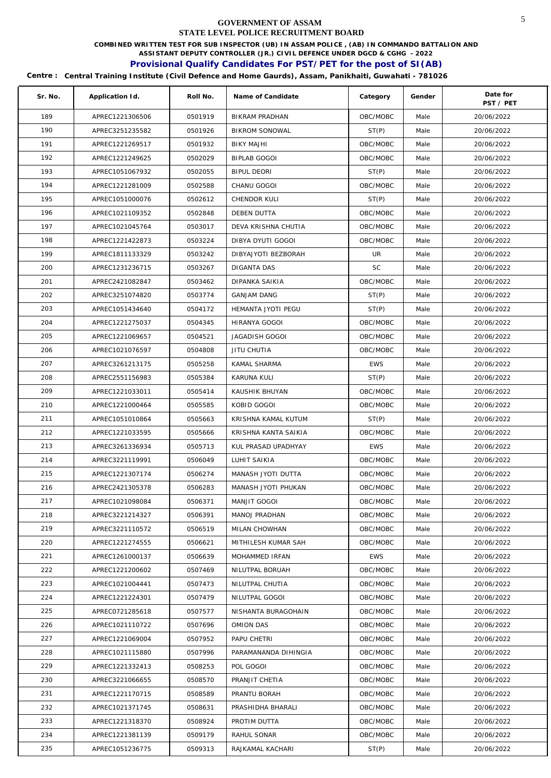**COMBINED WRITTEN TEST FOR SUB INSPECTOR (UB) IN ASSAM POLICE , (AB) IN COMMANDO BATTALION AND** 

**ASSISTANT DEPUTY CONTROLLER (JR.) CIVIL DEFENCE UNDER DGCD & CGHG - 2022** 

# **Provisional Qualify Candidates For PST/PET for the post of SI(AB)**

| Sr. No.    | Application Id.                    | Roll No.           | Name of Candidate                        | Category       | Gender       | Date for                |
|------------|------------------------------------|--------------------|------------------------------------------|----------------|--------------|-------------------------|
| 189        | APREC1221306506                    | 0501919            | <b>BIKRAM PRADHAN</b>                    | OBC/MOBC       | Male         | PST / PET<br>20/06/2022 |
| 190        | APREC3251235582                    | 0501926            | <b>BIKROM SONOWAL</b>                    | ST(P)          | Male         | 20/06/2022              |
| 191        | APREC1221269517                    | 0501932            | <b>BIKY MAJHI</b>                        | OBC/MOBC       | Male         | 20/06/2022              |
| 192        | APREC1221249625                    | 0502029            | BIPLAB GOGOI                             | OBC/MOBC       | Male         | 20/06/2022              |
| 193        | APREC1051067932                    | 0502055            | <b>BIPUL DEORI</b>                       | ST(P)          | Male         | 20/06/2022              |
| 194        | APREC1221281009                    | 0502588            | CHANU GOGOI                              | OBC/MOBC       | Male         |                         |
| 195        |                                    |                    |                                          |                |              | 20/06/2022              |
| 196        | APREC1051000076                    | 0502612            | CHENDOR KULI                             | ST(P)          | Male         | 20/06/2022              |
| 197        | APREC1021109352                    | 0502848            | <b>DEBEN DUTTA</b>                       | OBC/MOBC       | Male         | 20/06/2022              |
| 198        | APREC1021045764                    | 0503017            | DEVA KRISHNA CHUTIA                      | OBC/MOBC       | Male         | 20/06/2022              |
| 199        | APREC1221422873<br>APREC1811133329 | 0503224<br>0503242 | DIBYA DYUTI GOGOI<br>DIBYAJYOTI BEZBORAH | OBC/MOBC<br>UR | Male<br>Male | 20/06/2022              |
| 200        |                                    | 0503267            | DIGANTA DAS                              | <b>SC</b>      |              | 20/06/2022              |
|            | APREC1231236715                    |                    |                                          |                | Male         | 20/06/2022              |
| 201        | APREC2421082847                    | 0503462            | DIPANKA SAIKIA                           | OBC/MOBC       | Male         | 20/06/2022              |
| 202<br>203 | APREC3251074820                    | 0503774            | <b>GANJAM DANG</b>                       | ST(P)          | Male         | 20/06/2022              |
|            | APREC1051434640                    | 0504172            | HEMANTA JYOTI PEGU                       | ST(P)          | Male         | 20/06/2022              |
| 204        | APREC1221275037                    | 0504345            | HIRANYA GOGOI                            | OBC/MOBC       | Male         | 20/06/2022              |
| 205        | APREC1221069657                    | 0504521            | <b>JAGADISH GOGOI</b>                    | OBC/MOBC       | Male         | 20/06/2022              |
| 206        | APREC1021076597                    | 0504808            | JITU CHUTIA                              | OBC/MOBC       | Male         | 20/06/2022              |
| 207        | APREC3261213175                    | 0505258            | KAMAL SHARMA                             | <b>EWS</b>     | Male         | 20/06/2022              |
| 208        | APREC2551156983                    | 0505384            | KARUNA KULI                              | ST(P)          | Male         | 20/06/2022              |
| 209        | APREC1221033011                    | 0505414            | KAUSHIK BHUYAN                           | OBC/MOBC       | Male         | 20/06/2022              |
| 210        | APREC1221000464                    | 0505585            | KOBID GOGOI                              | OBC/MOBC       | Male         | 20/06/2022              |
| 211        | APREC1051010864                    | 0505663            | KRISHNA KAMAL KUTUM                      | ST(P)          | Male         | 20/06/2022              |
| 212        | APREC1221033595                    | 0505666            | KRISHNA KANTA SAIKIA                     | OBC/MOBC       | Male         | 20/06/2022              |
| 213        | APREC3261336934                    | 0505713            | KUL PRASAD UPADHYAY                      | <b>EWS</b>     | Male         | 20/06/2022              |
| 214        | APREC3221119991                    | 0506049            | LUHIT SAIKIA                             | OBC/MOBC       | Male         | 20/06/2022              |
| 215        | APREC1221307174                    | 0506274            | MANASH JYOTI DUTTA                       | OBC/MOBC       | Male         | 20/06/2022              |
| 216        | APREC2421305378                    | 0506283            | MANASH JYOTI PHUKAN                      | OBC/MOBC       | Male         | 20/06/2022              |
| 217        | APREC1021098084                    | 0506371            | MANJIT GOGOI                             | OBC/MOBC       | Male         | 20/06/2022              |
| 218        | APREC3221214327                    | 0506391            | <b>MANOJ PRADHAN</b>                     | OBC/MOBC       | Male         | 20/06/2022              |
| 219        | APREC3221110572                    | 0506519            | MILAN CHOWHAN                            | OBC/MOBC       | Male         | 20/06/2022              |
| 220        | APREC1221274555                    | 0506621            | MITHILESH KUMAR SAH                      | OBC/MOBC       | Male         | 20/06/2022              |
| 221        | APREC1261000137                    | 0506639            | MOHAMMED IRFAN                           | <b>EWS</b>     | Male         | 20/06/2022              |
| 222        | APREC1221200602                    | 0507469            | NILUTPAL BORUAH                          | OBC/MOBC       | Male         | 20/06/2022              |
| 223        | APREC1021004441                    | 0507473            | NILUTPAL CHUTIA                          | OBC/MOBC       | Male         | 20/06/2022              |
| 224        | APREC1221224301                    | 0507479            | NILUTPAL GOGOI                           | OBC/MOBC       | Male         | 20/06/2022              |
| 225        | APREC0721285618                    | 0507577            | NISHANTA BURAGOHAIN                      | OBC/MOBC       | Male         | 20/06/2022              |
| 226        | APREC1021110722                    | 0507696            | OMION DAS                                | OBC/MOBC       | Male         | 20/06/2022              |
| 227        | APREC1221069004                    | 0507952            | PAPU CHETRI                              | OBC/MOBC       | Male         | 20/06/2022              |
| 228        | APREC1021115880                    | 0507996            | PARAMANANDA DIHINGIA                     | OBC/MOBC       | Male         | 20/06/2022              |
| 229        | APREC1221332413                    | 0508253            | POL GOGOI                                | OBC/MOBC       | Male         | 20/06/2022              |
| 230        | APREC3221066655                    | 0508570            | PRANJIT CHETIA                           | OBC/MOBC       | Male         | 20/06/2022              |
| 231        | APREC1221170715                    | 0508589            | PRANTU BORAH                             | OBC/MOBC       | Male         | 20/06/2022              |
| 232        | APREC1021371745                    | 0508631            | PRASHIDHA BHARALI                        | OBC/MOBC       | Male         | 20/06/2022              |
| 233        | APREC1221318370                    | 0508924            | PROTIM DUTTA                             | OBC/MOBC       | Male         | 20/06/2022              |
| 234        | APREC1221381139                    | 0509179            | RAHUL SONAR                              | OBC/MOBC       | Male         | 20/06/2022              |
| 235        | APREC1051236775                    | 0509313            | RAJKAMAL KACHARI                         | ST(P)          | Male         | 20/06/2022              |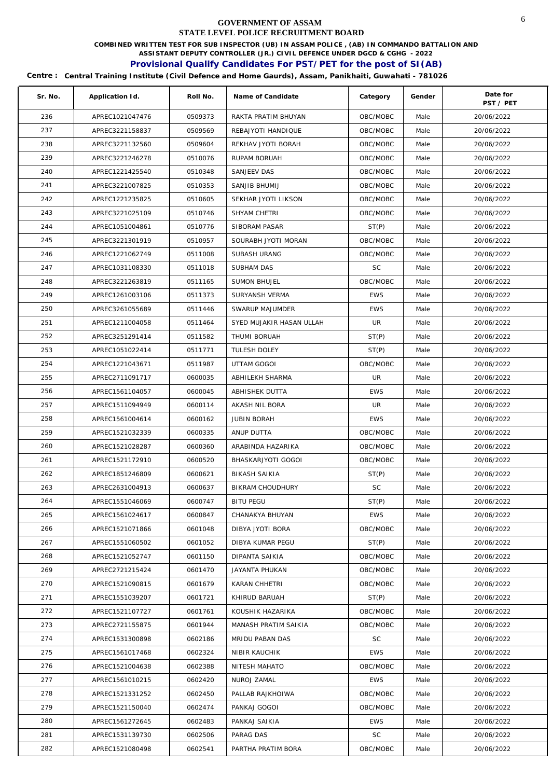**COMBINED WRITTEN TEST FOR SUB INSPECTOR (UB) IN ASSAM POLICE , (AB) IN COMMANDO BATTALION AND** 

**ASSISTANT DEPUTY CONTROLLER (JR.) CIVIL DEFENCE UNDER DGCD & CGHG - 2022** 

# **Provisional Qualify Candidates For PST/PET for the post of SI(AB)**

| Sr. No. | Application Id. | Roll No. | Name of Candidate        | Category   | Gender | Date for<br>PST / PET |
|---------|-----------------|----------|--------------------------|------------|--------|-----------------------|
| 236     | APREC1021047476 | 0509373  | RAKTA PRATIM BHUYAN      | OBC/MOBC   | Male   | 20/06/2022            |
| 237     | APREC3221158837 | 0509569  | REBAJYOTI HANDIQUE       | OBC/MOBC   | Male   | 20/06/2022            |
| 238     | APREC3221132560 | 0509604  | REKHAV JYOTI BORAH       | OBC/MOBC   | Male   | 20/06/2022            |
| 239     | APREC3221246278 | 0510076  | RUPAM BORUAH             | OBC/MOBC   | Male   | 20/06/2022            |
| 240     | APREC1221425540 | 0510348  | <b>SANJEEV DAS</b>       | OBC/MOBC   | Male   | 20/06/2022            |
| 241     | APREC3221007825 | 0510353  | SANJIB BHUMIJ            | OBC/MOBC   | Male   | 20/06/2022            |
| 242     | APREC1221235825 | 0510605  | SEKHAR JYOTI LIKSON      | OBC/MOBC   | Male   | 20/06/2022            |
| 243     | APREC3221025109 | 0510746  | SHYAM CHETRI             | OBC/MOBC   | Male   | 20/06/2022            |
| 244     | APREC1051004861 | 0510776  | SIBORAM PASAR            | ST(P)      | Male   | 20/06/2022            |
| 245     | APREC3221301919 | 0510957  | SOURABH JYOTI MORAN      | OBC/MOBC   | Male   | 20/06/2022            |
| 246     | APREC1221062749 | 0511008  | SUBASH URANG             | OBC/MOBC   | Male   | 20/06/2022            |
| 247     | APREC1031108330 | 0511018  | SUBHAM DAS               | <b>SC</b>  | Male   | 20/06/2022            |
| 248     | APREC3221263819 | 0511165  | <b>SUMON BHUJEL</b>      | OBC/MOBC   | Male   | 20/06/2022            |
| 249     | APREC1261003106 | 0511373  | SURYANSH VERMA           | <b>EWS</b> | Male   | 20/06/2022            |
| 250     | APREC3261055689 | 0511446  | SWARUP MAJUMDER          | <b>EWS</b> | Male   | 20/06/2022            |
| 251     | APREC1211004058 | 0511464  | SYED MUJAKIR HASAN ULLAH | UR         | Male   | 20/06/2022            |
| 252     | APREC3251291414 | 0511582  | THUMI BORUAH             | ST(P)      | Male   | 20/06/2022            |
|         |                 |          |                          |            |        |                       |
| 253     | APREC1051022414 | 0511771  | TULESH DOLEY             | ST(P)      | Male   | 20/06/2022            |
| 254     | APREC1221043671 | 0511987  | UTTAM GOGOI              | OBC/MOBC   | Male   | 20/06/2022            |
| 255     | APREC2711091717 | 0600035  | ABHILEKH SHARMA          | UR         | Male   | 20/06/2022            |
| 256     | APREC1561104057 | 0600045  | ABHISHEK DUTTA           | <b>EWS</b> | Male   | 20/06/2022            |
| 257     | APREC1511094949 | 0600114  | AKASH NIL BORA           | UR         | Male   | 20/06/2022            |
| 258     | APREC1561004614 | 0600162  | <b>JUBIN BORAH</b>       | <b>EWS</b> | Male   | 20/06/2022            |
| 259     | APREC1521032339 | 0600335  | ANUP DUTTA               | OBC/MOBC   | Male   | 20/06/2022            |
| 260     | APREC1521028287 | 0600360  | ARABINDA HAZARIKA        | OBC/MOBC   | Male   | 20/06/2022            |
| 261     | APREC1521172910 | 0600520  | BHASKARJYOTI GOGOI       | OBC/MOBC   | Male   | 20/06/2022            |
| 262     | APREC1851246809 | 0600621  | <b>BIKASH SAIKIA</b>     | ST(P)      | Male   | 20/06/2022            |
| 263     | APREC2631004913 | 0600637  | BIKRAM CHOUDHURY         | SC         | Male   | 20/06/2022            |
| 264     | APREC1551046069 | 0600747  | <b>BITU PEGU</b>         | ST(P)      | Male   | 20/06/2022            |
| 265     | APREC1561024617 | 0600847  | CHANAKYA BHUYAN          | EWS        | Male   | 20/06/2022            |
| 266     | APREC1521071866 | 0601048  | DIBYA JYOTI BORA         | OBC/MOBC   | Male   | 20/06/2022            |
| 267     | APREC1551060502 | 0601052  | DIBYA KUMAR PEGU         | ST(P)      | Male   | 20/06/2022            |
| 268     | APREC1521052747 | 0601150  | DIPANTA SAIKIA           | OBC/MOBC   | Male   | 20/06/2022            |
| 269     | APREC2721215424 | 0601470  | JAYANTA PHUKAN           | OBC/MOBC   | Male   | 20/06/2022            |
| 270     | APREC1521090815 | 0601679  | KARAN CHHETRI            | OBC/MOBC   | Male   | 20/06/2022            |
| 271     | APREC1551039207 | 0601721  | KHIRUD BARUAH            | ST(P)      | Male   | 20/06/2022            |
| 272     | APREC1521107727 | 0601761  | KOUSHIK HAZARIKA         | OBC/MOBC   | Male   | 20/06/2022            |
| 273     | APREC2721155875 | 0601944  | MANASH PRATIM SAIKIA     | OBC/MOBC   | Male   | 20/06/2022            |
| 274     | APREC1531300898 | 0602186  | MRIDU PABAN DAS          | SC         | Male   | 20/06/2022            |
| 275     | APREC1561017468 | 0602324  | NIBIR KAUCHIK            | <b>EWS</b> | Male   | 20/06/2022            |
| 276     | APREC1521004638 | 0602388  | NITESH MAHATO            | OBC/MOBC   | Male   | 20/06/2022            |
| 277     | APREC1561010215 | 0602420  | NUROJ ZAMAL              | <b>EWS</b> | Male   | 20/06/2022            |
| 278     | APREC1521331252 | 0602450  | PALLAB RAJKHOIWA         | OBC/MOBC   | Male   | 20/06/2022            |
| 279     | APREC1521150040 | 0602474  | PANKAJ GOGOI             | OBC/MOBC   | Male   | 20/06/2022            |
| 280     | APREC1561272645 | 0602483  | PANKAJ SAIKIA            | <b>EWS</b> | Male   | 20/06/2022            |
| 281     | APREC1531139730 | 0602506  | PARAG DAS                | SC         | Male   | 20/06/2022            |
| 282     | APREC1521080498 | 0602541  | PARTHA PRATIM BORA       | OBC/MOBC   | Male   | 20/06/2022            |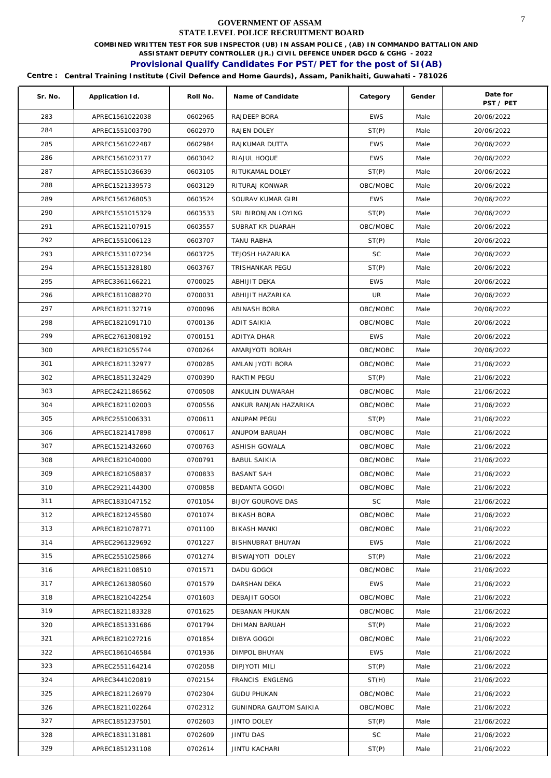**COMBINED WRITTEN TEST FOR SUB INSPECTOR (UB) IN ASSAM POLICE , (AB) IN COMMANDO BATTALION AND** 

**ASSISTANT DEPUTY CONTROLLER (JR.) CIVIL DEFENCE UNDER DGCD & CGHG - 2022** 

# **Provisional Qualify Candidates For PST/PET for the post of SI(AB)**

| Sr. No. | Application Id. | Roll No. | Name of Candidate             | Category   | Gender | Date for<br>PST / PET |
|---------|-----------------|----------|-------------------------------|------------|--------|-----------------------|
| 283     | APREC1561022038 | 0602965  | RAJDEEP BORA                  | <b>EWS</b> | Male   | 20/06/2022            |
| 284     | APREC1551003790 | 0602970  | RAJEN DOLEY                   | ST(P)      | Male   | 20/06/2022            |
| 285     | APREC1561022487 | 0602984  | RAJKUMAR DUTTA                | <b>EWS</b> | Male   | 20/06/2022            |
| 286     | APREC1561023177 | 0603042  | RIAJUL HOQUE                  | <b>EWS</b> | Male   | 20/06/2022            |
| 287     | APREC1551036639 | 0603105  | RITUKAMAL DOLEY               | ST(P)      | Male   | 20/06/2022            |
| 288     | APREC1521339573 | 0603129  | RITURAJ KONWAR                | OBC/MOBC   | Male   | 20/06/2022            |
| 289     | APREC1561268053 | 0603524  | SOURAV KUMAR GIRI             | <b>EWS</b> | Male   | 20/06/2022            |
| 290     | APREC1551015329 | 0603533  | SRI BIRONJAN LOYING           | ST(P)      | Male   | 20/06/2022            |
| 291     | APREC1521107915 | 0603557  | SUBRAT KR DUARAH              | OBC/MOBC   | Male   | 20/06/2022            |
| 292     | APREC1551006123 | 0603707  | TANU RABHA                    | ST(P)      | Male   | 20/06/2022            |
| 293     | APREC1531107234 | 0603725  | TEJOSH HAZARIKA               | SC         | Male   | 20/06/2022            |
| 294     | APREC1551328180 | 0603767  | TRISHANKAR PEGU               | ST(P)      | Male   | 20/06/2022            |
| 295     | APREC3361166221 | 0700025  | ABHIJIT DEKA                  | <b>EWS</b> | Male   | 20/06/2022            |
| 296     | APREC1811088270 | 0700031  | ABHIJIT HAZARIKA              | UR         | Male   | 20/06/2022            |
| 297     | APREC1821132719 | 0700096  | ABINASH BORA                  | OBC/MOBC   | Male   | 20/06/2022            |
| 298     | APREC1821091710 | 0700136  | <b>ADIT SAIKIA</b>            | OBC/MOBC   | Male   | 20/06/2022            |
| 299     | APREC2761308192 | 0700151  | ADITYA DHAR                   | <b>EWS</b> | Male   | 20/06/2022            |
| 300     | APREC1821055744 | 0700264  | AMARJYOTI BORAH               | OBC/MOBC   | Male   | 20/06/2022            |
| 301     | APREC1821132977 | 0700285  | AMLAN JYOTI BORA              | OBC/MOBC   | Male   | 21/06/2022            |
| 302     | APREC1851132429 | 0700390  | RAKTIM PEGU                   | ST(P)      | Male   | 21/06/2022            |
| 303     | APREC2421186562 | 0700508  | ANKULIN DUWARAH               | OBC/MOBC   | Male   | 21/06/2022            |
| 304     | APREC1821102003 | 0700556  | ANKUR RANJAN HAZARIKA         | OBC/MOBC   | Male   | 21/06/2022            |
| 305     | APREC2551006331 | 0700611  | ANUPAM PEGU                   | ST(P)      | Male   | 21/06/2022            |
| 306     | APREC1821417898 | 0700617  | ANUPOM BARUAH                 | OBC/MOBC   | Male   | 21/06/2022            |
| 307     | APREC1521432660 | 0700763  | ASHISH GOWALA                 | OBC/MOBC   | Male   | 21/06/2022            |
| 308     | APREC1821040000 | 0700791  | <b>BABUL SAIKIA</b>           | OBC/MOBC   | Male   | 21/06/2022            |
| 309     | APREC1821058837 | 0700833  | <b>BASANT SAH</b>             | OBC/MOBC   | Male   | 21/06/2022            |
| 310     | APREC2921144300 | 0700858  | BEDANTA GOGOI                 | OBC/MOBC   | Male   | 21/06/2022            |
| 311     | APREC1831047152 | 0701054  | <b>BIJOY GOUROVE DAS</b>      | <b>SC</b>  | Male   | 21/06/2022            |
| 312     | APREC1821245580 | 0701074  | BIKASH BORA                   | OBC/MOBC   | Male   | 21/06/2022            |
| 313     | APREC1821078771 | 0701100  | <b>BIKASH MANKI</b>           | OBC/MOBC   | Male   | 21/06/2022            |
| 314     | APREC2961329692 | 0701227  | BISHNUBRAT BHUYAN             | EWS        | Male   | 21/06/2022            |
| 315     | APREC2551025866 | 0701274  | BISWAJYOTI DOLEY              | ST(P)      | Male   | 21/06/2022            |
| 316     | APREC1821108510 | 0701571  | DADU GOGOI                    | OBC/MOBC   | Male   | 21/06/2022            |
| 317     | APREC1261380560 | 0701579  | DARSHAN DEKA                  | <b>EWS</b> | Male   | 21/06/2022            |
| 318     | APREC1821042254 | 0701603  | DEBAJIT GOGOI                 | OBC/MOBC   | Male   | 21/06/2022            |
| 319     | APREC1821183328 | 0701625  | <b>DEBANAN PHUKAN</b>         | OBC/MOBC   | Male   | 21/06/2022            |
| 320     | APREC1851331686 | 0701794  | DHIMAN BARUAH                 | ST(P)      | Male   | 21/06/2022            |
| 321     | APREC1821027216 | 0701854  | DIBYA GOGOI                   | OBC/MOBC   | Male   | 21/06/2022            |
| 322     | APREC1861046584 | 0701936  | DIMPOL BHUYAN                 | <b>EWS</b> | Male   | 21/06/2022            |
| 323     | APREC2551164214 | 0702058  | DIPJYOTI MILI                 | ST(P)      | Male   | 21/06/2022            |
| 324     | APREC3441020819 | 0702154  | FRANCIS ENGLENG               | ST(H)      | Male   | 21/06/2022            |
| 325     | APREC1821126979 | 0702304  | <b>GUDU PHUKAN</b>            | OBC/MOBC   | Male   | 21/06/2022            |
| 326     | APREC1821102264 | 0702312  | <b>GUNINDRA GAUTOM SAIKIA</b> | OBC/MOBC   | Male   | 21/06/2022            |
| 327     | APREC1851237501 | 0702603  | JINTO DOLEY                   | ST(P)      | Male   | 21/06/2022            |
| 328     | APREC1831131881 | 0702609  | <b>JINTU DAS</b>              | SC         | Male   | 21/06/2022            |
| 329     | APREC1851231108 | 0702614  | JINTU KACHARI                 | ST(P)      | Male   | 21/06/2022            |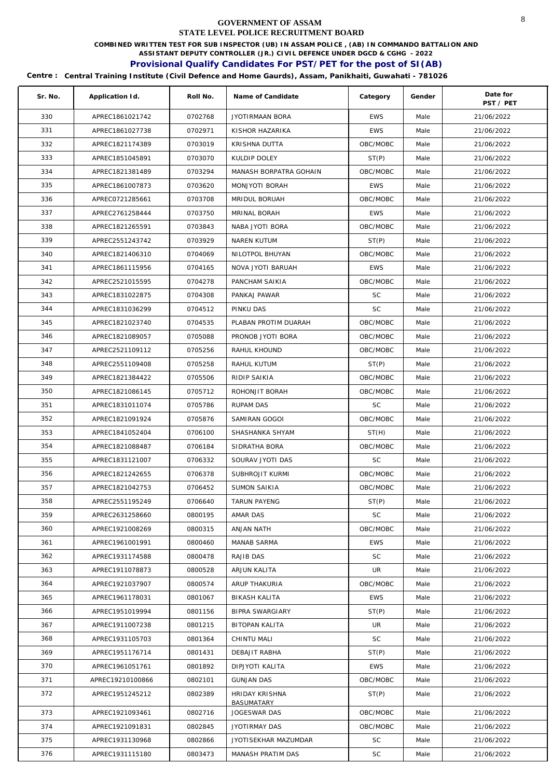**COMBINED WRITTEN TEST FOR SUB INSPECTOR (UB) IN ASSAM POLICE , (AB) IN COMMANDO BATTALION AND** 

**ASSISTANT DEPUTY CONTROLLER (JR.) CIVIL DEFENCE UNDER DGCD & CGHG - 2022** 

# **Provisional Qualify Candidates For PST/PET for the post of SI(AB)**

| Sr. No. | Application Id.  | Roll No. | Name of Candidate                          | Category   | Gender | Date for<br>PST / PET |
|---------|------------------|----------|--------------------------------------------|------------|--------|-----------------------|
| 330     | APREC1861021742  | 0702768  | JYOTIRMAAN BORA                            | <b>EWS</b> | Male   | 21/06/2022            |
| 331     | APREC1861027738  | 0702971  | KISHOR HAZARIKA                            | <b>EWS</b> | Male   | 21/06/2022            |
| 332     | APREC1821174389  | 0703019  | KRISHNA DUTTA                              | OBC/MOBC   | Male   | 21/06/2022            |
| 333     | APREC1851045891  | 0703070  | KULDIP DOLEY                               | ST(P)      | Male   | 21/06/2022            |
| 334     | APREC1821381489  | 0703294  | MANASH BORPATRA GOHAIN                     | OBC/MOBC   | Male   | 21/06/2022            |
| 335     | APREC1861007873  | 0703620  | MONJYOTI BORAH                             | <b>EWS</b> | Male   | 21/06/2022            |
| 336     | APREC0721285661  | 0703708  | MRIDUL BORUAH                              | OBC/MOBC   | Male   | 21/06/2022            |
| 337     | APREC2761258444  | 0703750  | MRINAL BORAH                               | <b>EWS</b> | Male   | 21/06/2022            |
| 338     | APREC1821265591  | 0703843  | NABA JYOTI BORA                            | OBC/MOBC   | Male   | 21/06/2022            |
| 339     | APREC2551243742  | 0703929  | NAREN KUTUM                                | ST(P)      | Male   | 21/06/2022            |
| 340     | APREC1821406310  | 0704069  | NILOTPOL BHUYAN                            | OBC/MOBC   | Male   | 21/06/2022            |
| 341     | APREC1861115956  | 0704165  | NOVA JYOTI BARUAH                          | <b>EWS</b> | Male   | 21/06/2022            |
| 342     | APREC2521015595  | 0704278  | PANCHAM SAIKIA                             | OBC/MOBC   | Male   | 21/06/2022            |
| 343     | APREC1831022875  | 0704308  | PANKAJ PAWAR                               | <b>SC</b>  | Male   | 21/06/2022            |
| 344     | APREC1831036299  | 0704512  | PINKU DAS                                  | <b>SC</b>  | Male   | 21/06/2022            |
| 345     | APREC1821023740  | 0704535  | PLABAN PROTIM DUARAH                       | OBC/MOBC   | Male   | 21/06/2022            |
| 346     | APREC1821089057  | 0705088  | PRONOB JYOTI BORA                          | OBC/MOBC   | Male   | 21/06/2022            |
| 347     | APREC2521109112  | 0705256  | RAHUL KHOUND                               | OBC/MOBC   | Male   | 21/06/2022            |
| 348     | APREC2551109408  | 0705258  | RAHUL KUTUM                                | ST(P)      | Male   | 21/06/2022            |
| 349     | APREC1821384422  | 0705506  | RIDIP SAIKIA                               | OBC/MOBC   | Male   | 21/06/2022            |
| 350     | APREC1821086145  | 0705712  | ROHONJIT BORAH                             | OBC/MOBC   | Male   | 21/06/2022            |
| 351     | APREC1831011074  | 0705786  | <b>RUPAM DAS</b>                           | <b>SC</b>  | Male   | 21/06/2022            |
| 352     | APREC1821091924  | 0705876  | SAMIRAN GOGOI                              | OBC/MOBC   | Male   | 21/06/2022            |
| 353     | APREC1841052404  | 0706100  | SHASHANKA SHYAM                            | ST(H)      | Male   | 21/06/2022            |
| 354     | APREC1821088487  | 0706184  | SIDRATHA BORA                              | OBC/MOBC   | Male   | 21/06/2022            |
| 355     | APREC1831121007  | 0706332  | SOURAV JYOTI DAS                           | <b>SC</b>  | Male   | 21/06/2022            |
| 356     | APREC1821242655  | 0706378  | SUBHROJIT KURMI                            | OBC/MOBC   | Male   | 21/06/2022            |
| 357     | APREC1821042753  | 0706452  | <b>SUMON SAIKIA</b>                        | OBC/MOBC   | Male   | 21/06/2022            |
| 358     | APREC2551195249  | 0706640  | <b>TARUN PAYENG</b>                        | ST(P)      | Male   | 21/06/2022            |
| 359     | APREC2631258660  | 0800195  | AMAR DAS                                   | SC         | Male   | 21/06/2022            |
| 360     | APREC1921008269  | 0800315  | ANJAN NATH                                 | OBC/MOBC   | Male   | 21/06/2022            |
| 361     | APREC1961001991  | 0800460  | MANAB SARMA                                | <b>EWS</b> | Male   | 21/06/2022            |
| 362     | APREC1931174588  | 0800478  | RAJIB DAS                                  | <b>SC</b>  | Male   | 21/06/2022            |
| 363     | APREC1911078873  | 0800528  | ARJUN KALITA                               | UR         | Male   | 21/06/2022            |
| 364     | APREC1921037907  | 0800574  | ARUP THAKURIA                              | OBC/MOBC   | Male   | 21/06/2022            |
| 365     | APREC1961178031  | 0801067  | <b>BIKASH KALITA</b>                       | <b>EWS</b> | Male   | 21/06/2022            |
| 366     | APREC1951019994  | 0801156  | BIPRA SWARGIARY                            | ST(P)      | Male   | 21/06/2022            |
| 367     | APREC1911007238  | 0801215  | BITOPAN KALITA                             | UR.        | Male   | 21/06/2022            |
| 368     | APREC1931105703  | 0801364  | CHINTU MALI                                | SC.        | Male   | 21/06/2022            |
| 369     | APREC1951176714  | 0801431  | DEBAJIT RABHA                              | ST(P)      | Male   | 21/06/2022            |
| 370     | APREC1961051761  | 0801892  | DIPJYOTI KALITA                            | EWS        | Male   | 21/06/2022            |
| 371     | APREC19210100866 | 0802101  | <b>GUNJAN DAS</b>                          | OBC/MOBC   | Male   | 21/06/2022            |
| 372     | APREC1951245212  | 0802389  | <b>HRIDAY KRISHNA</b><br><b>BASUMATARY</b> | ST(P)      | Male   | 21/06/2022            |
| 373     | APREC1921093461  | 0802716  | JOGESWAR DAS                               | OBC/MOBC   | Male   | 21/06/2022            |
| 374     | APREC1921091831  | 0802845  | JYOTIRMAY DAS                              | OBC/MOBC   | Male   | 21/06/2022            |
| 375     | APREC1931130968  | 0802866  | JYOTISEKHAR MAZUMDAR                       | SC         | Male   | 21/06/2022            |
| 376     | APREC1931115180  | 0803473  | MANASH PRATIM DAS                          | SC         | Male   | 21/06/2022            |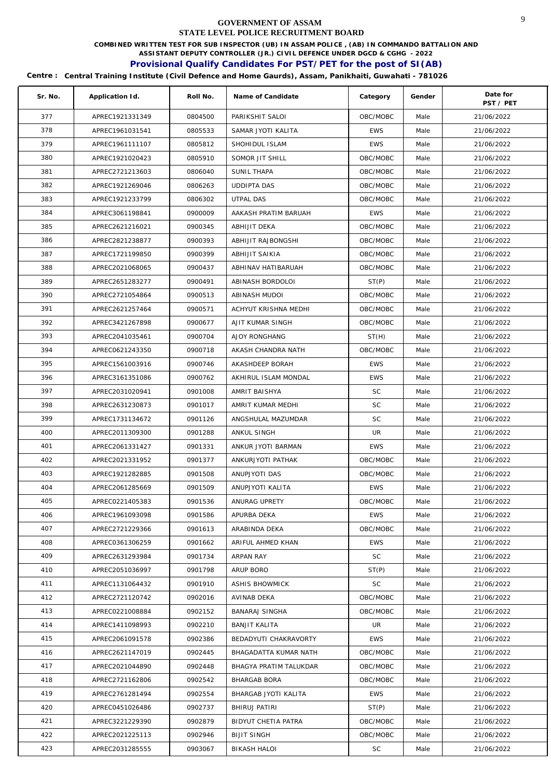**COMBINED WRITTEN TEST FOR SUB INSPECTOR (UB) IN ASSAM POLICE , (AB) IN COMMANDO BATTALION AND** 

**ASSISTANT DEPUTY CONTROLLER (JR.) CIVIL DEFENCE UNDER DGCD & CGHG - 2022** 

# **Provisional Qualify Candidates For PST/PET for the post of SI(AB)**

| Sr. No. | Application Id. | Roll No. | Name of Candidate      | Category   | Gender | Date for<br>PST / PET |
|---------|-----------------|----------|------------------------|------------|--------|-----------------------|
| 377     | APREC1921331349 | 0804500  | PARIKSHIT SALOI        | OBC/MOBC   | Male   | 21/06/2022            |
| 378     | APREC1961031541 | 0805533  | SAMAR JYOTI KALITA     | <b>EWS</b> | Male   | 21/06/2022            |
| 379     | APREC1961111107 | 0805812  | SHOHIDUL ISLAM         | <b>EWS</b> | Male   | 21/06/2022            |
| 380     | APREC1921020423 | 0805910  | SOMOR JIT SHILL        | OBC/MOBC   | Male   | 21/06/2022            |
| 381     | APREC2721213603 | 0806040  | SUNIL THAPA            | OBC/MOBC   | Male   | 21/06/2022            |
| 382     | APREC1921269046 | 0806263  | <b>UDDIPTA DAS</b>     | OBC/MOBC   | Male   | 21/06/2022            |
| 383     | APREC1921233799 | 0806302  | <b>UTPAL DAS</b>       | OBC/MOBC   | Male   | 21/06/2022            |
| 384     | APREC3061198841 | 0900009  | AAKASH PRATIM BARUAH   | <b>EWS</b> | Male   | 21/06/2022            |
| 385     | APREC2621216021 | 0900345  | ABHIJIT DEKA           | OBC/MOBC   | Male   | 21/06/2022            |
| 386     | APREC2821238877 | 0900393  | ABHIJIT RAJBONGSHI     | OBC/MOBC   | Male   | 21/06/2022            |
| 387     | APREC1721199850 | 0900399  | ABHIJIT SAIKIA         | OBC/MOBC   | Male   | 21/06/2022            |
| 388     | APREC2021068065 | 0900437  | ABHINAV HATIBARUAH     | OBC/MOBC   | Male   | 21/06/2022            |
| 389     | APREC2651283277 | 0900491  | ABINASH BORDOLOI       | ST(P)      | Male   | 21/06/2022            |
| 390     | APREC2721054864 | 0900513  | ABINASH MUDOI          | OBC/MOBC   | Male   | 21/06/2022            |
| 391     | APREC2621257464 | 0900571  | ACHYUT KRISHNA MEDHI   | OBC/MOBC   | Male   | 21/06/2022            |
| 392     | APREC3421267898 | 0900677  | AJIT KUMAR SINGH       | OBC/MOBC   | Male   | 21/06/2022            |
| 393     | APREC2041035461 | 0900704  | AJOY RONGHANG          | ST(H)      | Male   | 21/06/2022            |
| 394     | APREC0621243350 | 0900718  | AKASH CHANDRA NATH     | OBC/MOBC   | Male   | 21/06/2022            |
| 395     | APREC1561003916 | 0900746  | AKASHDEEP BORAH        | <b>EWS</b> | Male   | 21/06/2022            |
| 396     | APREC3161351086 | 0900762  | AKHIRUL ISLAM MONDAL   | <b>EWS</b> | Male   | 21/06/2022            |
| 397     | APREC2031020941 | 0901008  | AMRIT BAISHYA          | SC         | Male   | 21/06/2022            |
| 398     | APREC2631230873 | 0901017  | AMRIT KUMAR MEDHI      | <b>SC</b>  | Male   | 21/06/2022            |
| 399     | APREC1731134672 | 0901126  | ANGSHULAL MAZUMDAR     | <b>SC</b>  | Male   | 21/06/2022            |
| 400     | APREC2011309300 | 0901288  | ANKUL SINGH            | UR         | Male   | 21/06/2022            |
| 401     | APREC2061331427 | 0901331  | ANKUR JYOTI BARMAN     | <b>EWS</b> | Male   | 21/06/2022            |
| 402     | APREC2021331952 | 0901377  | ANKURJYOTI PATHAK      | OBC/MOBC   | Male   | 21/06/2022            |
| 403     | APREC1921282885 | 0901508  | ANUPJYOTI DAS          | OBC/MOBC   | Male   | 21/06/2022            |
| 404     | APREC2061285669 | 0901509  | ANUPJYOTI KALITA       | <b>EWS</b> | Male   | 21/06/2022            |
| 405     | APREC0221405383 | 0901536  | ANURAG UPRETY          | OBC/MOBC   | Male   | 21/06/2022            |
| 406     | APREC1961093098 | 0901586  | APURBA DEKA            | EWS        | Male   | 21/06/2022            |
| 407     | APREC2721229366 | 0901613  | ARABINDA DEKA          | OBC/MOBC   | Male   | 21/06/2022            |
| 408     | APREC0361306259 | 0901662  | ARIFUL AHMED KHAN      | <b>EWS</b> | Male   | 21/06/2022            |
| 409     | APREC2631293984 | 0901734  | <b>ARPAN RAY</b>       | <b>SC</b>  | Male   | 21/06/2022            |
| 410     | APREC2051036997 | 0901798  | ARUP BORO              | ST(P)      | Male   | 21/06/2022            |
| 411     | APREC1131064432 | 0901910  | <b>ASHIS BHOWMICK</b>  | <b>SC</b>  | Male   | 21/06/2022            |
| 412     | APREC2721120742 | 0902016  | AVINAB DEKA            | OBC/MOBC   | Male   | 21/06/2022            |
| 413     | APREC0221008884 | 0902152  | BANARAJ SINGHA         | OBC/MOBC   | Male   | 21/06/2022            |
| 414     | APREC1411098993 | 0902210  | BANJIT KALITA          | UR         | Male   | 21/06/2022            |
| 415     | APREC2061091578 | 0902386  | BEDADYUTI CHAKRAVORTY  | <b>EWS</b> | Male   | 21/06/2022            |
| 416     | APREC2621147019 | 0902445  | BHAGADATTA KUMAR NATH  | OBC/MOBC   | Male   | 21/06/2022            |
| 417     | APREC2021044890 | 0902448  | BHAGYA PRATIM TALUKDAR | OBC/MOBC   | Male   | 21/06/2022            |
| 418     | APREC2721162806 | 0902542  | BHARGAB BORA           | OBC/MOBC   | Male   | 21/06/2022            |
| 419     | APREC2761281494 | 0902554  | BHARGAB JYOTI KALITA   | <b>EWS</b> | Male   | 21/06/2022            |
| 420     | APREC0451026486 | 0902737  | BHIRUJ PATIRI          | ST(P)      | Male   | 21/06/2022            |
| 421     | APREC3221229390 | 0902879  | BIDYUT CHETIA PATRA    | OBC/MOBC   | Male   | 21/06/2022            |
| 422     | APREC2021225113 | 0902946  | <b>BIJIT SINGH</b>     | OBC/MOBC   | Male   | 21/06/2022            |
| 423     | APREC2031285555 | 0903067  | <b>BIKASH HALOI</b>    | SC         | Male   | 21/06/2022            |
|         |                 |          |                        |            |        |                       |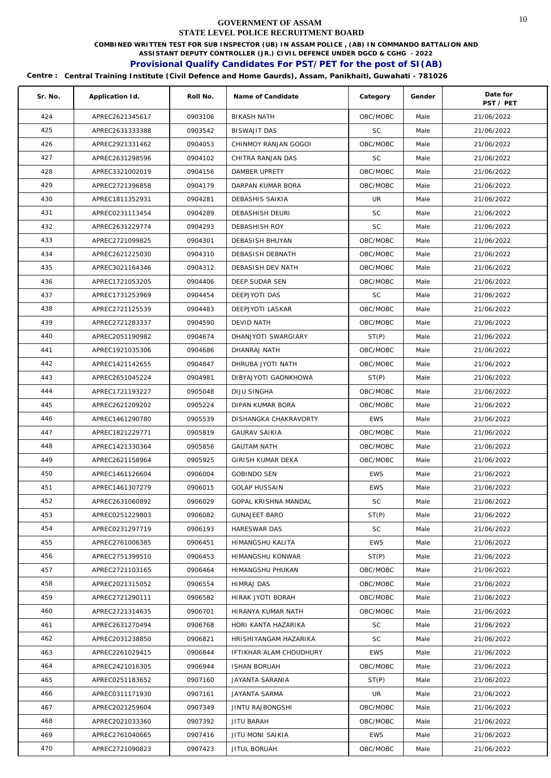**COMBINED WRITTEN TEST FOR SUB INSPECTOR (UB) IN ASSAM POLICE , (AB) IN COMMANDO BATTALION AND** 

**ASSISTANT DEPUTY CONTROLLER (JR.) CIVIL DEFENCE UNDER DGCD & CGHG - 2022** 

# **Provisional Qualify Candidates For PST/PET for the post of SI(AB)**

| Sr. No. | Application Id. | Roll No. | Name of Candidate        | Category   | Gender | Date for<br>PST / PET |
|---------|-----------------|----------|--------------------------|------------|--------|-----------------------|
| 424     | APREC2621345617 | 0903106  | <b>BIKASH NATH</b>       | OBC/MOBC   | Male   | 21/06/2022            |
| 425     | APREC2631333388 | 0903542  | BISWAJIT DAS             | <b>SC</b>  | Male   | 21/06/2022            |
| 426     | APREC2921331462 | 0904053  | CHINMOY RANJAN GOGOI     | OBC/MOBC   | Male   | 21/06/2022            |
| 427     | APREC2631298596 | 0904102  | CHITRA RANJAN DAS        | <b>SC</b>  | Male   | 21/06/2022            |
| 428     | APREC3321002019 | 0904156  | DAMBER UPRETY            | OBC/MOBC   | Male   | 21/06/2022            |
| 429     | APREC2721396858 | 0904179  | DARPAN KUMAR BORA        | OBC/MOBC   | Male   | 21/06/2022            |
| 430     | APREC1811352931 | 0904281  | DEBASHIS SAIKIA          | UR         | Male   | 21/06/2022            |
| 431     | APREC0231113454 | 0904289  | DEBASHISH DEURI          | <b>SC</b>  | Male   | 21/06/2022            |
| 432     | APREC2631229774 | 0904293  | DEBASHISH ROY            | SC         | Male   | 21/06/2022            |
| 433     | APREC2721099825 | 0904301  | DEBASISH BHUYAN          | OBC/MOBC   | Male   | 21/06/2022            |
| 434     | APREC2621225030 | 0904310  | DEBASISH DEBNATH         | OBC/MOBC   | Male   | 21/06/2022            |
| 435     | APREC3021164346 | 0904312  | DEBASISH DEV NATH        | OBC/MOBC   | Male   | 21/06/2022            |
| 436     | APREC1721053205 | 0904406  | DEEP SUDAR SEN           | OBC/MOBC   | Male   | 21/06/2022            |
| 437     | APREC1731253969 | 0904454  | DEEPJYOTI DAS            | <b>SC</b>  | Male   | 21/06/2022            |
| 438     | APREC2721125539 | 0904483  | DEEPJYOTI LASKAR         | OBC/MOBC   | Male   | 21/06/2022            |
| 439     | APREC2721283337 | 0904590  | DEVID NATH               | OBC/MOBC   | Male   | 21/06/2022            |
| 440     | APREC2051190982 | 0904674  | DHANJYOTI SWARGIARY      | ST(P)      | Male   | 21/06/2022            |
| 441     | APREC1921035306 | 0904686  | DHANRAJ NATH             | OBC/MOBC   | Male   | 21/06/2022            |
| 442     | APREC1421142655 | 0904847  | DHRUBA JYOTI NATH        | OBC/MOBC   | Male   | 21/06/2022            |
| 443     | APREC2651045224 | 0904981  | DIBYAJYOTI GAONKHOWA     | ST(P)      | Male   | 21/06/2022            |
| 444     | APREC1721193227 | 0905048  | DIJU SINGHA              | OBC/MOBC   | Male   | 21/06/2022            |
| 445     | APREC2621209202 | 0905224  | DIPAN KUMAR BORA         | OBC/MOBC   | Male   | 21/06/2022            |
| 446     | APREC1461290780 | 0905539  | DISHANGKA CHAKRAVORTY    | <b>EWS</b> | Male   | 21/06/2022            |
| 447     | APREC1821229771 | 0905819  | <b>GAURAV SAIKIA</b>     | OBC/MOBC   | Male   | 21/06/2022            |
| 448     | APREC1421330364 | 0905856  | <b>GAUTAM NATH</b>       | OBC/MOBC   | Male   | 21/06/2022            |
| 449     | APREC2621158964 | 0905925  | <b>GIRISH KUMAR DEKA</b> | OBC/MOBC   | Male   | 21/06/2022            |
| 450     | APREC1461126604 | 0906004  | <b>GOBINDO SEN</b>       | <b>EWS</b> | Male   | 21/06/2022            |
| 451     | APREC1461307279 | 0906015  | <b>GOLAP HUSSAIN</b>     | <b>EWS</b> | Male   | 21/06/2022            |
| 452     | APREC2631060892 | 0906029  | GOPAL KRISHNA MANDAL     | SC         | Male   | 21/06/2022            |
| 453     | APREC0251229803 | 0906082  | <b>GUNAJEET BARO</b>     | ST(P)      | Male   | 21/06/2022            |
| 454     | APREC0231297719 | 0906193  | <b>HARESWAR DAS</b>      | <b>SC</b>  | Male   | 21/06/2022            |
| 455     | APREC2761006385 | 0906451  | HIMANGSHU KALITA         | <b>EWS</b> | Male   | 21/06/2022            |
| 456     | APREC2751399510 | 0906453  | <b>HIMANGSHU KONWAR</b>  | ST(P)      | Male   | 21/06/2022            |
| 457     | APREC2721103165 | 0906464  | HIMANGSHU PHUKAN         | OBC/MOBC   | Male   | 21/06/2022            |
| 458     | APREC2021315052 | 0906554  | HIMRAJ DAS               | OBC/MOBC   | Male   | 21/06/2022            |
| 459     | APREC2721290111 | 0906582  | HIRAK JYOTI BORAH        | OBC/MOBC   | Male   | 21/06/2022            |
| 460     | APREC2721314635 | 0906701  | HIRANYA KUMAR NATH       | OBC/MOBC   | Male   | 21/06/2022            |
| 461     | APREC2631270494 | 0906768  | HORI KANTA HAZARIKA      | SC         | Male   | 21/06/2022            |
| 462     | APREC2031238850 | 0906821  | HRISHIYANGAM HAZARIKA    | SC.        | Male   | 21/06/2022            |
| 463     | APREC2261029415 | 0906844  | IFTIKHAR ALAM CHOUDHURY  | <b>EWS</b> | Male   | 21/06/2022            |
| 464     | APREC2421016305 | 0906944  | <b>ISHAN BORUAH</b>      | OBC/MOBC   | Male   | 21/06/2022            |
| 465     | APREC0251183652 | 0907160  | JAYANTA SARANIA          | ST(P)      | Male   | 21/06/2022            |
| 466     | APREC0311171930 | 0907161  | JAYANTA SARMA            | UR         | Male   | 21/06/2022            |
| 467     | APREC2021259604 | 0907349  | JINTU RAJBONGSHI         | OBC/MOBC   | Male   | 21/06/2022            |
| 468     | APREC2021033360 | 0907392  | JITU BARAH               | OBC/MOBC   | Male   | 21/06/2022            |
| 469     | APREC2761040665 | 0907416  | JITU MONI SAIKIA         | <b>EWS</b> | Male   | 21/06/2022            |
| 470     | APREC2721090823 | 0907423  | JITUL BORUAH             | OBC/MOBC   | Male   | 21/06/2022            |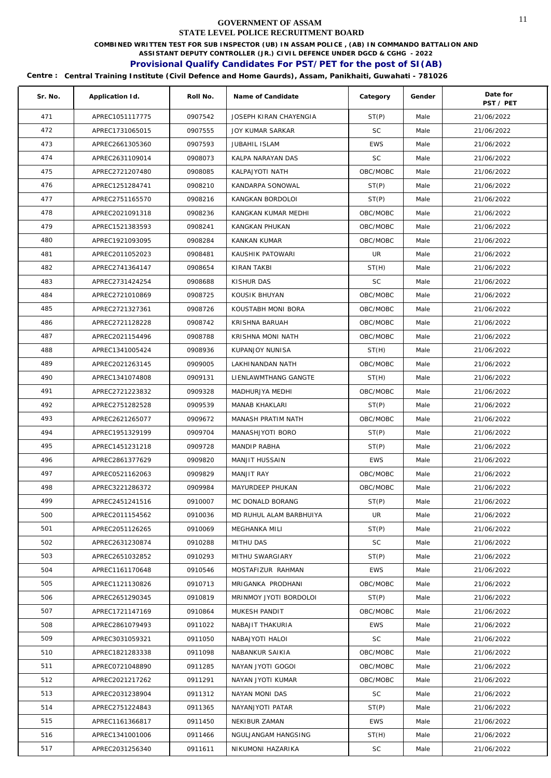**COMBINED WRITTEN TEST FOR SUB INSPECTOR (UB) IN ASSAM POLICE , (AB) IN COMMANDO BATTALION AND** 

**ASSISTANT DEPUTY CONTROLLER (JR.) CIVIL DEFENCE UNDER DGCD & CGHG - 2022** 

# **Provisional Qualify Candidates For PST/PET for the post of SI(AB)**

| Sr. No. | Application Id. | Roll No. | Name of Candidate       | Category   | Gender | Date for<br>PST / PET |
|---------|-----------------|----------|-------------------------|------------|--------|-----------------------|
| 471     | APREC1051117775 | 0907542  | JOSEPH KIRAN CHAYENGIA  | ST(P)      | Male   | 21/06/2022            |
| 472     | APREC1731065015 | 0907555  | <b>JOY KUMAR SARKAR</b> | <b>SC</b>  | Male   | 21/06/2022            |
| 473     | APREC2661305360 | 0907593  | <b>JUBAHIL ISLAM</b>    | <b>EWS</b> | Male   | 21/06/2022            |
| 474     | APREC2631109014 | 0908073  | KALPA NARAYAN DAS       | <b>SC</b>  | Male   | 21/06/2022            |
| 475     | APREC2721207480 | 0908085  | KALPAJYOTI NATH         | OBC/MOBC   | Male   | 21/06/2022            |
| 476     | APREC1251284741 | 0908210  | KANDARPA SONOWAL        | ST(P)      | Male   | 21/06/2022            |
| 477     | APREC2751165570 | 0908216  | KANGKAN BORDOLOI        | ST(P)      | Male   | 21/06/2022            |
| 478     | APREC2021091318 | 0908236  | KANGKAN KUMAR MEDHI     | OBC/MOBC   | Male   | 21/06/2022            |
| 479     | APREC1521383593 | 0908241  | KANGKAN PHUKAN          | OBC/MOBC   | Male   | 21/06/2022            |
| 480     | APREC1921093095 | 0908284  | KANKAN KUMAR            | OBC/MOBC   | Male   | 21/06/2022            |
| 481     | APREC2011052023 | 0908481  | KAUSHIK PATOWARI        | UR         | Male   | 21/06/2022            |
| 482     | APREC2741364147 | 0908654  | KIRAN TAKBI             | ST(H)      | Male   | 21/06/2022            |
| 483     | APREC2731424254 | 0908688  | KISHUR DAS              | <b>SC</b>  | Male   | 21/06/2022            |
| 484     | APREC2721010869 | 0908725  | KOUSIK BHUYAN           | OBC/MOBC   | Male   | 21/06/2022            |
| 485     | APREC2721327361 | 0908726  | KOUSTABH MONI BORA      | OBC/MOBC   | Male   | 21/06/2022            |
| 486     | APREC2721128228 | 0908742  | KRISHNA BARUAH          | OBC/MOBC   | Male   | 21/06/2022            |
| 487     | APREC2021154496 | 0908788  | KRISHNA MONI NATH       | OBC/MOBC   | Male   | 21/06/2022            |
| 488     | APREC1341005424 | 0908936  | KUPANJOY NUNISA         | ST(H)      | Male   | 21/06/2022            |
| 489     | APREC2021263145 | 0909005  | LAKHINANDAN NATH        | OBC/MOBC   | Male   | 21/06/2022            |
| 490     | APREC1341074808 | 0909131  | LIENLAWMTHANG GANGTE    | ST(H)      | Male   | 21/06/2022            |
| 491     | APREC2721223832 | 0909328  | MADHURJYA MEDHI         | OBC/MOBC   | Male   | 21/06/2022            |
| 492     | APREC2751282528 | 0909539  | MANAB KHAKLARI          | ST(P)      | Male   | 21/06/2022            |
| 493     | APREC2621265077 | 0909672  | MANASH PRATIM NATH      | OBC/MOBC   | Male   | 21/06/2022            |
| 494     | APREC1951329199 | 0909704  | MANASHJYOTI BORO        | ST(P)      | Male   | 21/06/2022            |
| 495     | APREC1451231218 | 0909728  | MANDIP RABHA            | ST(P)      | Male   | 21/06/2022            |
| 496     | APREC2861377629 | 0909820  | MANJIT HUSSAIN          | <b>EWS</b> | Male   | 21/06/2022            |
| 497     | APREC0521162063 | 0909829  | MANJIT RAY              | OBC/MOBC   | Male   | 21/06/2022            |
| 498     | APREC3221286372 | 0909984  | MAYURDEEP PHUKAN        | OBC/MOBC   | Male   | 21/06/2022            |
| 499     | APREC2451241516 | 0910007  | MC DONALD BORANG        | ST(P)      | Male   | 21/06/2022            |
| 500     | APREC2011154562 | 0910036  | MD RUHUL ALAM BARBHUIYA | UR         | Male   | 21/06/2022            |
| 501     | APREC2051126265 | 0910069  | MEGHANKA MILI           | ST(P)      | Male   | 21/06/2022            |
| 502     | APREC2631230874 | 0910288  | MITHU DAS               | SC         | Male   | 21/06/2022            |
| 503     | APREC2651032852 | 0910293  | MITHU SWARGIARY         | ST(P)      | Male   | 21/06/2022            |
| 504     | APREC1161170648 | 0910546  | MOSTAFIZUR RAHMAN       | EWS        | Male   | 21/06/2022            |
| 505     | APREC1121130826 | 0910713  | MRIGANKA PRODHANI       | OBC/MOBC   | Male   | 21/06/2022            |
| 506     | APREC2651290345 | 0910819  | MRINMOY JYOTI BORDOLOI  | ST(P)      | Male   | 21/06/2022            |
| 507     | APREC1721147169 | 0910864  | MUKESH PANDIT           | OBC/MOBC   | Male   | 21/06/2022            |
| 508     | APREC2861079493 | 0911022  | NABAJIT THAKURIA        | <b>EWS</b> | Male   | 21/06/2022            |
| 509     | APREC3031059321 | 0911050  | NABAJYOTI HALOI         | <b>SC</b>  | Male   | 21/06/2022            |
| 510     | APREC1821283338 | 0911098  | NABANKUR SAIKIA         | OBC/MOBC   | Male   | 21/06/2022            |
| 511     | APREC0721048890 | 0911285  | NAYAN JYOTI GOGOI       | OBC/MOBC   | Male   | 21/06/2022            |
| 512     | APREC2021217262 | 0911291  | NAYAN JYOTI KUMAR       | OBC/MOBC   | Male   | 21/06/2022            |
| 513     | APREC2031238904 | 0911312  | NAYAN MONI DAS          | <b>SC</b>  | Male   | 21/06/2022            |
| 514     | APREC2751224843 | 0911365  | NAYANJYOTI PATAR        | ST(P)      | Male   | 21/06/2022            |
| 515     | APREC1161366817 | 0911450  | NEKIBUR ZAMAN           | <b>EWS</b> | Male   | 21/06/2022            |
| 516     | APREC1341001006 | 0911466  | NGULJANGAM HANGSING     | ST(H)      | Male   | 21/06/2022            |
| 517     | APREC2031256340 | 0911611  | NIKUMONI HAZARIKA       | SC         | Male   | 21/06/2022            |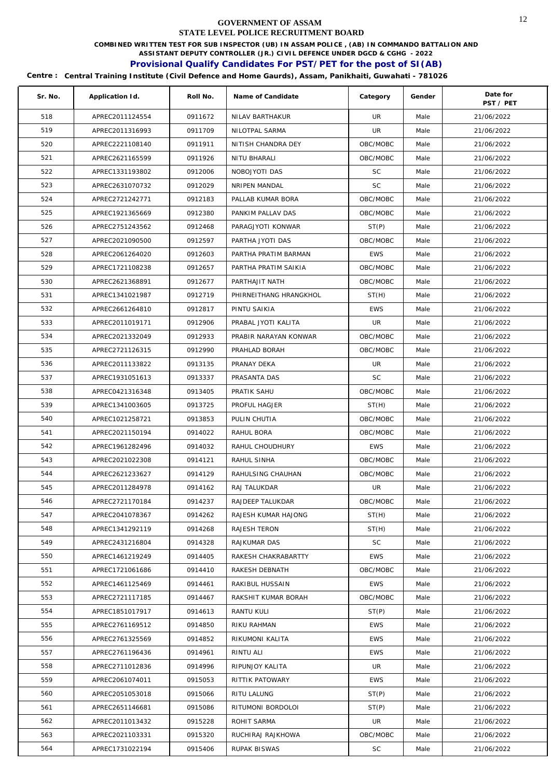**COMBINED WRITTEN TEST FOR SUB INSPECTOR (UB) IN ASSAM POLICE , (AB) IN COMMANDO BATTALION AND** 

**ASSISTANT DEPUTY CONTROLLER (JR.) CIVIL DEFENCE UNDER DGCD & CGHG - 2022** 

# **Provisional Qualify Candidates For PST/PET for the post of SI(AB)**

| Sr. No. | Application Id. | Roll No. | Name of Candidate      | Category   | Gender | Date for<br>PST / PET |
|---------|-----------------|----------|------------------------|------------|--------|-----------------------|
| 518     | APREC2011124554 | 0911672  | NILAV BARTHAKUR        | UR         | Male   | 21/06/2022            |
| 519     | APREC2011316993 | 0911709  | NILOTPAL SARMA         | UR         | Male   | 21/06/2022            |
| 520     | APREC2221108140 | 0911911  | NITISH CHANDRA DEY     | OBC/MOBC   | Male   | 21/06/2022            |
| 521     | APREC2621165599 | 0911926  | NITU BHARALI           | OBC/MOBC   | Male   | 21/06/2022            |
| 522     | APREC1331193802 | 0912006  | NOBOJYOTI DAS          | <b>SC</b>  | Male   | 21/06/2022            |
| 523     | APREC2631070732 | 0912029  | NRIPEN MANDAL          | <b>SC</b>  | Male   | 21/06/2022            |
| 524     | APREC2721242771 | 0912183  | PALLAB KUMAR BORA      | OBC/MOBC   | Male   | 21/06/2022            |
| 525     | APREC1921365669 | 0912380  | PANKIM PALLAV DAS      | OBC/MOBC   | Male   | 21/06/2022            |
| 526     | APREC2751243562 | 0912468  | PARAGJYOTI KONWAR      | ST(P)      | Male   | 21/06/2022            |
| 527     | APREC2021090500 | 0912597  | PARTHA JYOTI DAS       | OBC/MOBC   | Male   | 21/06/2022            |
| 528     | APREC2061264020 | 0912603  | PARTHA PRATIM BARMAN   | <b>EWS</b> | Male   | 21/06/2022            |
| 529     | APREC1721108238 | 0912657  | PARTHA PRATIM SAIKIA   | OBC/MOBC   | Male   | 21/06/2022            |
| 530     | APREC2621368891 | 0912677  | PARTHAJIT NATH         | OBC/MOBC   | Male   | 21/06/2022            |
| 531     | APREC1341021987 | 0912719  | PHIRNEITHANG HRANGKHOL | ST(H)      | Male   | 21/06/2022            |
| 532     | APREC2661264810 | 0912817  | PINTU SAIKIA           | <b>EWS</b> | Male   | 21/06/2022            |
| 533     | APREC2011019171 | 0912906  | PRABAL JYOTI KALITA    | UR         | Male   | 21/06/2022            |
| 534     | APREC2021332049 | 0912933  | PRABIR NARAYAN KONWAR  | OBC/MOBC   | Male   | 21/06/2022            |
| 535     | APREC2721126315 | 0912990  | PRAHLAD BORAH          | OBC/MOBC   | Male   | 21/06/2022            |
| 536     | APREC2011133822 | 0913135  | PRANAY DEKA            | UR         | Male   | 21/06/2022            |
| 537     | APREC1931051613 | 0913337  | PRASANTA DAS           | <b>SC</b>  | Male   | 21/06/2022            |
| 538     | APREC0421316348 | 0913405  | PRATIK SAHU            | OBC/MOBC   | Male   | 21/06/2022            |
| 539     | APREC1341003605 | 0913725  | PROFUL HAGJER          | ST(H)      | Male   | 21/06/2022            |
| 540     | APREC1021258721 | 0913853  | PULIN CHUTIA           | OBC/MOBC   | Male   | 21/06/2022            |
| 541     | APREC2021150194 | 0914022  | RAHUL BORA             | OBC/MOBC   | Male   | 21/06/2022            |
| 542     | APREC1961282496 | 0914032  | RAHUL CHOUDHURY        | <b>EWS</b> | Male   | 21/06/2022            |
| 543     | APREC2021022308 | 0914121  | RAHUL SINHA            | OBC/MOBC   | Male   | 21/06/2022            |
| 544     | APREC2621233627 | 0914129  | RAHULSING CHAUHAN      | OBC/MOBC   | Male   | 21/06/2022            |
| 545     | APREC2011284978 | 0914162  | RAJ TALUKDAR           | UR         | Male   | 21/06/2022            |
| 546     | APREC2721170184 | 0914237  | RAJDEEP TALUKDAR       | OBC/MOBC   | Male   | 21/06/2022            |
| 547     | APREC2041078367 | 0914262  | RAJESH KUMAR HAJONG    | ST(H)      | Male   | 21/06/2022            |
| 548     | APREC1341292119 | 0914268  | RAJESH TERON           | ST(H)      | Male   | 21/06/2022            |
| 549     | APREC2431216804 | 0914328  | RAJKUMAR DAS           | SC         | Male   | 21/06/2022            |
| 550     | APREC1461219249 | 0914405  | RAKESH CHAKRABARTTY    | <b>EWS</b> | Male   | 21/06/2022            |
| 551     | APREC1721061686 | 0914410  | RAKESH DEBNATH         | OBC/MOBC   | Male   | 21/06/2022            |
| 552     | APREC1461125469 | 0914461  | RAKIBUL HUSSAIN        | <b>EWS</b> | Male   | 21/06/2022            |
| 553     | APREC2721117185 | 0914467  | RAKSHIT KUMAR BORAH    | OBC/MOBC   | Male   | 21/06/2022            |
| 554     | APREC1851017917 | 0914613  | RANTU KULI             | ST(P)      | Male   | 21/06/2022            |
| 555     | APREC2761169512 | 0914850  | RIKU RAHMAN            | <b>EWS</b> | Male   | 21/06/2022            |
| 556     | APREC2761325569 | 0914852  | RIKUMONI KALITA        | <b>EWS</b> | Male   | 21/06/2022            |
| 557     | APREC2761196436 | 0914961  | RINTU ALI              | <b>EWS</b> | Male   | 21/06/2022            |
| 558     | APREC2711012836 | 0914996  | RIPUNJOY KALITA        | UR.        | Male   | 21/06/2022            |
| 559     | APREC2061074011 | 0915053  | RITTIK PATOWARY        | <b>EWS</b> | Male   | 21/06/2022            |
| 560     | APREC2051053018 | 0915066  | RITU LALUNG            | ST(P)      | Male   | 21/06/2022            |
| 561     | APREC2651146681 | 0915086  | RITUMONI BORDOLOI      | ST(P)      | Male   | 21/06/2022            |
| 562     | APREC2011013432 | 0915228  | ROHIT SARMA            | UR         | Male   | 21/06/2022            |
| 563     | APREC2021103331 | 0915320  | RUCHIRAJ RAJKHOWA      | OBC/MOBC   | Male   | 21/06/2022            |
| 564     | APREC1731022194 | 0915406  | RUPAK BISWAS           | SC         | Male   | 21/06/2022            |
|         |                 |          |                        |            |        |                       |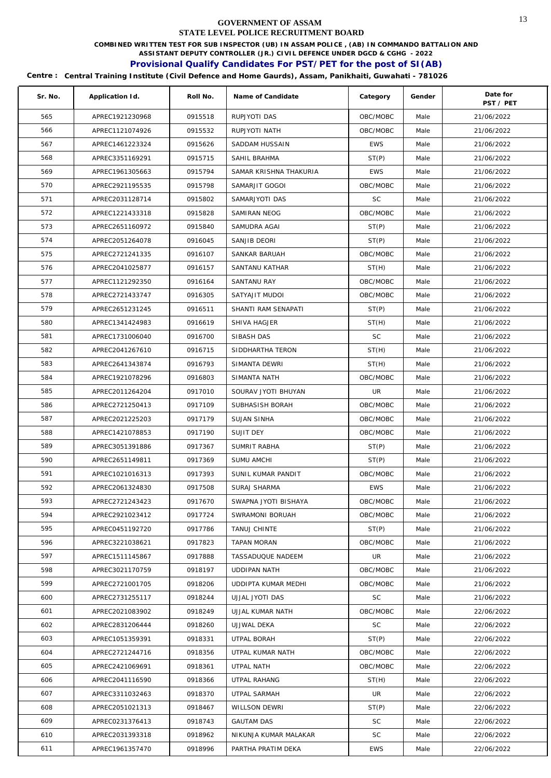**COMBINED WRITTEN TEST FOR SUB INSPECTOR (UB) IN ASSAM POLICE , (AB) IN COMMANDO BATTALION AND** 

**ASSISTANT DEPUTY CONTROLLER (JR.) CIVIL DEFENCE UNDER DGCD & CGHG - 2022** 

# **Provisional Qualify Candidates For PST/PET for the post of SI(AB)**

| Sr. No. | Application Id. | Roll No. | Name of Candidate      | Category   | Gender | Date for<br>PST / PET |
|---------|-----------------|----------|------------------------|------------|--------|-----------------------|
| 565     | APREC1921230968 | 0915518  | RUPJYOTI DAS           | OBC/MOBC   | Male   | 21/06/2022            |
| 566     | APREC1121074926 | 0915532  | RUPJYOTI NATH          | OBC/MOBC   | Male   | 21/06/2022            |
| 567     | APREC1461223324 | 0915626  | SADDAM HUSSAIN         | <b>EWS</b> | Male   | 21/06/2022            |
| 568     | APREC3351169291 | 0915715  | SAHIL BRAHMA           | ST(P)      | Male   | 21/06/2022            |
| 569     | APREC1961305663 | 0915794  | SAMAR KRISHNA THAKURIA | <b>EWS</b> | Male   | 21/06/2022            |
| 570     | APREC2921195535 | 0915798  | SAMARJIT GOGOI         | OBC/MOBC   | Male   | 21/06/2022            |
| 571     | APREC2031128714 | 0915802  | SAMARJYOTI DAS         | <b>SC</b>  | Male   | 21/06/2022            |
| 572     | APREC1221433318 | 0915828  | SAMIRAN NEOG           | OBC/MOBC   | Male   | 21/06/2022            |
| 573     | APREC2651160972 | 0915840  | SAMUDRA AGAI           | ST(P)      | Male   | 21/06/2022            |
| 574     | APREC2051264078 | 0916045  | SANJIB DEORI           | ST(P)      | Male   | 21/06/2022            |
| 575     | APREC2721241335 | 0916107  | SANKAR BARUAH          | OBC/MOBC   | Male   | 21/06/2022            |
| 576     | APREC2041025877 | 0916157  | SANTANU KATHAR         | ST(H)      | Male   | 21/06/2022            |
| 577     | APREC1121292350 | 0916164  | SANTANU RAY            | OBC/MOBC   | Male   | 21/06/2022            |
| 578     | APREC2721433747 | 0916305  | SATYAJIT MUDOI         | OBC/MOBC   | Male   | 21/06/2022            |
| 579     | APREC2651231245 | 0916511  | SHANTI RAM SENAPATI    | ST(P)      | Male   | 21/06/2022            |
| 580     | APREC1341424983 | 0916619  | SHIVA HAGJER           | ST(H)      | Male   | 21/06/2022            |
| 581     | APREC1731006040 | 0916700  | SIBASH DAS             | <b>SC</b>  | Male   | 21/06/2022            |
| 582     | APREC2041267610 | 0916715  | SIDDHARTHA TERON       | ST(H)      | Male   | 21/06/2022            |
| 583     | APREC2641343874 | 0916793  | SIMANTA DEWRI          | ST(H)      | Male   | 21/06/2022            |
| 584     | APREC1921078296 | 0916803  | SIMANTA NATH           | OBC/MOBC   | Male   | 21/06/2022            |
| 585     | APREC2011264204 | 0917010  | SOURAV JYOTI BHUYAN    | UR         | Male   | 21/06/2022            |
| 586     | APREC2721250413 | 0917109  | SUBHASISH BORAH        | OBC/MOBC   | Male   | 21/06/2022            |
| 587     | APREC2021225203 | 0917179  | SUJAN SINHA            | OBC/MOBC   | Male   | 21/06/2022            |
| 588     | APREC1421078853 | 0917190  | SUJIT DEY              | OBC/MOBC   | Male   | 21/06/2022            |
| 589     | APREC3051391886 | 0917367  | SUMRIT RABHA           | ST(P)      | Male   | 21/06/2022            |
| 590     | APREC2651149811 | 0917369  | <b>SUMU AMCHI</b>      | ST(P)      | Male   | 21/06/2022            |
| 591     | APREC1021016313 | 0917393  | SUNIL KUMAR PANDIT     | OBC/MOBC   | Male   | 21/06/2022            |
| 592     | APREC2061324830 | 0917508  | SURAJ SHARMA           | <b>EWS</b> | Male   | 21/06/2022            |
| 593     | APREC2721243423 | 0917670  | SWAPNA JYOTI BISHAYA   | OBC/MOBC   | Male   | 21/06/2022            |
| 594     | APREC2921023412 | 0917724  | SWRAMONI BORUAH        | OBC/MOBC   | Male   | 21/06/2022            |
| 595     | APREC0451192720 | 0917786  | TANUJ CHINTE           | ST(P)      | Male   | 21/06/2022            |
| 596     | APREC3221038621 | 0917823  | TAPAN MORAN            | OBC/MOBC   | Male   | 21/06/2022            |
| 597     | APREC1511145867 | 0917888  | TASSADUQUE NADEEM      | UR         | Male   | 21/06/2022            |
| 598     | APREC3021170759 | 0918197  | <b>UDDIPAN NATH</b>    | OBC/MOBC   | Male   | 21/06/2022            |
| 599     | APREC2721001705 | 0918206  | UDDIPTA KUMAR MEDHI    | OBC/MOBC   | Male   | 21/06/2022            |
| 600     | APREC2731255117 | 0918244  | UJJAL JYOTI DAS        | SC         | Male   | 21/06/2022            |
| 601     | APREC2021083902 | 0918249  | UJJAL KUMAR NATH       | OBC/MOBC   | Male   | 22/06/2022            |
| 602     | APREC2831206444 | 0918260  | UJJWAL DEKA            | SC         | Male   | 22/06/2022            |
| 603     | APREC1051359391 | 0918331  | UTPAL BORAH            | ST(P)      | Male   | 22/06/2022            |
| 604     | APREC2721244716 | 0918356  | UTPAL KUMAR NATH       | OBC/MOBC   | Male   | 22/06/2022            |
| 605     | APREC2421069691 | 0918361  | UTPAL NATH             | OBC/MOBC   | Male   | 22/06/2022            |
| 606     | APREC2041116590 | 0918366  | UTPAL RAHANG           | ST(H)      | Male   | 22/06/2022            |
| 607     | APREC3311032463 | 0918370  | UTPAL SARMAH           | UR         | Male   | 22/06/2022            |
| 608     | APREC2051021313 | 0918467  | WILLSON DEWRI          | ST(P)      | Male   | 22/06/2022            |
| 609     | APREC0231376413 | 0918743  | <b>GAUTAM DAS</b>      | SC.        | Male   | 22/06/2022            |
| 610     | APREC2031393318 | 0918962  | NIKUNJA KUMAR MALAKAR  | SC         | Male   | 22/06/2022            |
| 611     | APREC1961357470 | 0918996  | PARTHA PRATIM DEKA     | <b>EWS</b> | Male   | 22/06/2022            |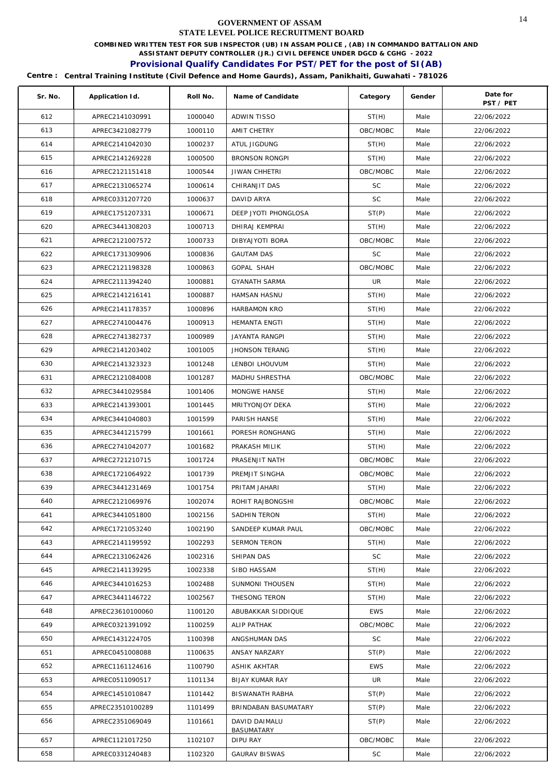**COMBINED WRITTEN TEST FOR SUB INSPECTOR (UB) IN ASSAM POLICE , (AB) IN COMMANDO BATTALION AND** 

**ASSISTANT DEPUTY CONTROLLER (JR.) CIVIL DEFENCE UNDER DGCD & CGHG - 2022** 

# **Provisional Qualify Candidates For PST/PET for the post of SI(AB)**

| Sr. No. | Application Id.  | Roll No. | Name of Candidate           | Category   | Gender | Date for<br>PST / PET |
|---------|------------------|----------|-----------------------------|------------|--------|-----------------------|
| 612     | APREC2141030991  | 1000040  | <b>ADWIN TISSO</b>          | ST(H)      | Male   | 22/06/2022            |
| 613     | APREC3421082779  | 1000110  | AMIT CHETRY                 | OBC/MOBC   | Male   | 22/06/2022            |
| 614     | APREC2141042030  | 1000237  | ATUL JIGDUNG                | ST(H)      | Male   | 22/06/2022            |
| 615     | APREC2141269228  | 1000500  | <b>BRONSON RONGPI</b>       | ST(H)      | Male   | 22/06/2022            |
| 616     | APREC2121151418  | 1000544  | <b>JIWAN CHHETRI</b>        | OBC/MOBC   | Male   | 22/06/2022            |
| 617     | APREC2131065274  | 1000614  | CHIRANJIT DAS               | <b>SC</b>  | Male   | 22/06/2022            |
| 618     | APREC0331207720  | 1000637  | DAVID ARYA                  | <b>SC</b>  | Male   | 22/06/2022            |
| 619     | APREC1751207331  | 1000671  | DEEP JYOTI PHONGLOSA        | ST(P)      | Male   | 22/06/2022            |
| 620     | APREC3441308203  | 1000713  | DHIRAJ KEMPRAI              | ST(H)      | Male   | 22/06/2022            |
| 621     | APREC2121007572  | 1000733  | DIBYAJYOTI BORA             | OBC/MOBC   | Male   | 22/06/2022            |
| 622     | APREC1731309906  | 1000836  | <b>GAUTAM DAS</b>           | SC         | Male   | 22/06/2022            |
| 623     | APREC2121198328  | 1000863  | GOPAL SHAH                  | OBC/MOBC   | Male   | 22/06/2022            |
| 624     | APREC2111394240  | 1000881  | <b>GYANATH SARMA</b>        | UR         | Male   | 22/06/2022            |
| 625     | APREC2141216141  | 1000887  | HAMSAN HASNU                | ST(H)      | Male   | 22/06/2022            |
| 626     | APREC2141178357  | 1000896  | HARBAMON KRO                | ST(H)      | Male   | 22/06/2022            |
| 627     | APREC2741004476  | 1000913  | <b>HEMANTA ENGTI</b>        | ST(H)      | Male   | 22/06/2022            |
| 628     | APREC2741382737  | 1000989  | JAYANTA RANGPI              | ST(H)      | Male   | 22/06/2022            |
| 629     | APREC2141203402  | 1001005  | <b>JHONSON TERANG</b>       | ST(H)      | Male   | 22/06/2022            |
| 630     | APREC2141323323  | 1001248  | LENBOI LHOUVUM              | ST(H)      | Male   | 22/06/2022            |
| 631     | APREC2121084008  | 1001287  | MADHU SHRESTHA              | OBC/MOBC   | Male   | 22/06/2022            |
| 632     | APREC3441029584  | 1001406  | MONGWE HANSE                | ST(H)      | Male   | 22/06/2022            |
| 633     | APREC2141393001  | 1001445  | MRITYONJOY DEKA             | ST(H)      | Male   | 22/06/2022            |
| 634     | APREC3441040803  | 1001599  | PARISH HANSE                | ST(H)      | Male   | 22/06/2022            |
| 635     | APREC3441215799  | 1001661  | PORESH RONGHANG             | ST(H)      | Male   | 22/06/2022            |
| 636     | APREC2741042077  | 1001682  | PRAKASH MILIK               | ST(H)      | Male   | 22/06/2022            |
| 637     | APREC2721210715  | 1001724  | PRASENJIT NATH              | OBC/MOBC   | Male   | 22/06/2022            |
| 638     | APREC1721064922  | 1001739  | PREMJIT SINGHA              | OBC/MOBC   | Male   | 22/06/2022            |
| 639     | APREC3441231469  | 1001754  | PRITAM JAHARI               | ST(H)      | Male   | 22/06/2022            |
| 640     | APREC2121069976  | 1002074  | ROHIT RAJBONGSHI            | OBC/MOBC   | Male   | 22/06/2022            |
| 641     | APREC3441051800  | 1002156  | SADHIN TERON                | ST(H)      | Male   | 22/06/2022            |
| 642     | APREC1721053240  | 1002190  | SANDEEP KUMAR PAUL          | OBC/MOBC   | Male   | 22/06/2022            |
| 643     | APREC2141199592  | 1002293  | <b>SERMON TERON</b>         | ST(H)      | Male   | 22/06/2022            |
| 644     | APREC2131062426  | 1002316  | SHIPAN DAS                  | <b>SC</b>  | Male   | 22/06/2022            |
| 645     | APREC2141139295  | 1002338  | SIBO HASSAM                 | ST(H)      | Male   | 22/06/2022            |
| 646     | APREC3441016253  | 1002488  | SUNMONI THOUSEN             | ST(H)      | Male   | 22/06/2022            |
| 647     | APREC3441146722  | 1002567  | THESONG TERON               | ST(H)      | Male   | 22/06/2022            |
| 648     | APREC23610100060 | 1100120  | ABUBAKKAR SIDDIQUE          | EWS        | Male   | 22/06/2022            |
| 649     | APREC0321391092  | 1100259  | ALIP PATHAK                 | OBC/MOBC   | Male   | 22/06/2022            |
| 650     | APREC1431224705  | 1100398  | ANGSHUMAN DAS               | <b>SC</b>  | Male   | 22/06/2022            |
| 651     | APREC0451008088  | 1100635  | ANSAY NARZARY               | ST(P)      | Male   | 22/06/2022            |
| 652     | APREC1161124616  | 1100790  | ASHIK AKHTAR                | <b>EWS</b> | Male   | 22/06/2022            |
| 653     | APREC0511090517  | 1101134  | <b>BIJAY KUMAR RAY</b>      | UR         | Male   | 22/06/2022            |
| 654     | APREC1451010847  | 1101442  | <b>BISWANATH RABHA</b>      | ST(P)      | Male   | 22/06/2022            |
| 655     | APREC23510100289 | 1101499  | BRINDABAN BASUMATARY        | ST(P)      | Male   | 22/06/2022            |
| 656     | APREC2351069049  | 1101661  | DAVID DAIMALU<br>BASUMATARY | ST(P)      | Male   | 22/06/2022            |
| 657     | APREC1121017250  | 1102107  | DIPU RAY                    | OBC/MOBC   | Male   | 22/06/2022            |
| 658     | APREC0331240483  | 1102320  | <b>GAURAV BISWAS</b>        | SC         | Male   | 22/06/2022            |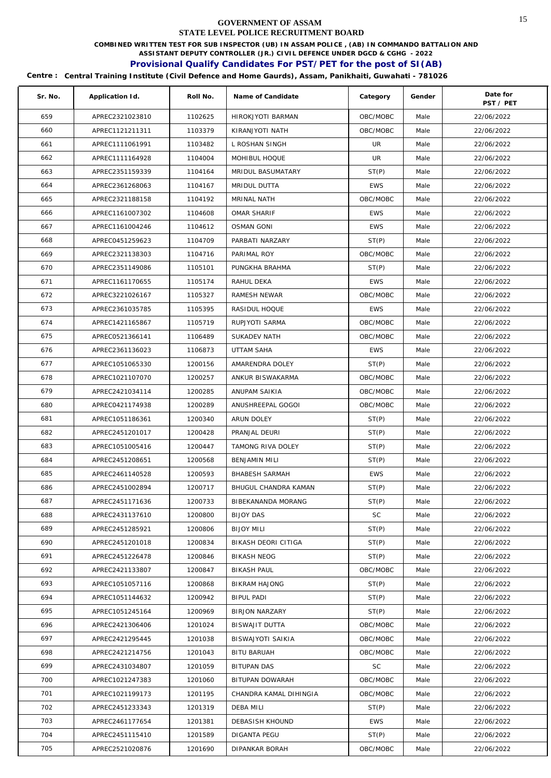**COMBINED WRITTEN TEST FOR SUB INSPECTOR (UB) IN ASSAM POLICE , (AB) IN COMMANDO BATTALION AND** 

**ASSISTANT DEPUTY CONTROLLER (JR.) CIVIL DEFENCE UNDER DGCD & CGHG - 2022** 

# **Provisional Qualify Candidates For PST/PET for the post of SI(AB)**

| Sr. No. | Application Id. | Roll No. | Name of Candidate           | Category   | Gender | Date for<br>PST / PET |
|---------|-----------------|----------|-----------------------------|------------|--------|-----------------------|
| 659     | APREC2321023810 | 1102625  | <b>HIROKJYOTI BARMAN</b>    | OBC/MOBC   | Male   | 22/06/2022            |
| 660     | APREC1121211311 | 1103379  | KIRANJYOTI NATH             | OBC/MOBC   | Male   | 22/06/2022            |
| 661     | APREC1111061991 | 1103482  | L ROSHAN SINGH              | UR         | Male   | 22/06/2022            |
| 662     | APREC1111164928 | 1104004  | MOHIBUL HOQUE               | UR         | Male   | 22/06/2022            |
| 663     | APREC2351159339 | 1104164  | MRIDUL BASUMATARY           | ST(P)      | Male   | 22/06/2022            |
| 664     | APREC2361268063 | 1104167  | MRIDUL DUTTA                | <b>EWS</b> | Male   | 22/06/2022            |
| 665     | APREC2321188158 | 1104192  | MRINAL NATH                 | OBC/MOBC   | Male   | 22/06/2022            |
| 666     | APREC1161007302 | 1104608  | <b>OMAR SHARIF</b>          | <b>EWS</b> | Male   | 22/06/2022            |
| 667     | APREC1161004246 | 1104612  | <b>OSMAN GONI</b>           | <b>EWS</b> | Male   | 22/06/2022            |
| 668     | APREC0451259623 | 1104709  | PARBATI NARZARY             | ST(P)      | Male   | 22/06/2022            |
| 669     | APREC2321138303 | 1104716  | PARIMAL ROY                 | OBC/MOBC   | Male   | 22/06/2022            |
| 670     | APREC2351149086 | 1105101  | PUNGKHA BRAHMA              | ST(P)      | Male   | 22/06/2022            |
| 671     | APREC1161170655 | 1105174  | RAHUL DEKA                  | <b>EWS</b> | Male   | 22/06/2022            |
| 672     | APREC3221026167 | 1105327  | RAMESH NEWAR                | OBC/MOBC   | Male   | 22/06/2022            |
| 673     | APREC2361035785 | 1105395  | RASIDUL HOQUE               | <b>EWS</b> | Male   | 22/06/2022            |
| 674     | APREC1421165867 | 1105719  | RUPJYOTI SARMA              | OBC/MOBC   | Male   | 22/06/2022            |
| 675     | APREC0521366141 | 1106489  | SUKADEV NATH                | OBC/MOBC   | Male   | 22/06/2022            |
| 676     | APREC2361136023 | 1106873  | <b>UTTAM SAHA</b>           | <b>EWS</b> | Male   | 22/06/2022            |
| 677     | APREC1051065330 | 1200156  | AMARENDRA DOLEY             | ST(P)      | Male   | 22/06/2022            |
| 678     | APREC1021107070 | 1200257  | ANKUR BISWAKARMA            | OBC/MOBC   | Male   | 22/06/2022            |
| 679     | APREC2421034114 | 1200285  | ANUPAM SAIKIA               | OBC/MOBC   | Male   | 22/06/2022            |
| 680     | APREC0421174938 | 1200289  | ANUSHREEPAL GOGOI           | OBC/MOBC   | Male   | 22/06/2022            |
| 681     | APREC1051186361 | 1200340  | ARUN DOLEY                  | ST(P)      | Male   | 22/06/2022            |
| 682     | APREC2451201017 | 1200428  | PRANJAL DEURI               | ST(P)      | Male   | 22/06/2022            |
| 683     | APREC1051005416 | 1200447  | TAMONG RIVA DOLEY           | ST(P)      | Male   | 22/06/2022            |
| 684     | APREC2451208651 | 1200568  | <b>BENJAMIN MILI</b>        | ST(P)      | Male   | 22/06/2022            |
| 685     | APREC2461140528 | 1200593  | <b>BHABESH SARMAH</b>       | <b>EWS</b> | Male   | 22/06/2022            |
| 686     | APREC2451002894 | 1200717  | <b>BHUGUL CHANDRA KAMAN</b> | ST(P)      | Male   | 22/06/2022            |
| 687     | APREC2451171636 | 1200733  | BIBEKANANDA MORANG          | ST(P)      | Male   | 22/06/2022            |
| 688     | APREC2431137610 | 1200800  | <b>BIJOY DAS</b>            | SC         | Male   | 22/06/2022            |
| 689     | APREC2451285921 | 1200806  | <b>BIJOY MILI</b>           | ST(P)      | Male   | 22/06/2022            |
| 690     | APREC2451201018 | 1200834  | BIKASH DEORI CITIGA         | ST(P)      | Male   | 22/06/2022            |
| 691     | APREC2451226478 | 1200846  | BIKASH NEOG                 | ST(P)      | Male   | 22/06/2022            |
| 692     | APREC2421133807 | 1200847  | <b>BIKASH PAUL</b>          | OBC/MOBC   | Male   | 22/06/2022            |
| 693     | APREC1051057116 | 1200868  | <b>BIKRAM HAJONG</b>        | ST(P)      | Male   | 22/06/2022            |
| 694     | APREC1051144632 | 1200942  | <b>BIPUL PADI</b>           | ST(P)      | Male   | 22/06/2022            |
| 695     | APREC1051245164 | 1200969  | <b>BIRJON NARZARY</b>       | ST(P)      | Male   | 22/06/2022            |
| 696     | APREC2421306406 | 1201024  | BISWAJIT DUTTA              | OBC/MOBC   | Male   | 22/06/2022            |
| 697     | APREC2421295445 | 1201038  | BISWAJYOTI SAIKIA           | OBC/MOBC   | Male   | 22/06/2022            |
| 698     | APREC2421214756 | 1201043  | <b>BITU BARUAH</b>          | OBC/MOBC   | Male   | 22/06/2022            |
| 699     | APREC2431034807 | 1201059  | <b>BITUPAN DAS</b>          | SC         | Male   | 22/06/2022            |
| 700     | APREC1021247383 | 1201060  | BITUPAN DOWARAH             | OBC/MOBC   | Male   | 22/06/2022            |
| 701     | APREC1021199173 | 1201195  | CHANDRA KAMAL DIHINGIA      | OBC/MOBC   | Male   | 22/06/2022            |
| 702     | APREC2451233343 | 1201319  | DEBA MILI                   | ST(P)      | Male   | 22/06/2022            |
| 703     | APREC2461177654 | 1201381  | DEBASISH KHOUND             | <b>EWS</b> | Male   | 22/06/2022            |
| 704     | APREC2451115410 | 1201589  | DIGANTA PEGU                | ST(P)      | Male   | 22/06/2022            |
| 705     | APREC2521020876 | 1201690  | DIPANKAR BORAH              | OBC/MOBC   | Male   | 22/06/2022            |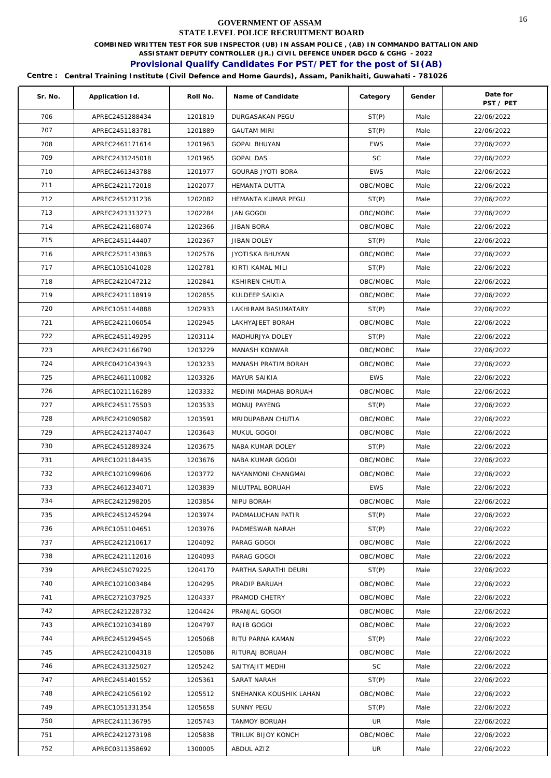**COMBINED WRITTEN TEST FOR SUB INSPECTOR (UB) IN ASSAM POLICE , (AB) IN COMMANDO BATTALION AND** 

**ASSISTANT DEPUTY CONTROLLER (JR.) CIVIL DEFENCE UNDER DGCD & CGHG - 2022** 

# **Provisional Qualify Candidates For PST/PET for the post of SI(AB)**

| Sr. No. | Application Id. | Roll No. | Name of Candidate        | Category   | Gender | Date for<br>PST / PET |
|---------|-----------------|----------|--------------------------|------------|--------|-----------------------|
| 706     | APREC2451288434 | 1201819  | <b>DURGASAKAN PEGU</b>   | ST(P)      | Male   | 22/06/2022            |
| 707     | APREC2451183781 | 1201889  | <b>GAUTAM MIRI</b>       | ST(P)      | Male   | 22/06/2022            |
| 708     | APREC2461171614 | 1201963  | <b>GOPAL BHUYAN</b>      | <b>EWS</b> | Male   | 22/06/2022            |
| 709     | APREC2431245018 | 1201965  | <b>GOPAL DAS</b>         | <b>SC</b>  | Male   | 22/06/2022            |
| 710     | APREC2461343788 | 1201977  | <b>GOURAB JYOTI BORA</b> | <b>EWS</b> | Male   | 22/06/2022            |
| 711     | APREC2421172018 | 1202077  | <b>HEMANTA DUTTA</b>     | OBC/MOBC   | Male   | 22/06/2022            |
| 712     | APREC2451231236 | 1202082  | HEMANTA KUMAR PEGU       | ST(P)      | Male   | 22/06/2022            |
| 713     | APREC2421313273 | 1202284  | <b>JAN GOGOI</b>         | OBC/MOBC   | Male   | 22/06/2022            |
| 714     | APREC2421168074 | 1202366  | <b>JIBAN BORA</b>        | OBC/MOBC   | Male   | 22/06/2022            |
| 715     | APREC2451144407 | 1202367  | <b>JIBAN DOLEY</b>       | ST(P)      | Male   | 22/06/2022            |
| 716     | APREC2521143863 | 1202576  | JYOTISKA BHUYAN          | OBC/MOBC   | Male   | 22/06/2022            |
| 717     | APREC1051041028 | 1202781  | KIRTI KAMAL MILI         | ST(P)      | Male   | 22/06/2022            |
| 718     | APREC2421047212 | 1202841  | KSHIREN CHUTIA           | OBC/MOBC   | Male   | 22/06/2022            |
| 719     | APREC2421118919 | 1202855  | KULDEEP SAIKIA           | OBC/MOBC   | Male   | 22/06/2022            |
| 720     | APREC1051144888 | 1202933  | LAKHIRAM BASUMATARY      | ST(P)      | Male   | 22/06/2022            |
| 721     | APREC2421106054 | 1202945  | LAKHYAJEET BORAH         | OBC/MOBC   | Male   | 22/06/2022            |
| 722     | APREC2451149295 | 1203114  | MADHURJYA DOLEY          | ST(P)      | Male   | 22/06/2022            |
| 723     | APREC2421166790 | 1203229  | MANASH KONWAR            | OBC/MOBC   | Male   | 22/06/2022            |
| 724     | APREC0421043943 | 1203233  | MANASH PRATIM BORAH      | OBC/MOBC   | Male   | 22/06/2022            |
| 725     | APREC2461110082 | 1203326  | MAYUR SAIKIA             | <b>EWS</b> | Male   | 22/06/2022            |
| 726     | APREC1021116289 | 1203332  | MEDINI MADHAB BORUAH     | OBC/MOBC   | Male   | 22/06/2022            |
| 727     | APREC2451175503 | 1203533  | MONUJ PAYENG             | ST(P)      | Male   | 22/06/2022            |
| 728     | APREC2421090582 | 1203591  | MRIDUPABAN CHUTIA        | OBC/MOBC   | Male   | 22/06/2022            |
| 729     | APREC2421374047 | 1203643  | MUKUL GOGOI              | OBC/MOBC   | Male   | 22/06/2022            |
| 730     | APREC2451289324 | 1203675  | NABA KUMAR DOLEY         | ST(P)      | Male   | 22/06/2022            |
| 731     | APREC1021184435 | 1203676  | NABA KUMAR GOGOI         | OBC/MOBC   | Male   | 22/06/2022            |
| 732     | APREC1021099606 | 1203772  | NAYANMONI CHANGMAI       | OBC/MOBC   | Male   | 22/06/2022            |
| 733     | APREC2461234071 | 1203839  | NILUTPAL BORUAH          | <b>EWS</b> | Male   | 22/06/2022            |
| 734     | APREC2421298205 | 1203854  | NIPU BORAH               | OBC/MOBC   | Male   | 22/06/2022            |
| 735     | APREC2451245294 | 1203974  | PADMALUCHAN PATIR        | ST(P)      | Male   | 22/06/2022            |
| 736     | APREC1051104651 | 1203976  | PADMESWAR NARAH          | ST(P)      | Male   | 22/06/2022            |
| 737     | APREC2421210617 | 1204092  | PARAG GOGOI              | OBC/MOBC   | Male   | 22/06/2022            |
| 738     | APREC2421112016 | 1204093  | PARAG GOGOI              | OBC/MOBC   | Male   | 22/06/2022            |
| 739     | APREC2451079225 | 1204170  | PARTHA SARATHI DEURI     | ST(P)      | Male   | 22/06/2022            |
| 740     | APREC1021003484 | 1204295  | PRADIP BARUAH            | OBC/MOBC   | Male   | 22/06/2022            |
| 741     | APREC2721037925 | 1204337  | PRAMOD CHETRY            | OBC/MOBC   | Male   | 22/06/2022            |
| 742     | APREC2421228732 | 1204424  | PRANJAL GOGOI            | OBC/MOBC   | Male   | 22/06/2022            |
| 743     | APREC1021034189 | 1204797  | RAJIB GOGOI              | OBC/MOBC   | Male   | 22/06/2022            |
| 744     | APREC2451294545 | 1205068  | RITU PARNA KAMAN         | ST(P)      | Male   | 22/06/2022            |
| 745     | APREC2421004318 | 1205086  | RITURAJ BORUAH           | OBC/MOBC   | Male   | 22/06/2022            |
| 746     | APREC2431325027 | 1205242  | SAITYAJIT MEDHI          | <b>SC</b>  | Male   | 22/06/2022            |
| 747     | APREC2451401552 | 1205361  | SARAT NARAH              | ST(P)      | Male   | 22/06/2022            |
| 748     | APREC2421056192 | 1205512  | SNEHANKA KOUSHIK LAHAN   | OBC/MOBC   | Male   | 22/06/2022            |
| 749     | APREC1051331354 | 1205658  | SUNNY PEGU               | ST(P)      | Male   | 22/06/2022            |
| 750     | APREC2411136795 | 1205743  | <b>TANMOY BORUAH</b>     | UR.        | Male   | 22/06/2022            |
| 751     | APREC2421273198 | 1205838  | TRILUK BIJOY KONCH       | OBC/MOBC   | Male   | 22/06/2022            |
| 752     | APREC0311358692 | 1300005  | ABDUL AZIZ               | UR         | Male   | 22/06/2022            |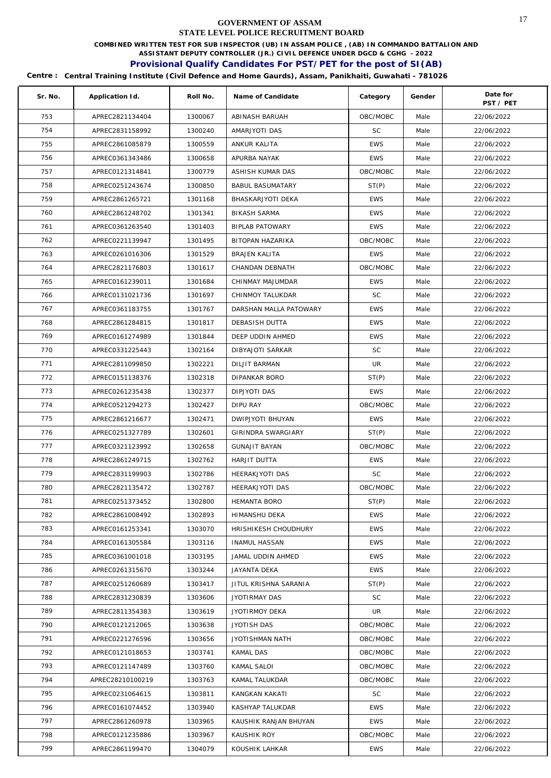**COMBINED WRITTEN TEST FOR SUB INSPECTOR (UB) IN ASSAM POLICE , (AB) IN COMMANDO BATTALION AND** 

**ASSISTANT DEPUTY CONTROLLER (JR.) CIVIL DEFENCE UNDER DGCD & CGHG - 2022** 

# **Provisional Qualify Candidates For PST/PET for the post of SI(AB)**

| Sr. No. | Application Id.  | Roll No. | Name of Candidate       | Category   | Gender | Date for<br>PST / PET |
|---------|------------------|----------|-------------------------|------------|--------|-----------------------|
| 753     | APREC2821134404  | 1300067  | ABINASH BARUAH          | OBC/MOBC   | Male   | 22/06/2022            |
| 754     | APREC2831158992  | 1300240  | AMARJYOTI DAS           | SC         | Male   | 22/06/2022            |
| 755     | APREC2861085879  | 1300559  | ANKUR KALITA            | <b>EWS</b> | Male   | 22/06/2022            |
| 756     | APREC0361343486  | 1300658  | APURBA NAYAK            | <b>EWS</b> | Male   | 22/06/2022            |
| 757     | APREC0121314841  | 1300779  | ASHISH KUMAR DAS        | OBC/MOBC   | Male   | 22/06/2022            |
| 758     | APREC0251243674  | 1300850  | <b>BABUL BASUMATARY</b> | ST(P)      | Male   | 22/06/2022            |
| 759     | APREC2861265721  | 1301168  | BHASKARJYOTI DEKA       | <b>EWS</b> | Male   | 22/06/2022            |
| 760     | APREC2861248702  | 1301341  | <b>BIKASH SARMA</b>     | <b>EWS</b> | Male   | 22/06/2022            |
| 761     | APREC0361263540  | 1301403  | <b>BIPLAB PATOWARY</b>  | <b>EWS</b> | Male   | 22/06/2022            |
| 762     | APREC0221139947  | 1301495  | BITOPAN HAZARIKA        | OBC/MOBC   | Male   | 22/06/2022            |
| 763     | APREC0261016306  | 1301529  | <b>BRAJEN KALITA</b>    | <b>EWS</b> | Male   | 22/06/2022            |
| 764     | APREC2821176803  | 1301617  | CHANDAN DEBNATH         | OBC/MOBC   | Male   | 22/06/2022            |
| 765     | APREC0161239011  | 1301684  | CHINMAY MAJUMDAR        | <b>EWS</b> | Male   | 22/06/2022            |
| 766     | APREC0131021736  | 1301697  | CHINMOY TALUKDAR        | <b>SC</b>  | Male   | 22/06/2022            |
| 767     | APREC0361183755  | 1301767  | DARSHAN MALLA PATOWARY  | <b>EWS</b> | Male   | 22/06/2022            |
| 768     | APREC2861284815  | 1301817  | DEBASISH DUTTA          | <b>EWS</b> | Male   | 22/06/2022            |
| 769     | APREC0161274989  | 1301844  | DEEP UDDIN AHMED        | <b>EWS</b> | Male   | 22/06/2022            |
| 770     | APREC0331225443  | 1302164  | DIBYAJOTI SARKAR        | <b>SC</b>  | Male   | 22/06/2022            |
| 771     | APREC2811099850  | 1302221  | <b>DILJIT BARMAN</b>    | UR         | Male   | 22/06/2022            |
| 772     | APREC0151138376  | 1302318  | DIPANKAR BORO           | ST(P)      | Male   | 22/06/2022            |
| 773     | APREC0261235438  | 1302377  | <b>DIPJYOTI DAS</b>     | <b>EWS</b> | Male   | 22/06/2022            |
| 774     | APREC0521294273  | 1302427  | DIPU RAY                | OBC/MOBC   | Male   | 22/06/2022            |
| 775     | APREC2861216677  | 1302471  | DWIPJYOTI BHUYAN        | <b>EWS</b> | Male   | 22/06/2022            |
| 776     | APREC0251327789  | 1302601  | GIRINDRA SWARGIARY      | ST(P)      | Male   | 22/06/2022            |
| 777     | APREC0321123992  | 1302658  | <b>GUNAJIT BAYAN</b>    | OBC/MOBC   | Male   | 22/06/2022            |
| 778     | APREC2861249715  | 1302762  | HARJIT DUTTA            | <b>EWS</b> | Male   | 22/06/2022            |
| 779     | APREC2831199903  | 1302786  | HEERAKJYOTI DAS         | <b>SC</b>  | Male   | 22/06/2022            |
| 780     | APREC2821135472  | 1302787  | HEERAKJYOTI DAS         | OBC/MOBC   | Male   | 22/06/2022            |
| 781     | APREC0251373452  | 1302800  | HEMANTA BORO            | ST(P)      | Male   | 22/06/2022            |
| 782     | APREC2861008492  | 1302893  | HIMANSHU DEKA           | <b>EWS</b> | Male   | 22/06/2022            |
| 783     | APREC0161253341  | 1303070  | HRISHIKESH CHOUDHURY    | <b>EWS</b> | Male   | 22/06/2022            |
| 784     | APREC0161305584  | 1303116  | <b>INAMUL HASSAN</b>    | <b>EWS</b> | Male   | 22/06/2022            |
| 785     | APREC0361001018  | 1303195  | JAMAL UDDIN AHMED       | <b>EWS</b> | Male   | 22/06/2022            |
| 786     | APREC0261315670  | 1303244  | JAYANTA DEKA            | <b>EWS</b> | Male   | 22/06/2022            |
| 787     | APREC0251260689  | 1303417  | JITUL KRISHNA SARANIA   | ST(P)      | Male   | 22/06/2022            |
| 788     | APREC2831230839  | 1303606  | JYOTIRMAY DAS           | SC         | Male   | 22/06/2022            |
| 789     | APREC2811354383  | 1303619  | JYOTIRMOY DEKA          | UR         | Male   | 22/06/2022            |
| 790     | APREC0121212065  | 1303638  | JYOTISH DAS             | OBC/MOBC   | Male   | 22/06/2022            |
| 791     | APREC0221276596  | 1303656  | JYOTISHMAN NATH         | OBC/MOBC   | Male   | 22/06/2022            |
| 792     | APREC0121018653  | 1303741  | KAMAL DAS               | OBC/MOBC   | Male   | 22/06/2022            |
| 793     | APREC0121147489  | 1303760  | KAMAL SALOI             | OBC/MOBC   | Male   | 22/06/2022            |
| 794     | APREC28210100219 | 1303763  | KAMAL TALUKDAR          | OBC/MOBC   | Male   | 22/06/2022            |
| 795     | APREC0231064615  | 1303811  | KANGKAN KAKATI          | <b>SC</b>  | Male   | 22/06/2022            |
| 796     | APREC0161074452  | 1303940  | KASHYAP TALUKDAR        | <b>EWS</b> | Male   | 22/06/2022            |
| 797     | APREC2861260978  | 1303965  | KAUSHIK RANJAN BHUYAN   | <b>EWS</b> | Male   | 22/06/2022            |
| 798     | APREC0121235886  | 1303967  | KAUSHIK ROY             | OBC/MOBC   | Male   | 22/06/2022            |
| 799     | APREC2861199470  | 1304079  | KOUSHIK LAHKAR          | <b>EWS</b> | Male   | 22/06/2022            |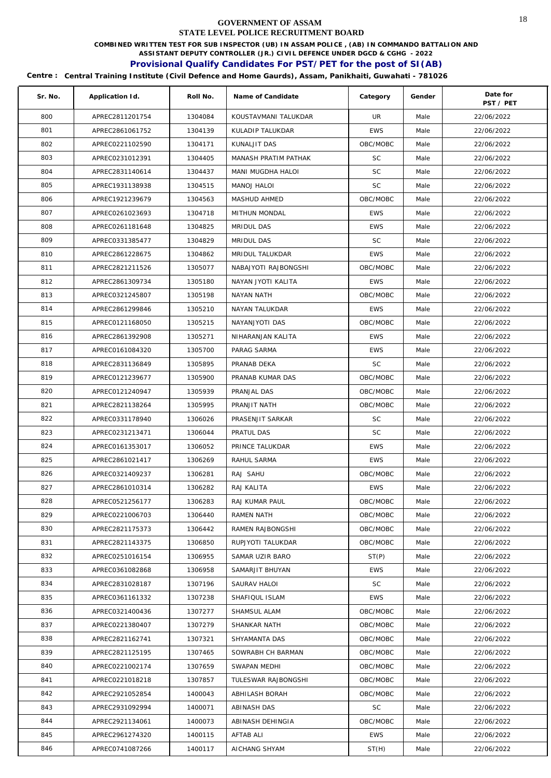**COMBINED WRITTEN TEST FOR SUB INSPECTOR (UB) IN ASSAM POLICE , (AB) IN COMMANDO BATTALION AND** 

**ASSISTANT DEPUTY CONTROLLER (JR.) CIVIL DEFENCE UNDER DGCD & CGHG - 2022** 

# **Provisional Qualify Candidates For PST/PET for the post of SI(AB)**

| Sr. No. | Application Id. | Roll No. | Name of Candidate    | Category   | Gender | Date for<br>PST / PET |
|---------|-----------------|----------|----------------------|------------|--------|-----------------------|
| 800     | APREC2811201754 | 1304084  | KOUSTAVMANI TALUKDAR | <b>UR</b>  | Male   | 22/06/2022            |
| 801     | APREC2861061752 | 1304139  | KULADIP TALUKDAR     | <b>EWS</b> | Male   | 22/06/2022            |
| 802     | APREC0221102590 | 1304171  | KUNALJIT DAS         | OBC/MOBC   | Male   | 22/06/2022            |
| 803     | APREC0231012391 | 1304405  | MANASH PRATIM PATHAK | <b>SC</b>  | Male   | 22/06/2022            |
| 804     | APREC2831140614 | 1304437  | MANI MUGDHA HALOI    | SC         | Male   | 22/06/2022            |
| 805     | APREC1931138938 | 1304515  | MANOJ HALOI          | <b>SC</b>  | Male   | 22/06/2022            |
| 806     | APREC1921239679 | 1304563  | MASHUD AHMED         | OBC/MOBC   | Male   | 22/06/2022            |
| 807     | APREC0261023693 | 1304718  | MITHUN MONDAL        | <b>EWS</b> | Male   | 22/06/2022            |
| 808     | APREC0261181648 | 1304825  | MRIDUL DAS           | <b>EWS</b> | Male   | 22/06/2022            |
| 809     | APREC0331385477 | 1304829  | MRIDUL DAS           | <b>SC</b>  | Male   | 22/06/2022            |
| 810     | APREC2861228675 | 1304862  | MRIDUL TALUKDAR      | <b>EWS</b> | Male   | 22/06/2022            |
| 811     | APREC2821211526 | 1305077  | NABAJYOTI RAJBONGSHI | OBC/MOBC   | Male   | 22/06/2022            |
| 812     | APREC2861309734 | 1305180  | NAYAN JYOTI KALITA   | <b>EWS</b> | Male   | 22/06/2022            |
| 813     | APREC0321245807 | 1305198  | NAYAN NATH           | OBC/MOBC   | Male   | 22/06/2022            |
| 814     | APREC2861299846 | 1305210  | NAYAN TALUKDAR       | <b>EWS</b> | Male   | 22/06/2022            |
| 815     | APREC0121168050 | 1305215  | NAYANJYOTI DAS       | OBC/MOBC   | Male   | 22/06/2022            |
| 816     | APREC2861392908 | 1305271  | NIHARANJAN KALITA    | EWS        | Male   | 22/06/2022            |
| 817     | APREC0161084320 | 1305700  | PARAG SARMA          | <b>EWS</b> | Male   | 22/06/2022            |
| 818     | APREC2831136849 | 1305895  | PRANAB DEKA          | <b>SC</b>  | Male   | 22/06/2022            |
| 819     | APREC0121239677 | 1305900  | PRANAB KUMAR DAS     | OBC/MOBC   | Male   | 22/06/2022            |
| 820     | APREC0121240947 | 1305939  | PRANJAL DAS          | OBC/MOBC   | Male   | 22/06/2022            |
| 821     | APREC2821138264 | 1305995  | PRANJIT NATH         | OBC/MOBC   | Male   | 22/06/2022            |
| 822     | APREC0331178940 | 1306026  | PRASENJIT SARKAR     | <b>SC</b>  | Male   | 22/06/2022            |
| 823     | APREC0231213471 | 1306044  | PRATUL DAS           | <b>SC</b>  | Male   | 22/06/2022            |
| 824     | APREC0161353017 | 1306052  | PRINCE TALUKDAR      | <b>EWS</b> | Male   | 22/06/2022            |
| 825     | APREC2861021417 | 1306269  | RAHUL SARMA          | <b>EWS</b> | Male   | 22/06/2022            |
| 826     | APREC0321409237 | 1306281  | RAJ SAHU             | OBC/MOBC   | Male   | 22/06/2022            |
| 827     | APREC2861010314 | 1306282  | RAJ KALITA           | <b>EWS</b> | Male   | 22/06/2022            |
| 828     | APREC0521256177 | 1306283  | RAJ KUMAR PAUL       | OBC/MOBC   | Male   | 22/06/2022            |
| 829     | APREC0221006703 | 1306440  | RAMEN NATH           | OBC/MOBC   | Male   | 22/06/2022            |
| 830     | APREC2821175373 | 1306442  | RAMEN RAJBONGSHI     | OBC/MOBC   | Male   | 22/06/2022            |
| 831     | APREC2821143375 | 1306850  | RUPJYOTI TALUKDAR    | OBC/MOBC   | Male   | 22/06/2022            |
| 832     | APREC0251016154 | 1306955  | SAMAR UZIR BARO      | ST(P)      | Male   | 22/06/2022            |
| 833     | APREC0361082868 | 1306958  | SAMARJIT BHUYAN      | <b>EWS</b> | Male   | 22/06/2022            |
| 834     | APREC2831028187 | 1307196  | SAURAV HALOI         | <b>SC</b>  | Male   | 22/06/2022            |
| 835     | APREC0361161332 | 1307238  | SHAFIQUL ISLAM       | <b>EWS</b> | Male   | 22/06/2022            |
| 836     | APREC0321400436 | 1307277  | SHAMSUL ALAM         | OBC/MOBC   | Male   | 22/06/2022            |
| 837     | APREC0221380407 | 1307279  | SHANKAR NATH         | OBC/MOBC   | Male   | 22/06/2022            |
| 838     | APREC2821162741 | 1307321  | SHYAMANTA DAS        | OBC/MOBC   | Male   | 22/06/2022            |
| 839     | APREC2821125195 | 1307465  | SOWRABH CH BARMAN    | OBC/MOBC   | Male   | 22/06/2022            |
| 840     | APREC0221002174 | 1307659  | SWAPAN MEDHI         | OBC/MOBC   | Male   | 22/06/2022            |
| 841     | APREC0221018218 | 1307857  | TULESWAR RAJBONGSHI  | OBC/MOBC   | Male   | 22/06/2022            |
| 842     | APREC2921052854 | 1400043  | ABHILASH BORAH       | OBC/MOBC   | Male   | 22/06/2022            |
| 843     | APREC2931092994 | 1400071  | ABINASH DAS          | SC         | Male   | 22/06/2022            |
| 844     | APREC2921134061 | 1400073  | ABINASH DEHINGIA     | OBC/MOBC   | Male   | 22/06/2022            |
| 845     | APREC2961274320 | 1400115  | AFTAB ALI            | <b>EWS</b> | Male   | 22/06/2022            |
| 846     | APREC0741087266 | 1400117  | AICHANG SHYAM        | ST(H)      | Male   | 22/06/2022            |
|         |                 |          |                      |            |        |                       |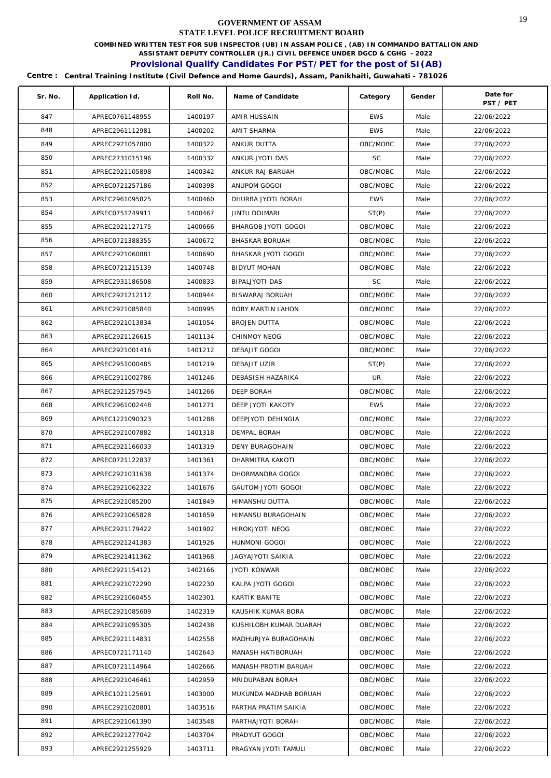**COMBINED WRITTEN TEST FOR SUB INSPECTOR (UB) IN ASSAM POLICE , (AB) IN COMMANDO BATTALION AND** 

**ASSISTANT DEPUTY CONTROLLER (JR.) CIVIL DEFENCE UNDER DGCD & CGHG - 2022** 

# **Provisional Qualify Candidates For PST/PET for the post of SI(AB)**

| Sr. No. | Application Id. | Roll No. | Name of Candidate         | Category   | Gender | Date for<br>PST / PET |
|---------|-----------------|----------|---------------------------|------------|--------|-----------------------|
| 847     | APREC0761148955 | 1400197  | AMIR HUSSAIN              | <b>EWS</b> | Male   | 22/06/2022            |
| 848     | APREC2961112981 | 1400202  | AMIT SHARMA               | <b>EWS</b> | Male   | 22/06/2022            |
| 849     | APREC2921057800 | 1400322  | ANKUR DUTTA               | OBC/MOBC   | Male   | 22/06/2022            |
| 850     | APREC2731015196 | 1400332  | ANKUR JYOTI DAS           | <b>SC</b>  | Male   | 22/06/2022            |
| 851     | APREC2921105898 | 1400342  | ANKUR RAJ BARUAH          | OBC/MOBC   | Male   | 22/06/2022            |
| 852     | APREC0721257186 | 1400398  | ANUPOM GOGOI              | OBC/MOBC   | Male   | 22/06/2022            |
| 853     | APREC2961095825 | 1400460  | DHURBA JYOTI BORAH        | <b>EWS</b> | Male   | 22/06/2022            |
| 854     | APREC0751249911 | 1400467  | <b>JINTU DOIMARI</b>      | ST(P)      | Male   | 22/06/2022            |
| 855     | APREC2921127175 | 1400666  | BHARGOB JYOTI GOGOI       | OBC/MOBC   | Male   | 22/06/2022            |
| 856     | APREC0721388355 | 1400672  | <b>BHASKAR BORUAH</b>     | OBC/MOBC   | Male   | 22/06/2022            |
| 857     | APREC2921060881 | 1400690  | BHASKAR JYOTI GOGOI       | OBC/MOBC   | Male   | 22/06/2022            |
| 858     | APREC0721215139 | 1400748  | <b>BIDYUT MOHAN</b>       | OBC/MOBC   | Male   | 22/06/2022            |
| 859     | APREC2931186508 | 1400833  | BIPALJYOTI DAS            | <b>SC</b>  | Male   | 22/06/2022            |
| 860     | APREC2921212112 | 1400944  | BISWARAJ BORUAH           | OBC/MOBC   | Male   | 22/06/2022            |
| 861     | APREC2921085840 | 1400995  | BOBY MARTIN LAHON         | OBC/MOBC   | Male   | 22/06/2022            |
| 862     | APREC2921013834 | 1401054  | <b>BROJEN DUTTA</b>       | OBC/MOBC   | Male   | 22/06/2022            |
| 863     | APREC2921126615 | 1401134  | CHINMOY NEOG              | OBC/MOBC   | Male   | 22/06/2022            |
| 864     | APREC2921001416 | 1401212  | DEBAJIT GOGOI             | OBC/MOBC   | Male   | 22/06/2022            |
| 865     | APREC2951000485 | 1401219  | DEBAJIT UZIR              | ST(P)      | Male   | 22/06/2022            |
| 866     | APREC2911002786 | 1401246  | DEBASISH HAZARIKA         | UR         | Male   | 22/06/2022            |
| 867     | APREC2921257945 | 1401266  | DEEP BORAH                | OBC/MOBC   | Male   | 22/06/2022            |
| 868     | APREC2961002448 | 1401271  | DEEP JYOTI KAKOTY         | <b>EWS</b> | Male   | 22/06/2022            |
| 869     | APREC1221090323 | 1401288  | DEEPJYOTI DEHINGIA        | OBC/MOBC   | Male   | 22/06/2022            |
| 870     | APREC2921007882 | 1401318  | DEMPAL BORAH              | OBC/MOBC   | Male   | 22/06/2022            |
| 871     | APREC2921166033 | 1401319  | DENY BURAGOHAIN           | OBC/MOBC   | Male   | 22/06/2022            |
| 872     | APREC0721122837 | 1401361  | DHARMITRA KAKOTI          | OBC/MOBC   | Male   | 22/06/2022            |
| 873     | APREC2921031638 | 1401374  | DHORMANDRA GOGOI          | OBC/MOBC   | Male   | 22/06/2022            |
| 874     | APREC2921062322 | 1401676  | <b>GAUTOM JYOTI GOGOI</b> | OBC/MOBC   | Male   | 22/06/2022            |
| 875     | APREC2921085200 | 1401849  | HIMANSHU DUTTA            | OBC/MOBC   | Male   | 22/06/2022            |
| 876     | APREC2921065828 | 1401859  | HIMANSU BURAGOHAIN        | OBC/MOBC   | Male   | 22/06/2022            |
| 877     | APREC2921179422 | 1401902  | HIROKJYOTI NEOG           | OBC/MOBC   | Male   | 22/06/2022            |
| 878     | APREC2921241383 | 1401926  | HUNMONI GOGOI             | OBC/MOBC   | Male   | 22/06/2022            |
| 879     | APREC2921411362 | 1401968  | JAGYAJYOTI SAIKIA         | OBC/MOBC   | Male   | 22/06/2022            |
| 880     | APREC2921154121 | 1402166  | <b>JYOTI KONWAR</b>       | OBC/MOBC   | Male   | 22/06/2022            |
| 881     | APREC2921072290 | 1402230  | KALPA JYOTI GOGOI         | OBC/MOBC   | Male   | 22/06/2022            |
| 882     | APREC2921060455 | 1402301  | KARTIK BANITE             | OBC/MOBC   | Male   | 22/06/2022            |
| 883     | APREC2921085609 | 1402319  | KAUSHIK KUMAR BORA        | OBC/MOBC   | Male   | 22/06/2022            |
| 884     | APREC2921095305 | 1402438  | KUSHILOBH KUMAR DUARAH    | OBC/MOBC   | Male   | 22/06/2022            |
| 885     | APREC2921114831 | 1402558  | MADHURJYA BURAGOHAIN      | OBC/MOBC   | Male   | 22/06/2022            |
| 886     | APREC0721171140 | 1402643  | MANASH HATIBORUAH         | OBC/MOBC   | Male   | 22/06/2022            |
| 887     | APREC0721114964 | 1402666  | MANASH PROTIM BARUAH      | OBC/MOBC   | Male   | 22/06/2022            |
| 888     | APREC2921046461 | 1402959  | MRIDUPABAN BORAH          | OBC/MOBC   | Male   | 22/06/2022            |
| 889     | APREC1021125691 | 1403000  | MUKUNDA MADHAB BORUAH     | OBC/MOBC   | Male   | 22/06/2022            |
| 890     | APREC2921020801 | 1403516  | PARTHA PRATIM SAIKIA      | OBC/MOBC   | Male   | 22/06/2022            |
| 891     | APREC2921061390 | 1403548  | PARTHAJYOTI BORAH         | OBC/MOBC   | Male   | 22/06/2022            |
| 892     | APREC2921277042 | 1403704  | PRADYUT GOGOI             | OBC/MOBC   | Male   | 22/06/2022            |
| 893     | APREC2921255929 | 1403711  | PRAGYAN JYOTI TAMULI      | OBC/MOBC   | Male   | 22/06/2022            |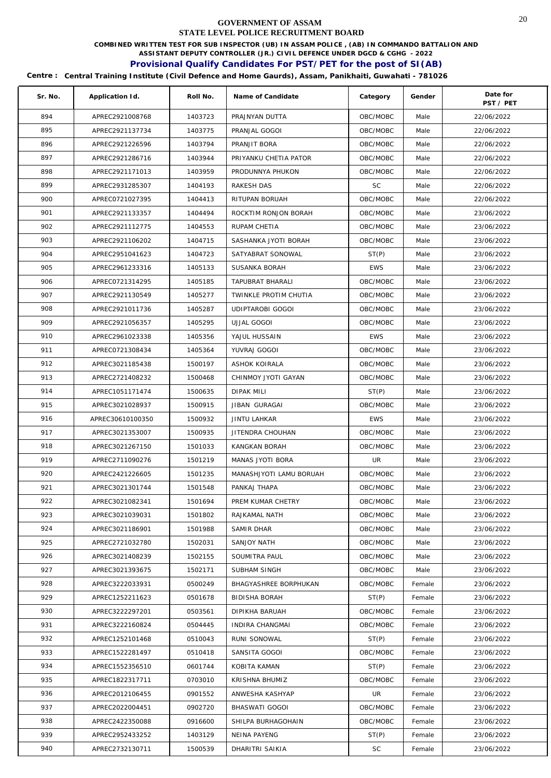**COMBINED WRITTEN TEST FOR SUB INSPECTOR (UB) IN ASSAM POLICE , (AB) IN COMMANDO BATTALION AND** 

**ASSISTANT DEPUTY CONTROLLER (JR.) CIVIL DEFENCE UNDER DGCD & CGHG - 2022** 

# **Provisional Qualify Candidates For PST/PET for the post of SI(AB)**

| Sr. No. | Application Id.  | Roll No. | Name of Candidate       | Category   | Gender | Date for<br>PST / PET |
|---------|------------------|----------|-------------------------|------------|--------|-----------------------|
| 894     | APREC2921008768  | 1403723  | PRAJNYAN DUTTA          | OBC/MOBC   | Male   | 22/06/2022            |
| 895     | APREC2921137734  | 1403775  | PRANJAL GOGOI           | OBC/MOBC   | Male   | 22/06/2022            |
| 896     | APREC2921226596  | 1403794  | PRANJIT BORA            | OBC/MOBC   | Male   | 22/06/2022            |
| 897     | APREC2921286716  | 1403944  | PRIYANKU CHETIA PATOR   | OBC/MOBC   | Male   | 22/06/2022            |
| 898     | APREC2921171013  | 1403959  | PRODUNNYA PHUKON        | OBC/MOBC   | Male   | 22/06/2022            |
| 899     | APREC2931285307  | 1404193  | RAKESH DAS              | <b>SC</b>  | Male   | 22/06/2022            |
| 900     | APREC0721027395  | 1404413  | RITUPAN BORUAH          | OBC/MOBC   | Male   | 22/06/2022            |
| 901     | APREC2921133357  | 1404494  | ROCKTIM RONJON BORAH    | OBC/MOBC   | Male   | 23/06/2022            |
| 902     | APREC2921112775  | 1404553  | RUPAM CHETIA            | OBC/MOBC   | Male   | 23/06/2022            |
| 903     | APREC2921106202  | 1404715  | SASHANKA JYOTI BORAH    | OBC/MOBC   | Male   | 23/06/2022            |
| 904     | APREC2951041623  | 1404723  | SATYABRAT SONOWAL       | ST(P)      | Male   | 23/06/2022            |
| 905     | APREC2961233316  | 1405133  | SUSANKA BORAH           | <b>EWS</b> | Male   | 23/06/2022            |
| 906     | APREC0721314295  | 1405185  | <b>TAPUBRAT BHARALI</b> | OBC/MOBC   | Male   | 23/06/2022            |
| 907     | APREC2921130549  | 1405277  | TWINKLE PROTIM CHUTIA   | OBC/MOBC   | Male   | 23/06/2022            |
| 908     | APREC2921011736  | 1405287  | <b>UDIPTAROBI GOGOI</b> | OBC/MOBC   | Male   | 23/06/2022            |
| 909     | APREC2921056357  | 1405295  | UJJAL GOGOI             | OBC/MOBC   | Male   | 23/06/2022            |
| 910     | APREC2961023338  | 1405356  | YAJUL HUSSAIN           | <b>EWS</b> | Male   | 23/06/2022            |
| 911     | APREC0721308434  | 1405364  | YUVRAJ GOGOI            | OBC/MOBC   | Male   | 23/06/2022            |
| 912     | APREC3021185438  | 1500197  | ASHOK KOIRALA           | OBC/MOBC   | Male   | 23/06/2022            |
| 913     | APREC2721408232  | 1500468  | CHINMOY JYOTI GAYAN     | OBC/MOBC   | Male   | 23/06/2022            |
| 914     | APREC1051171474  | 1500635  | <b>DIPAK MILI</b>       | ST(P)      | Male   | 23/06/2022            |
| 915     | APREC3021028937  | 1500915  | JIBAN GURAGAI           | OBC/MOBC   | Male   | 23/06/2022            |
| 916     | APREC30610100350 | 1500932  | <b>JINTU LAHKAR</b>     | <b>EWS</b> | Male   | 23/06/2022            |
| 917     | APREC3021353007  | 1500935  | JITENDRA CHOUHAN        | OBC/MOBC   | Male   | 23/06/2022            |
| 918     | APREC3021267150  | 1501033  | KANGKAN BORAH           | OBC/MOBC   | Male   | 23/06/2022            |
| 919     | APREC2711090276  | 1501219  | MANAS JYOTI BORA        | UR         | Male   | 23/06/2022            |
| 920     | APREC2421226605  | 1501235  | MANASHJYOTI LAMU BORUAH | OBC/MOBC   | Male   | 23/06/2022            |
| 921     | APREC3021301744  | 1501548  | PANKAJ THAPA            | OBC/MOBC   | Male   | 23/06/2022            |
| 922     | APREC3021082341  | 1501694  | PREM KUMAR CHETRY       | OBC/MOBC   | Male   | 23/06/2022            |
| 923     | APREC3021039031  | 1501802  | RAJKAMAL NATH           | OBC/MOBC   | Male   | 23/06/2022            |
| 924     | APREC3021186901  | 1501988  | SAMIR DHAR              | OBC/MOBC   | Male   | 23/06/2022            |
| 925     | APREC2721032780  | 1502031  | SANJOY NATH             | OBC/MOBC   | Male   | 23/06/2022            |
| 926     | APREC3021408239  | 1502155  | SOUMITRA PAUL           | OBC/MOBC   | Male   | 23/06/2022            |
| 927     | APREC3021393675  | 1502171  | SUBHAM SINGH            | OBC/MOBC   | Male   | 23/06/2022            |
| 928     | APREC3222033931  | 0500249  | BHAGYASHREE BORPHUKAN   | OBC/MOBC   | Female | 23/06/2022            |
| 929     | APREC1252211623  | 0501678  | <b>BIDISHA BORAH</b>    | ST(P)      | Female | 23/06/2022            |
| 930     | APREC3222297201  | 0503561  | DIPIKHA BARUAH          | OBC/MOBC   | Female | 23/06/2022            |
| 931     | APREC3222160824  | 0504445  | INDIRA CHANGMAI         | OBC/MOBC   | Female | 23/06/2022            |
| 932     | APREC1252101468  | 0510043  | RUNI SONOWAL            | ST(P)      | Female | 23/06/2022            |
| 933     | APREC1522281497  | 0510418  | SANSITA GOGOI           | OBC/MOBC   | Female | 23/06/2022            |
| 934     | APREC1552356510  | 0601744  | KOBITA KAMAN            | ST(P)      | Female | 23/06/2022            |
| 935     | APREC1822317711  | 0703010  | KRISHNA BHUMIZ          | OBC/MOBC   | Female | 23/06/2022            |
| 936     | APREC2012106455  | 0901552  | ANWESHA KASHYAP         | UR         | Female | 23/06/2022            |
| 937     | APREC2022004451  | 0902720  | BHASWATI GOGOI          | OBC/MOBC   | Female | 23/06/2022            |
| 938     | APREC2422350088  | 0916600  | SHILPA BURHAGOHAIN      | OBC/MOBC   | Female | 23/06/2022            |
| 939     | APREC2952433252  | 1403129  | NEINA PAYENG            | ST(P)      | Female | 23/06/2022            |
| 940     | APREC2732130711  | 1500539  | DHARITRI SAIKIA         | SC         | Female | 23/06/2022            |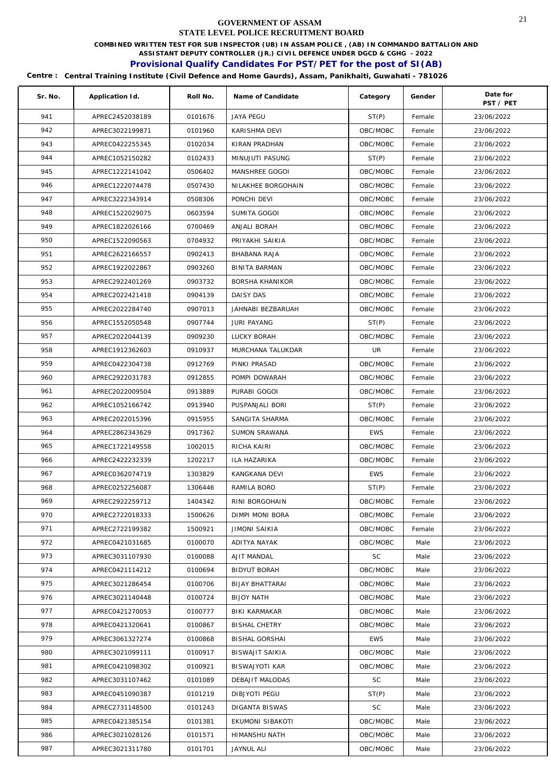**COMBINED WRITTEN TEST FOR SUB INSPECTOR (UB) IN ASSAM POLICE , (AB) IN COMMANDO BATTALION AND** 

**ASSISTANT DEPUTY CONTROLLER (JR.) CIVIL DEFENCE UNDER DGCD & CGHG - 2022** 

# **Provisional Qualify Candidates For PST/PET for the post of SI(AB)**

| Sr. No. | Application Id. | Roll No. | Name of Candidate      | Category   | Gender | Date for<br>PST / PET |
|---------|-----------------|----------|------------------------|------------|--------|-----------------------|
| 941     | APREC2452038189 | 0101676  | <b>JAYA PEGU</b>       | ST(P)      | Female | 23/06/2022            |
| 942     | APREC3022199871 | 0101960  | KARISHMA DEVI          | OBC/MOBC   | Female | 23/06/2022            |
| 943     | APREC0422255345 | 0102034  | KIRAN PRADHAN          | OBC/MOBC   | Female | 23/06/2022            |
| 944     | APREC1052150282 | 0102433  | MINUJUTI PASUNG        | ST(P)      | Female | 23/06/2022            |
| 945     | APREC1222141042 | 0506402  | MANSHREE GOGOI         | OBC/MOBC   | Female | 23/06/2022            |
| 946     | APREC1222074478 | 0507430  | NILAKHEE BORGOHAIN     | OBC/MOBC   | Female | 23/06/2022            |
| 947     | APREC3222343914 | 0508306  | PONCHI DEVI            | OBC/MOBC   | Female | 23/06/2022            |
| 948     | APREC1522029075 | 0603594  | SUMITA GOGOI           | OBC/MOBC   | Female | 23/06/2022            |
| 949     | APREC1822026166 | 0700469  | ANJALI BORAH           | OBC/MOBC   | Female | 23/06/2022            |
| 950     | APREC1522090563 | 0704932  | PRIYAKHI SAIKIA        | OBC/MOBC   | Female | 23/06/2022            |
| 951     | APREC2622166557 | 0902413  | BHABANA RAJA           | OBC/MOBC   | Female | 23/06/2022            |
| 952     | APREC1922022867 | 0903260  | <b>BINITA BARMAN</b>   | OBC/MOBC   | Female | 23/06/2022            |
| 953     | APREC2922401269 | 0903732  | BORSHA KHANIKOR        | OBC/MOBC   | Female | 23/06/2022            |
| 954     | APREC2022421418 | 0904139  | DAISY DAS              | OBC/MOBC   | Female | 23/06/2022            |
| 955     | APREC2022284740 | 0907013  | JAHNABI BEZBARUAH      | OBC/MOBC   | Female | 23/06/2022            |
| 956     | APREC1552050548 | 0907744  | <b>JURI PAYANG</b>     | ST(P)      | Female | 23/06/2022            |
| 957     | APREC2022044139 | 0909230  | LUCKY BORAH            | OBC/MOBC   | Female | 23/06/2022            |
| 958     | APREC1912362603 | 0910937  | MURCHANA TALUKDAR      | UR         | Female | 23/06/2022            |
| 959     | APREC0422304738 | 0912769  | PINKI PRASAD           | OBC/MOBC   | Female | 23/06/2022            |
| 960     | APREC2922031783 | 0912855  | POMPI DOWARAH          | OBC/MOBC   | Female | 23/06/2022            |
| 961     | APREC2022009504 | 0913889  | PURABI GOGOI           | OBC/MOBC   | Female | 23/06/2022            |
| 962     | APREC1052166742 | 0913940  | PUSPANJALI BORI        | ST(P)      | Female | 23/06/2022            |
| 963     | APREC2022015396 | 0915955  | SANGITA SHARMA         | OBC/MOBC   | Female | 23/06/2022            |
| 964     | APREC2862343629 | 0917362  | <b>SUMON SRAWANA</b>   | <b>EWS</b> | Female | 23/06/2022            |
| 965     | APREC1722149558 | 1002015  | RICHA KAIRI            | OBC/MOBC   | Female | 23/06/2022            |
| 966     | APREC2422232339 | 1202217  | ILA HAZARIKA           | OBC/MOBC   | Female | 23/06/2022            |
| 967     | APREC0362074719 | 1303829  | KANGKANA DEVI          | EWS        | Female | 23/06/2022            |
| 968     | APREC0252256087 | 1306446  | RAMILA BORO            | ST(P)      | Female | 23/06/2022            |
| 969     | APREC2922259712 | 1404342  | RINI BORGOHAIN         | OBC/MOBC   | Female | 23/06/2022            |
| 970     | APREC2722018333 | 1500626  | DIMPI MONI BORA        | OBC/MOBC   | Female | 23/06/2022            |
| 971     | APREC2722199382 | 1500921  | JIMONI SAIKIA          | OBC/MOBC   | Female | 23/06/2022            |
| 972     | APREC0421031685 | 0100070  | ADITYA NAYAK           | OBC/MOBC   | Male   | 23/06/2022            |
| 973     | APREC3031107930 | 0100088  | AJIT MANDAL            | SC         | Male   | 23/06/2022            |
| 974     | APREC0421114212 | 0100694  | <b>BIDYUT BORAH</b>    | OBC/MOBC   | Male   | 23/06/2022            |
| 975     | APREC3021286454 | 0100706  | <b>BIJAY BHATTARAI</b> | OBC/MOBC   | Male   | 23/06/2022            |
| 976     | APREC3021140448 | 0100724  | <b>BIJOY NATH</b>      | OBC/MOBC   | Male   | 23/06/2022            |
| 977     | APREC0421270053 | 0100777  | <b>BIKI KARMAKAR</b>   | OBC/MOBC   | Male   | 23/06/2022            |
| 978     | APREC0421320641 | 0100867  | <b>BISHAL CHETRY</b>   | OBC/MOBC   | Male   | 23/06/2022            |
| 979     | APREC3061327274 | 0100868  | BISHAL GORSHAI         | <b>EWS</b> | Male   | 23/06/2022            |
| 980     | APREC3021099111 | 0100917  | BISWAJIT SAIKIA        | OBC/MOBC   | Male   | 23/06/2022            |
| 981     | APREC0421098302 | 0100921  | BISWAJYOTI KAR         | OBC/MOBC   | Male   | 23/06/2022            |
| 982     | APREC3031107462 | 0101089  | DEBAJIT MALODAS        | SC         | Male   | 23/06/2022            |
| 983     | APREC0451090387 | 0101219  | DIBJYOTI PEGU          | ST(P)      | Male   | 23/06/2022            |
| 984     | APREC2731148500 | 0101243  | DIGANTA BISWAS         | SC.        | Male   | 23/06/2022            |
| 985     | APREC0421385154 | 0101381  | EKUMONI SIBAKOTI       | OBC/MOBC   | Male   | 23/06/2022            |
| 986     | APREC3021028126 | 0101571  | HIMANSHU NATH          | OBC/MOBC   | Male   | 23/06/2022            |
| 987     | APREC3021311780 | 0101701  | JAYNUL ALI             | OBC/MOBC   | Male   | 23/06/2022            |
|         |                 |          |                        |            |        |                       |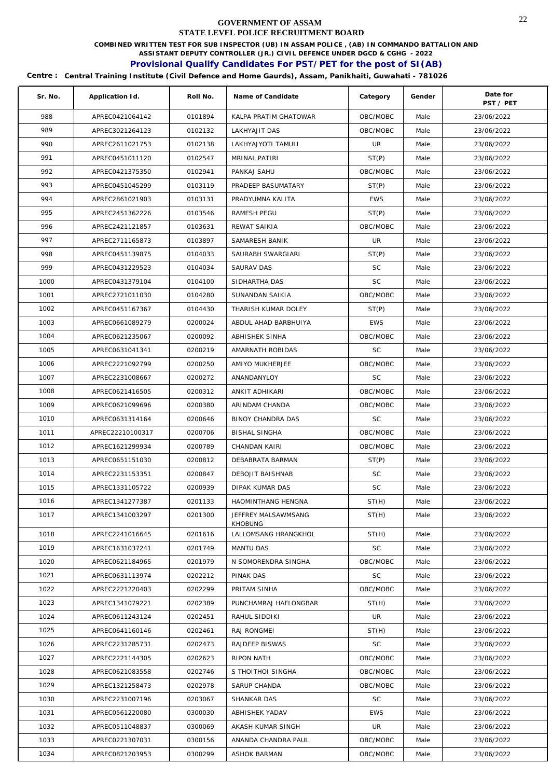**COMBINED WRITTEN TEST FOR SUB INSPECTOR (UB) IN ASSAM POLICE , (AB) IN COMMANDO BATTALION AND** 

**ASSISTANT DEPUTY CONTROLLER (JR.) CIVIL DEFENCE UNDER DGCD & CGHG - 2022** 

# **Provisional Qualify Candidates For PST/PET for the post of SI(AB)**

| Sr. No. | Application Id.  | Roll No. | Name of Candidate      | Category   | Gender | Date for<br>PST / PET |
|---------|------------------|----------|------------------------|------------|--------|-----------------------|
| 988     | APREC0421064142  | 0101894  | KALPA PRATIM GHATOWAR  | OBC/MOBC   | Male   | 23/06/2022            |
| 989     | APREC3021264123  | 0102132  | LAKHYAJIT DAS          | OBC/MOBC   | Male   | 23/06/2022            |
| 990     | APREC2611021753  | 0102138  | LAKHYAJYOTI TAMULI     | UR         | Male   | 23/06/2022            |
| 991     | APREC0451011120  | 0102547  | MRINAL PATIRI          | ST(P)      | Male   | 23/06/2022            |
| 992     | APREC0421375350  | 0102941  | PANKAJ SAHU            | OBC/MOBC   | Male   | 23/06/2022            |
| 993     | APREC0451045299  | 0103119  | PRADEEP BASUMATARY     | ST(P)      | Male   | 23/06/2022            |
| 994     | APREC2861021903  | 0103131  | PRADYUMNA KALITA       | <b>EWS</b> | Male   | 23/06/2022            |
| 995     | APREC2451362226  | 0103546  | RAMESH PEGU            | ST(P)      | Male   | 23/06/2022            |
| 996     | APREC2421121857  | 0103631  | REWAT SAIKIA           | OBC/MOBC   | Male   | 23/06/2022            |
| 997     | APREC2711165873  | 0103897  | SAMARESH BANIK         | UR         | Male   | 23/06/2022            |
| 998     | APREC0451139875  | 0104033  | SAURABH SWARGIARI      | ST(P)      | Male   | 23/06/2022            |
| 999     | APREC0431229523  | 0104034  | <b>SAURAV DAS</b>      | <b>SC</b>  | Male   | 23/06/2022            |
| 1000    | APREC0431379104  | 0104100  | SIDHARTHA DAS          | <b>SC</b>  | Male   | 23/06/2022            |
| 1001    | APREC2721011030  | 0104280  | SUNANDAN SAIKIA        | OBC/MOBC   | Male   | 23/06/2022            |
| 1002    | APREC0451167367  | 0104430  | THARISH KUMAR DOLEY    | ST(P)      | Male   | 23/06/2022            |
| 1003    | APREC0661089279  | 0200024  | ABDUL AHAD BARBHUIYA   | <b>EWS</b> | Male   | 23/06/2022            |
| 1004    | APREC0621235067  | 0200092  | ABHISHEK SINHA         | OBC/MOBC   | Male   | 23/06/2022            |
| 1005    | APREC0631041341  | 0200219  | AMARNATH ROBIDAS       | <b>SC</b>  | Male   | 23/06/2022            |
| 1006    | APREC2221092799  | 0200250  | AMIYO MUKHERJEE        | OBC/MOBC   | Male   | 23/06/2022            |
| 1007    | APREC2231008667  | 0200272  | ANANDANYLOY            | SC         | Male   | 23/06/2022            |
| 1008    | APREC0621416505  | 0200312  | ANKIT ADHIKARI         | OBC/MOBC   | Male   | 23/06/2022            |
| 1009    | APREC0621099696  | 0200380  | ARINDAM CHANDA         | OBC/MOBC   | Male   | 23/06/2022            |
| 1010    | APREC0631314164  | 0200646  | BINOY CHANDRA DAS      | <b>SC</b>  | Male   | 23/06/2022            |
| 1011    | APREC22210100317 | 0200706  | <b>BISHAL SINGHA</b>   | OBC/MOBC   | Male   | 23/06/2022            |
| 1012    | APREC1621299934  | 0200789  | CHANDAN KAIRI          | OBC/MOBC   | Male   | 23/06/2022            |
| 1013    | APREC0651151030  | 0200812  | DEBABRATA BARMAN       | ST(P)      | Male   | 23/06/2022            |
| 1014    | APREC2231153351  | 0200847  | DEBOJIT BAISHNAB       | <b>SC</b>  | Male   | 23/06/2022            |
| 1015    | APREC1331105722  | 0200939  | <b>DIPAK KUMAR DAS</b> | SC         | Male   | 23/06/2022            |
| 1016    | APREC1341277387  | 0201133  | HAOMINTHANG HENGNA     | ST(H)      | Male   | 23/06/2022            |
| 1017    | APREC1341003297  | 0201300  | JEFFREY MALSAWMSANG    | ST(H)      | Male   | 23/06/2022            |
|         |                  |          | <b>KHOBUNG</b>         |            |        |                       |
| 1018    | APREC2241016645  | 0201616  | LALLOMSANG HRANGKHOL   | ST(H)      | Male   | 23/06/2022            |
| 1019    | APREC1631037241  | 0201749  | <b>MANTU DAS</b>       | SC         | Male   | 23/06/2022            |
| 1020    | APREC0621184965  | 0201979  | N SOMORENDRA SINGHA    | OBC/MOBC   | Male   | 23/06/2022            |
| 1021    | APREC0631113974  | 0202212  | PINAK DAS              | SC         | Male   | 23/06/2022            |
| 1022    | APREC2221220403  | 0202299  | PRITAM SINHA           | OBC/MOBC   | Male   | 23/06/2022            |
| 1023    | APREC1341079221  | 0202389  | PUNCHAMRAJ HAFLONGBAR  | ST(H)      | Male   | 23/06/2022            |
| 1024    | APREC0611243124  | 0202451  | RAHUL SIDDIKI          | UR         | Male   | 23/06/2022            |
| 1025    | APREC0641160146  | 0202461  | RAJ RONGMEI            | ST(H)      | Male   | 23/06/2022            |
| 1026    | APREC2231285731  | 0202473  | RAJDEEP BISWAS         | SC         | Male   | 23/06/2022            |
| 1027    | APREC2221144305  | 0202623  | RIPON NATH             | OBC/MOBC   | Male   | 23/06/2022            |
| 1028    | APREC0621083558  | 0202746  | S THOITHOI SINGHA      | OBC/MOBC   | Male   | 23/06/2022            |
| 1029    | APREC1321258473  | 0202978  | SARUP CHANDA           | OBC/MOBC   | Male   | 23/06/2022            |
| 1030    | APREC2231007196  | 0203067  | SHANKAR DAS            | <b>SC</b>  | Male   | 23/06/2022            |
| 1031    | APREC0561220080  | 0300030  | ABHISHEK YADAV         | <b>EWS</b> | Male   | 23/06/2022            |
| 1032    | APREC0511048837  | 0300069  | AKASH KUMAR SINGH      | UR         | Male   | 23/06/2022            |
| 1033    | APREC0221307031  | 0300156  | ANANDA CHANDRA PAUL    | OBC/MOBC   | Male   | 23/06/2022            |
| 1034    | APREC0821203953  | 0300299  | ASHOK BARMAN           | OBC/MOBC   | Male   | 23/06/2022            |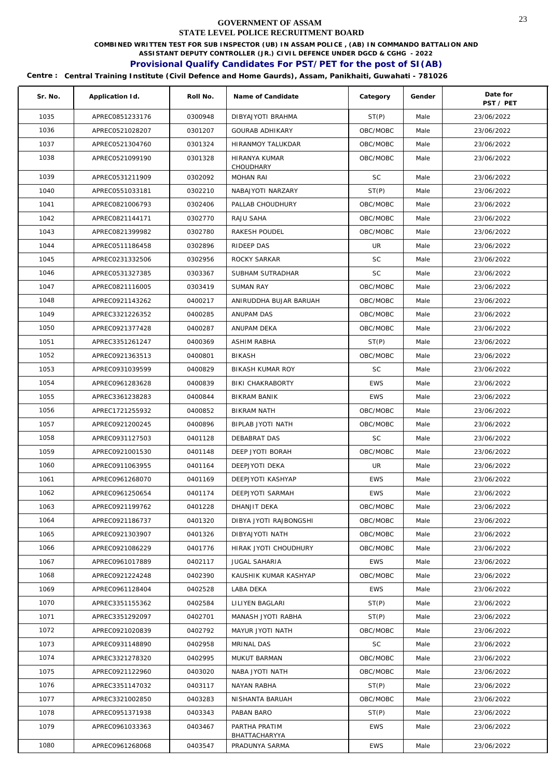**COMBINED WRITTEN TEST FOR SUB INSPECTOR (UB) IN ASSAM POLICE , (AB) IN COMMANDO BATTALION AND** 

**ASSISTANT DEPUTY CONTROLLER (JR.) CIVIL DEFENCE UNDER DGCD & CGHG - 2022** 

# **Provisional Qualify Candidates For PST/PET for the post of SI(AB)**

| Sr. No. | Application Id. | Roll No. | Name of Candidate                 | Category   | Gender | Date for<br>PST / PET |
|---------|-----------------|----------|-----------------------------------|------------|--------|-----------------------|
| 1035    | APREC0851233176 | 0300948  | DIBYAJYOTI BRAHMA                 | ST(P)      | Male   | 23/06/2022            |
| 1036    | APREC0521028207 | 0301207  | <b>GOURAB ADHIKARY</b>            | OBC/MOBC   | Male   | 23/06/2022            |
| 1037    | APREC0521304760 | 0301324  | HIRANMOY TALUKDAR                 | OBC/MOBC   | Male   | 23/06/2022            |
| 1038    | APREC0521099190 | 0301328  | <b>HIRANYA KUMAR</b><br>CHOUDHARY | OBC/MOBC   | Male   | 23/06/2022            |
| 1039    | APREC0531211909 | 0302092  | <b>MOHAN RAI</b>                  | <b>SC</b>  | Male   | 23/06/2022            |
| 1040    | APREC0551033181 | 0302210  | NABAJYOTI NARZARY                 | ST(P)      | Male   | 23/06/2022            |
| 1041    | APREC0821006793 | 0302406  | PALLAB CHOUDHURY                  | OBC/MOBC   | Male   | 23/06/2022            |
| 1042    | APREC0821144171 | 0302770  | RAJU SAHA                         | OBC/MOBC   | Male   | 23/06/2022            |
| 1043    | APREC0821399982 | 0302780  | RAKESH POUDEL                     | OBC/MOBC   | Male   | 23/06/2022            |
| 1044    | APREC0511186458 | 0302896  | RIDEEP DAS                        | <b>UR</b>  | Male   | 23/06/2022            |
| 1045    | APREC0231332506 | 0302956  | ROCKY SARKAR                      | <b>SC</b>  | Male   | 23/06/2022            |
| 1046    | APREC0531327385 | 0303367  | SUBHAM SUTRADHAR                  | <b>SC</b>  | Male   | 23/06/2022            |
| 1047    | APREC0821116005 | 0303419  | <b>SUMAN RAY</b>                  | OBC/MOBC   | Male   | 23/06/2022            |
| 1048    | APREC0921143262 | 0400217  | ANIRUDDHA BUJAR BARUAH            | OBC/MOBC   | Male   | 23/06/2022            |
| 1049    | APREC3321226352 | 0400285  | ANUPAM DAS                        | OBC/MOBC   | Male   | 23/06/2022            |
| 1050    | APREC0921377428 | 0400287  | ANUPAM DEKA                       | OBC/MOBC   | Male   | 23/06/2022            |
| 1051    | APREC3351261247 | 0400369  | <b>ASHIM RABHA</b>                | ST(P)      | Male   | 23/06/2022            |
| 1052    | APREC0921363513 | 0400801  | <b>BIKASH</b>                     | OBC/MOBC   | Male   | 23/06/2022            |
| 1053    | APREC0931039599 | 0400829  | <b>BIKASH KUMAR ROY</b>           | SC         | Male   | 23/06/2022            |
| 1054    | APREC0961283628 | 0400839  | BIKI CHAKRABORTY                  | <b>EWS</b> | Male   | 23/06/2022            |
| 1055    | APREC3361238283 | 0400844  | <b>BIKRAM BANIK</b>               | <b>EWS</b> | Male   | 23/06/2022            |
| 1056    | APREC1721255932 | 0400852  | <b>BIKRAM NATH</b>                | OBC/MOBC   | Male   | 23/06/2022            |
| 1057    | APREC0921200245 | 0400896  | BIPLAB JYOTI NATH                 | OBC/MOBC   | Male   | 23/06/2022            |
| 1058    | APREC0931127503 | 0401128  | DEBABRAT DAS                      | <b>SC</b>  | Male   | 23/06/2022            |
| 1059    | APREC0921001530 | 0401148  | DEEP JYOTI BORAH                  | OBC/MOBC   | Male   | 23/06/2022            |
| 1060    | APREC0911063955 | 0401164  | <b>DEEPJYOTI DEKA</b>             | UR         | Male   | 23/06/2022            |
| 1061    | APREC0961268070 | 0401169  | DEEPJYOTI KASHYAP                 | <b>EWS</b> | Male   | 23/06/2022            |
| 1062    | APREC0961250654 | 0401174  | <b>DEEPJYOTI SARMAH</b>           | <b>EWS</b> | Male   | 23/06/2022            |
| 1063    | APREC0921199762 | 0401228  | DHANJIT DEKA                      | OBC/MOBC   | Male   | 23/06/2022            |
| 1064    | APREC0921186737 | 0401320  | DIBYA JYOTI RAJBONGSHI            | OBC/MOBC   | Male   | 23/06/2022            |
| 1065    | APREC0921303907 | 0401326  | DIBYAJYOTI NATH                   | OBC/MOBC   | Male   | 23/06/2022            |
| 1066    | APREC0921086229 | 0401776  | HIRAK JYOTI CHOUDHURY             | OBC/MOBC   | Male   | 23/06/2022            |
| 1067    | APREC0961017889 | 0402117  | <b>JUGAL SAHARIA</b>              | <b>EWS</b> | Male   | 23/06/2022            |
| 1068    | APREC0921224248 | 0402390  | KAUSHIK KUMAR KASHYAP             | OBC/MOBC   | Male   | 23/06/2022            |
| 1069    | APREC0961128404 | 0402528  | LABA DEKA                         | <b>EWS</b> | Male   | 23/06/2022            |
| 1070    | APREC3351155362 | 0402584  | LILIYEN BAGLARI                   | ST(P)      | Male   | 23/06/2022            |
| 1071    | APREC3351292097 | 0402701  | MANASH JYOTI RABHA                | ST(P)      | Male   | 23/06/2022            |
| 1072    | APREC0921020839 | 0402792  | MAYUR JYOTI NATH                  | OBC/MOBC   | Male   | 23/06/2022            |
| 1073    | APREC0931148890 | 0402958  | MRINAL DAS                        | SC         | Male   | 23/06/2022            |
| 1074    | APREC3321278320 | 0402995  | MUKUT BARMAN                      | OBC/MOBC   | Male   | 23/06/2022            |
| 1075    | APREC0921122960 | 0403020  | NABA JYOTI NATH                   | OBC/MOBC   | Male   | 23/06/2022            |
| 1076    | APREC3351147032 | 0403117  | NAYAN RABHA                       | ST(P)      | Male   | 23/06/2022            |
| 1077    | APREC3321002850 | 0403283  | NISHANTA BARUAH                   | OBC/MOBC   | Male   | 23/06/2022            |
| 1078    | APREC0951371938 | 0403343  | PABAN BARO                        | ST(P)      | Male   | 23/06/2022            |
| 1079    | APREC0961033363 | 0403467  | PARTHA PRATIM<br>BHATTACHARYYA    | <b>EWS</b> | Male   | 23/06/2022            |
| 1080    | APREC0961268068 | 0403547  | PRADUNYA SARMA                    | <b>EWS</b> | Male   | 23/06/2022            |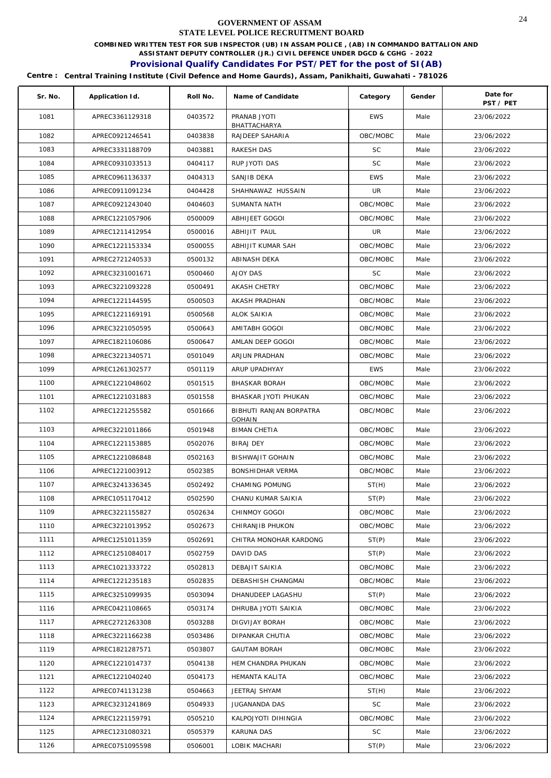**COMBINED WRITTEN TEST FOR SUB INSPECTOR (UB) IN ASSAM POLICE , (AB) IN COMMANDO BATTALION AND** 

**ASSISTANT DEPUTY CONTROLLER (JR.) CIVIL DEFENCE UNDER DGCD & CGHG - 2022** 

# **Provisional Qualify Candidates For PST/PET for the post of SI(AB)**

| Sr. No. | Application Id. | Roll No. | Name of Candidate                        | Category   | Gender | Date for<br>PST / PET |
|---------|-----------------|----------|------------------------------------------|------------|--------|-----------------------|
| 1081    | APREC3361129318 | 0403572  | PRANAB JYOTI<br>BHATTACHARYA             | <b>EWS</b> | Male   | 23/06/2022            |
| 1082    | APREC0921246541 | 0403838  | RAJDEEP SAHARIA                          | OBC/MOBC   | Male   | 23/06/2022            |
| 1083    | APREC3331188709 | 0403881  | RAKESH DAS                               | SC         | Male   | 23/06/2022            |
| 1084    | APREC0931033513 | 0404117  | RUP JYOTI DAS                            | <b>SC</b>  | Male   | 23/06/2022            |
| 1085    | APREC0961136337 | 0404313  | SANJIB DEKA                              | <b>EWS</b> | Male   | 23/06/2022            |
| 1086    | APREC0911091234 | 0404428  | SHAHNAWAZ HUSSAIN                        | UR         | Male   | 23/06/2022            |
| 1087    | APREC0921243040 | 0404603  | SUMANTA NATH                             | OBC/MOBC   | Male   | 23/06/2022            |
| 1088    | APREC1221057906 | 0500009  | ABHIJEET GOGOI                           | OBC/MOBC   | Male   | 23/06/2022            |
| 1089    | APREC1211412954 | 0500016  | ABHIJIT PAUL                             | UR         | Male   | 23/06/2022            |
| 1090    | APREC1221153334 | 0500055  | ABHIJIT KUMAR SAH                        | OBC/MOBC   | Male   | 23/06/2022            |
| 1091    | APREC2721240533 | 0500132  | ABINASH DEKA                             | OBC/MOBC   | Male   | 23/06/2022            |
| 1092    | APREC3231001671 | 0500460  | AJOY DAS                                 | <b>SC</b>  | Male   | 23/06/2022            |
| 1093    | APREC3221093228 | 0500491  | <b>AKASH CHETRY</b>                      | OBC/MOBC   | Male   | 23/06/2022            |
| 1094    | APREC1221144595 | 0500503  | AKASH PRADHAN                            | OBC/MOBC   | Male   | 23/06/2022            |
| 1095    | APREC1221169191 | 0500568  | ALOK SAIKIA                              | OBC/MOBC   | Male   | 23/06/2022            |
| 1096    | APREC3221050595 | 0500643  | AMITABH GOGOI                            | OBC/MOBC   | Male   | 23/06/2022            |
| 1097    | APREC1821106086 | 0500647  | AMLAN DEEP GOGOI                         | OBC/MOBC   | Male   | 23/06/2022            |
| 1098    | APREC3221340571 | 0501049  | ARJUN PRADHAN                            | OBC/MOBC   | Male   | 23/06/2022            |
| 1099    | APREC1261302577 | 0501119  | ARUP UPADHYAY                            | <b>EWS</b> | Male   | 23/06/2022            |
| 1100    | APREC1221048602 | 0501515  | <b>BHASKAR BORAH</b>                     | OBC/MOBC   | Male   | 23/06/2022            |
| 1101    | APREC1221031883 | 0501558  | BHASKAR JYOTI PHUKAN                     | OBC/MOBC   | Male   | 23/06/2022            |
| 1102    | APREC1221255582 | 0501666  | BIBHUTI RANJAN BORPATRA<br><b>GOHAIN</b> | OBC/MOBC   | Male   | 23/06/2022            |
| 1103    | APREC3221011866 | 0501948  | <b>BIMAN CHETIA</b>                      | OBC/MOBC   | Male   | 23/06/2022            |
| 1104    | APREC1221153885 | 0502076  | <b>BIRAJ DEY</b>                         | OBC/MOBC   | Male   | 23/06/2022            |
| 1105    | APREC1221086848 | 0502163  | <b>BISHWAJIT GOHAIN</b>                  | OBC/MOBC   | Male   | 23/06/2022            |
| 1106    | APREC1221003912 | 0502385  | <b>BONSHIDHAR VERMA</b>                  | OBC/MOBC   | Male   | 23/06/2022            |
| 1107    | APREC3241336345 | 0502492  | CHAMING POMUNG                           | ST(H)      | Male   | 23/06/2022            |
| 1108    | APREC1051170412 | 0502590  | CHANU KUMAR SAIKIA                       | ST(P)      | Male   | 23/06/2022            |
| 1109    | APREC3221155827 | 0502634  | CHINMOY GOGOI                            | OBC/MOBC   | Male   | 23/06/2022            |
| 1110    | APREC3221013952 | 0502673  | CHIRANJIB PHUKON                         | OBC/MOBC   | Male   | 23/06/2022            |
| 1111    | APREC1251011359 | 0502691  | CHITRA MONOHAR KARDONG                   | ST(P)      | Male   | 23/06/2022            |
| 1112    | APREC1251084017 | 0502759  | DAVID DAS                                | ST(P)      | Male   | 23/06/2022            |
| 1113    | APREC1021333722 | 0502813  | DEBAJIT SAIKIA                           | OBC/MOBC   | Male   | 23/06/2022            |
| 1114    | APREC1221235183 | 0502835  | DEBASHISH CHANGMAI                       | OBC/MOBC   | Male   | 23/06/2022            |
| 1115    | APREC3251099935 | 0503094  | DHANUDEEP LAGASHU                        | ST(P)      | Male   | 23/06/2022            |
| 1116    | APREC0421108665 | 0503174  | DHRUBA JYOTI SAIKIA                      | OBC/MOBC   | Male   | 23/06/2022            |
| 1117    | APREC2721263308 | 0503288  | DIGVIJAY BORAH                           | OBC/MOBC   | Male   | 23/06/2022            |
| 1118    | APREC3221166238 | 0503486  | DIPANKAR CHUTIA                          | OBC/MOBC   | Male   | 23/06/2022            |
| 1119    | APREC1821287571 | 0503807  | <b>GAUTAM BORAH</b>                      | OBC/MOBC   | Male   | 23/06/2022            |
| 1120    | APREC1221014737 | 0504138  | HEM CHANDRA PHUKAN                       | OBC/MOBC   | Male   | 23/06/2022            |
| 1121    | APREC1221040240 | 0504173  | HEMANTA KALITA                           | OBC/MOBC   | Male   | 23/06/2022            |
| 1122    | APREC0741131238 | 0504663  | JEETRAJ SHYAM                            | ST(H)      | Male   | 23/06/2022            |
| 1123    | APREC3231241869 | 0504933  | JUGANANDA DAS                            | SC         | Male   | 23/06/2022            |
| 1124    | APREC1221159791 | 0505210  | KALPOJYOTI DIHINGIA                      | OBC/MOBC   | Male   | 23/06/2022            |
| 1125    | APREC1231080321 | 0505379  | KARUNA DAS                               | SC         | Male   | 23/06/2022            |
| 1126    | APREC0751095598 | 0506001  | LOBIK MACHARI                            | ST(P)      | Male   | 23/06/2022            |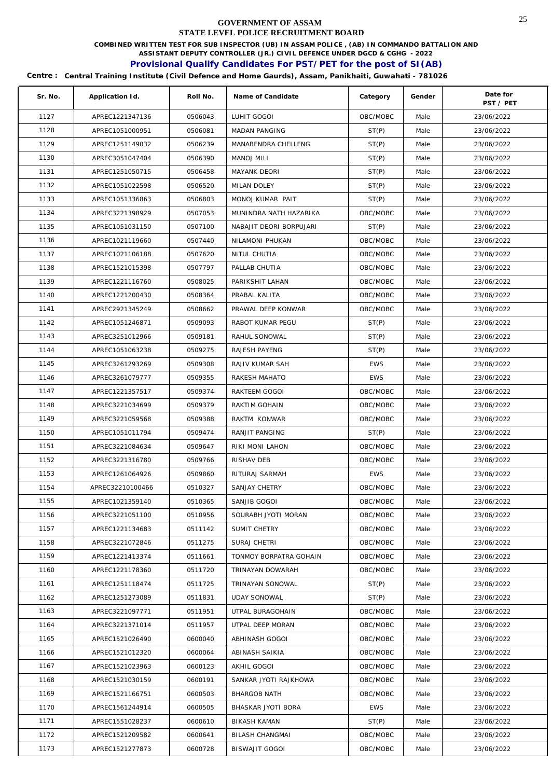**COMBINED WRITTEN TEST FOR SUB INSPECTOR (UB) IN ASSAM POLICE , (AB) IN COMMANDO BATTALION AND** 

**ASSISTANT DEPUTY CONTROLLER (JR.) CIVIL DEFENCE UNDER DGCD & CGHG - 2022** 

# **Provisional Qualify Candidates For PST/PET for the post of SI(AB)**

| Sr. No. | Application Id.  | Roll No. | Name of Candidate       | Category   | Gender | Date for<br>PST / PET |
|---------|------------------|----------|-------------------------|------------|--------|-----------------------|
| 1127    | APREC1221347136  | 0506043  | LUHIT GOGOI             | OBC/MOBC   | Male   | 23/06/2022            |
| 1128    | APREC1051000951  | 0506081  | MADAN PANGING           | ST(P)      | Male   | 23/06/2022            |
| 1129    | APREC1251149032  | 0506239  | MANABENDRA CHELLENG     | ST(P)      | Male   | 23/06/2022            |
| 1130    | APREC3051047404  | 0506390  | MANOJ MILI              | ST(P)      | Male   | 23/06/2022            |
| 1131    | APREC1251050715  | 0506458  | MAYANK DEORI            | ST(P)      | Male   | 23/06/2022            |
| 1132    | APREC1051022598  | 0506520  | MILAN DOLEY             | ST(P)      | Male   | 23/06/2022            |
| 1133    | APREC1051336863  | 0506803  | MONOJ KUMAR PAIT        | ST(P)      | Male   | 23/06/2022            |
| 1134    | APREC3221398929  | 0507053  | MUNINDRA NATH HAZARIKA  | OBC/MOBC   | Male   | 23/06/2022            |
| 1135    | APREC1051031150  | 0507100  | NABAJIT DEORI BORPUJARI | ST(P)      | Male   | 23/06/2022            |
| 1136    | APREC1021119660  | 0507440  | NILAMONI PHUKAN         | OBC/MOBC   | Male   | 23/06/2022            |
| 1137    | APREC1021106188  | 0507620  | NITUL CHUTIA            | OBC/MOBC   | Male   | 23/06/2022            |
| 1138    | APREC1521015398  | 0507797  | PALLAB CHUTIA           | OBC/MOBC   | Male   | 23/06/2022            |
| 1139    | APREC1221116760  | 0508025  | PARIKSHIT LAHAN         | OBC/MOBC   | Male   | 23/06/2022            |
| 1140    | APREC1221200430  | 0508364  | PRABAL KALITA           | OBC/MOBC   | Male   | 23/06/2022            |
| 1141    | APREC2921345249  | 0508662  | PRAWAL DEEP KONWAR      | OBC/MOBC   | Male   | 23/06/2022            |
| 1142    | APREC1051246871  | 0509093  | RABOT KUMAR PEGU        | ST(P)      | Male   | 23/06/2022            |
| 1143    | APREC3251012966  | 0509181  | RAHUL SONOWAL           | ST(P)      | Male   | 23/06/2022            |
| 1144    | APREC1051063238  | 0509275  | RAJESH PAYENG           | ST(P)      | Male   | 23/06/2022            |
| 1145    | APREC3261293269  | 0509308  | RAJIV KUMAR SAH         | <b>EWS</b> | Male   | 23/06/2022            |
| 1146    | APREC3261079777  | 0509355  | RAKESH MAHATO           | <b>EWS</b> | Male   | 23/06/2022            |
| 1147    | APREC1221357517  | 0509374  | RAKTEEM GOGOI           | OBC/MOBC   | Male   | 23/06/2022            |
| 1148    | APREC3221034699  | 0509379  | RAKTIM GOHAIN           | OBC/MOBC   | Male   | 23/06/2022            |
| 1149    | APREC3221059568  | 0509388  | RAKTM KONWAR            | OBC/MOBC   | Male   | 23/06/2022            |
| 1150    | APREC1051011794  | 0509474  | RANJIT PANGING          | ST(P)      | Male   | 23/06/2022            |
| 1151    | APREC3221084634  | 0509647  | RIKI MONI LAHON         | OBC/MOBC   | Male   | 23/06/2022            |
| 1152    | APREC3221316780  | 0509766  | RISHAV DEB              | OBC/MOBC   | Male   | 23/06/2022            |
| 1153    | APREC1261064926  | 0509860  | RITURAJ SARMAH          | <b>EWS</b> | Male   | 23/06/2022            |
| 1154    | APREC32210100466 | 0510327  | <b>SANJAY CHETRY</b>    | OBC/MOBC   | Male   | 23/06/2022            |
| 1155    | APREC1021359140  | 0510365  | SANJIB GOGOI            | OBC/MOBC   | Male   | 23/06/2022            |
| 1156    | APREC3221051100  | 0510956  | SOURABH JYOTI MORAN     | OBC/MOBC   | Male   | 23/06/2022            |
| 1157    | APREC1221134683  | 0511142  | SUMIT CHETRY            | OBC/MOBC   | Male   | 23/06/2022            |
| 1158    | APREC3221072846  | 0511275  | SURAJ CHETRI            | OBC/MOBC   | Male   | 23/06/2022            |
| 1159    | APREC1221413374  | 0511661  | TONMOY BORPATRA GOHAIN  | OBC/MOBC   | Male   | 23/06/2022            |
| 1160    | APREC1221178360  | 0511720  | TRINAYAN DOWARAH        | OBC/MOBC   | Male   | 23/06/2022            |
| 1161    | APREC1251118474  | 0511725  | TRINAYAN SONOWAL        | ST(P)      | Male   | 23/06/2022            |
| 1162    | APREC1251273089  | 0511831  | <b>UDAY SONOWAL</b>     | ST(P)      | Male   | 23/06/2022            |
| 1163    | APREC3221097771  | 0511951  | UTPAL BURAGOHAIN        | OBC/MOBC   | Male   | 23/06/2022            |
| 1164    | APREC3221371014  | 0511957  | UTPAL DEEP MORAN        | OBC/MOBC   | Male   | 23/06/2022            |
| 1165    | APREC1521026490  | 0600040  | ABHINASH GOGOI          | OBC/MOBC   | Male   | 23/06/2022            |
| 1166    | APREC1521012320  | 0600064  | ABINASH SAIKIA          | OBC/MOBC   | Male   | 23/06/2022            |
| 1167    | APREC1521023963  | 0600123  | AKHIL GOGOI             | OBC/MOBC   | Male   | 23/06/2022            |
| 1168    | APREC1521030159  | 0600191  | SANKAR JYOTI RAJKHOWA   | OBC/MOBC   | Male   | 23/06/2022            |
| 1169    | APREC1521166751  | 0600503  | <b>BHARGOB NATH</b>     | OBC/MOBC   | Male   | 23/06/2022            |
| 1170    | APREC1561244914  | 0600505  | BHASKAR JYOTI BORA      | <b>EWS</b> | Male   | 23/06/2022            |
| 1171    | APREC1551028237  | 0600610  | <b>BIKASH KAMAN</b>     | ST(P)      | Male   | 23/06/2022            |
| 1172    | APREC1521209582  | 0600641  | BILASH CHANGMAI         | OBC/MOBC   | Male   | 23/06/2022            |
| 1173    | APREC1521277873  | 0600728  | <b>BISWAJIT GOGOI</b>   | OBC/MOBC   | Male   | 23/06/2022            |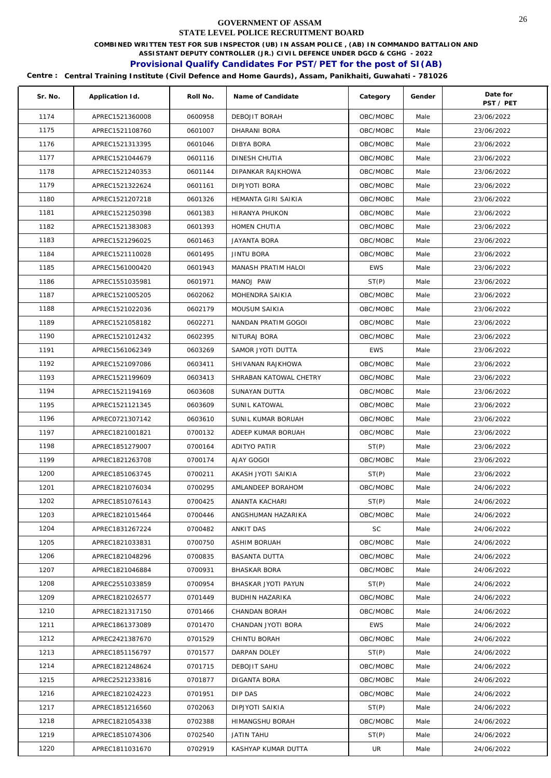**COMBINED WRITTEN TEST FOR SUB INSPECTOR (UB) IN ASSAM POLICE , (AB) IN COMMANDO BATTALION AND** 

**ASSISTANT DEPUTY CONTROLLER (JR.) CIVIL DEFENCE UNDER DGCD & CGHG - 2022** 

# **Provisional Qualify Candidates For PST/PET for the post of SI(AB)**

| Sr. No. | Application Id. | Roll No. | Name of Candidate      | Category   | Gender | Date for<br>PST / PET |
|---------|-----------------|----------|------------------------|------------|--------|-----------------------|
| 1174    | APREC1521360008 | 0600958  | DEBOJIT BORAH          | OBC/MOBC   | Male   | 23/06/2022            |
| 1175    | APREC1521108760 | 0601007  | DHARANI BORA           | OBC/MOBC   | Male   | 23/06/2022            |
| 1176    | APREC1521313395 | 0601046  | DIBYA BORA             | OBC/MOBC   | Male   | 23/06/2022            |
| 1177    | APREC1521044679 | 0601116  | DINESH CHUTIA          | OBC/MOBC   | Male   | 23/06/2022            |
| 1178    | APREC1521240353 | 0601144  | DIPANKAR RAJKHOWA      | OBC/MOBC   | Male   | 23/06/2022            |
| 1179    | APREC1521322624 | 0601161  | DIPJYOTI BORA          | OBC/MOBC   | Male   | 23/06/2022            |
| 1180    | APREC1521207218 | 0601326  | HEMANTA GIRI SAIKIA    | OBC/MOBC   | Male   | 23/06/2022            |
| 1181    | APREC1521250398 | 0601383  | <b>HIRANYA PHUKON</b>  | OBC/MOBC   | Male   | 23/06/2022            |
| 1182    | APREC1521383083 | 0601393  | HOMEN CHUTIA           | OBC/MOBC   | Male   | 23/06/2022            |
| 1183    | APREC1521296025 | 0601463  | <b>JAYANTA BORA</b>    | OBC/MOBC   | Male   | 23/06/2022            |
| 1184    | APREC1521110028 | 0601495  | JINTU BORA             | OBC/MOBC   | Male   | 23/06/2022            |
| 1185    | APREC1561000420 | 0601943  | MANASH PRATIM HALOI    | <b>EWS</b> | Male   | 23/06/2022            |
| 1186    | APREC1551035981 | 0601971  | MANOJ PAW              | ST(P)      | Male   | 23/06/2022            |
| 1187    | APREC1521005205 | 0602062  | MOHENDRA SAIKIA        | OBC/MOBC   | Male   | 23/06/2022            |
| 1188    | APREC1521022036 | 0602179  | <b>MOUSUM SAIKIA</b>   | OBC/MOBC   | Male   | 23/06/2022            |
| 1189    | APREC1521058182 | 0602271  | NANDAN PRATIM GOGOI    | OBC/MOBC   | Male   | 23/06/2022            |
| 1190    | APREC1521012432 | 0602395  | NITURAJ BORA           | OBC/MOBC   | Male   | 23/06/2022            |
| 1191    | APREC1561062349 | 0603269  | SAMOR JYOTI DUTTA      | <b>EWS</b> | Male   | 23/06/2022            |
| 1192    | APREC1521097086 | 0603411  | SHIVANAN RAJKHOWA      | OBC/MOBC   | Male   | 23/06/2022            |
| 1193    | APREC1521199609 | 0603413  | SHRABAN KATOWAL CHETRY | OBC/MOBC   | Male   | 23/06/2022            |
| 1194    | APREC1521194169 | 0603608  | SUNAYAN DUTTA          | OBC/MOBC   | Male   | 23/06/2022            |
| 1195    | APREC1521121345 | 0603609  | <b>SUNIL KATOWAL</b>   | OBC/MOBC   | Male   | 23/06/2022            |
| 1196    | APREC0721307142 | 0603610  | SUNIL KUMAR BORUAH     | OBC/MOBC   | Male   | 23/06/2022            |
| 1197    | APREC1821001821 | 0700132  | ADEEP KUMAR BORUAH     | OBC/MOBC   | Male   | 23/06/2022            |
| 1198    | APREC1851279007 | 0700164  | ADITYO PATIR           | ST(P)      | Male   | 23/06/2022            |
| 1199    | APREC1821263708 | 0700174  | AJAY GOGOI             | OBC/MOBC   | Male   | 23/06/2022            |
| 1200    | APREC1851063745 | 0700211  | AKASH JYOTI SAIKIA     | ST(P)      | Male   | 23/06/2022            |
| 1201    | APREC1821076034 | 0700295  | AMLANDEEP BORAHOM      | OBC/MOBC   | Male   | 24/06/2022            |
| 1202    | APREC1851076143 | 0700425  | ANANTA KACHARI         | ST(P)      | Male   | 24/06/2022            |
| 1203    | APREC1821015464 | 0700446  | ANGSHUMAN HAZARIKA     | OBC/MOBC   | Male   | 24/06/2022            |
| 1204    | APREC1831267224 | 0700482  | ANKIT DAS              | SC         | Male   | 24/06/2022            |
| 1205    | APREC1821033831 | 0700750  | ASHIM BORUAH           | OBC/MOBC   | Male   | 24/06/2022            |
| 1206    | APREC1821048296 | 0700835  | <b>BASANTA DUTTA</b>   | OBC/MOBC   | Male   | 24/06/2022            |
| 1207    | APREC1821046884 | 0700931  | <b>BHASKAR BORA</b>    | OBC/MOBC   | Male   | 24/06/2022            |
| 1208    | APREC2551033859 | 0700954  | BHASKAR JYOTI PAYUN    | ST(P)      | Male   | 24/06/2022            |
| 1209    | APREC1821026577 | 0701449  | BUDHIN HAZARIKA        | OBC/MOBC   | Male   | 24/06/2022            |
| 1210    | APREC1821317150 | 0701466  | CHANDAN BORAH          | OBC/MOBC   | Male   | 24/06/2022            |
| 1211    | APREC1861373089 | 0701470  | CHANDAN JYOTI BORA     | EWS        | Male   | 24/06/2022            |
| 1212    | APREC2421387670 | 0701529  | CHINTU BORAH           | OBC/MOBC   | Male   | 24/06/2022            |
| 1213    | APREC1851156797 | 0701577  | DARPAN DOLEY           | ST(P)      | Male   | 24/06/2022            |
| 1214    | APREC1821248624 | 0701715  | DEBOJIT SAHU           | OBC/MOBC   | Male   | 24/06/2022            |
| 1215    | APREC2521233816 | 0701877  | DIGANTA BORA           | OBC/MOBC   | Male   | 24/06/2022            |
| 1216    | APREC1821024223 | 0701951  | DIP DAS                | OBC/MOBC   | Male   | 24/06/2022            |
| 1217    | APREC1851216560 | 0702063  | DIPJYOTI SAIKIA        | ST(P)      | Male   | 24/06/2022            |
| 1218    | APREC1821054338 | 0702388  | HIMANGSHU BORAH        | OBC/MOBC   | Male   | 24/06/2022            |
| 1219    | APREC1851074306 | 0702540  | JATIN TAHU             | ST(P)      | Male   | 24/06/2022            |
| 1220    | APREC1811031670 | 0702919  | KASHYAP KUMAR DUTTA    | UR         | Male   | 24/06/2022            |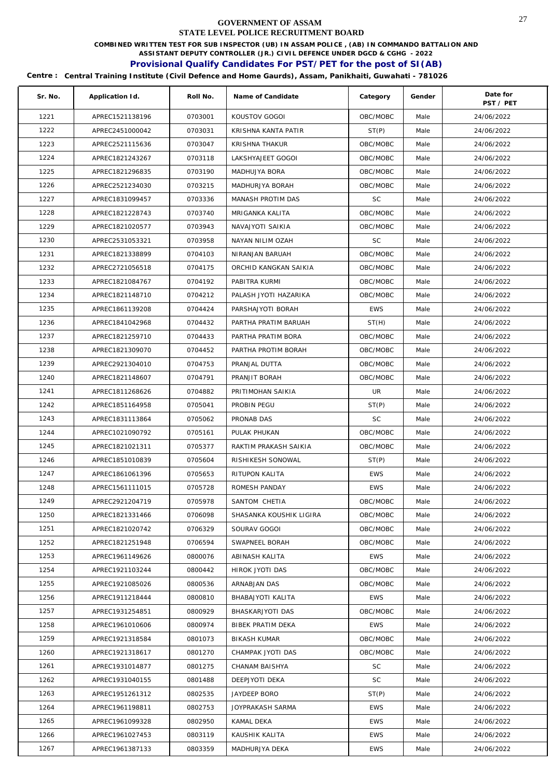**COMBINED WRITTEN TEST FOR SUB INSPECTOR (UB) IN ASSAM POLICE , (AB) IN COMMANDO BATTALION AND** 

**ASSISTANT DEPUTY CONTROLLER (JR.) CIVIL DEFENCE UNDER DGCD & CGHG - 2022** 

# **Provisional Qualify Candidates For PST/PET for the post of SI(AB)**

| Sr. No. | Application Id. | Roll No. | Name of Candidate       | Category   | Gender | Date for   |
|---------|-----------------|----------|-------------------------|------------|--------|------------|
|         |                 |          |                         |            |        | PST / PET  |
| 1221    | APREC1521138196 | 0703001  | KOUSTOV GOGOI           | OBC/MOBC   | Male   | 24/06/2022 |
| 1222    | APREC2451000042 | 0703031  | KRISHNA KANTA PATIR     | ST(P)      | Male   | 24/06/2022 |
| 1223    | APREC2521115636 | 0703047  | KRISHNA THAKUR          | OBC/MOBC   | Male   | 24/06/2022 |
| 1224    | APREC1821243267 | 0703118  | LAKSHYAJEET GOGOI       | OBC/MOBC   | Male   | 24/06/2022 |
| 1225    | APREC1821296835 | 0703190  | MADHUJYA BORA           | OBC/MOBC   | Male   | 24/06/2022 |
| 1226    | APREC2521234030 | 0703215  | MADHURJYA BORAH         | OBC/MOBC   | Male   | 24/06/2022 |
| 1227    | APREC1831099457 | 0703336  | MANASH PROTIM DAS       | <b>SC</b>  | Male   | 24/06/2022 |
| 1228    | APREC1821228743 | 0703740  | MRIGANKA KALITA         | OBC/MOBC   | Male   | 24/06/2022 |
| 1229    | APREC1821020577 | 0703943  | NAVAJYOTI SAIKIA        | OBC/MOBC   | Male   | 24/06/2022 |
| 1230    | APREC2531053321 | 0703958  | NAYAN NILIM OZAH        | <b>SC</b>  | Male   | 24/06/2022 |
| 1231    | APREC1821338899 | 0704103  | NIRANJAN BARUAH         | OBC/MOBC   | Male   | 24/06/2022 |
| 1232    | APREC2721056518 | 0704175  | ORCHID KANGKAN SAIKIA   | OBC/MOBC   | Male   | 24/06/2022 |
| 1233    | APREC1821084767 | 0704192  | PABITRA KURMI           | OBC/MOBC   | Male   | 24/06/2022 |
| 1234    | APREC1821148710 | 0704212  | PALASH JYOTI HAZARIKA   | OBC/MOBC   | Male   | 24/06/2022 |
| 1235    | APREC1861139208 | 0704424  | PARSHAJYOTI BORAH       | <b>EWS</b> | Male   | 24/06/2022 |
| 1236    | APREC1841042968 | 0704432  | PARTHA PRATIM BARUAH    | ST(H)      | Male   | 24/06/2022 |
| 1237    | APREC1821259710 | 0704433  | PARTHA PRATIM BORA      | OBC/MOBC   | Male   | 24/06/2022 |
| 1238    | APREC1821309070 | 0704452  | PARTHA PROTIM BORAH     | OBC/MOBC   | Male   | 24/06/2022 |
| 1239    | APREC2921304010 | 0704753  | PRANJAL DUTTA           | OBC/MOBC   | Male   | 24/06/2022 |
| 1240    | APREC1821148607 | 0704791  | PRANJIT BORAH           | OBC/MOBC   | Male   | 24/06/2022 |
| 1241    | APREC1811268626 | 0704882  | PRITIMOHAN SAIKIA       | UR         | Male   | 24/06/2022 |
| 1242    | APREC1851164958 | 0705041  | PROBIN PEGU             | ST(P)      | Male   | 24/06/2022 |
| 1243    | APREC1831113864 | 0705062  | PRONAB DAS              | SC         | Male   | 24/06/2022 |
| 1244    | APREC1021090792 | 0705161  | PULAK PHUKAN            | OBC/MOBC   | Male   | 24/06/2022 |
| 1245    | APREC1821021311 | 0705377  | RAKTIM PRAKASH SAIKIA   | OBC/MOBC   | Male   | 24/06/2022 |
| 1246    | APREC1851010839 | 0705604  | RISHIKESH SONOWAL       | ST(P)      | Male   | 24/06/2022 |
| 1247    | APREC1861061396 | 0705653  | RITUPON KALITA          | <b>EWS</b> | Male   | 24/06/2022 |
| 1248    | APREC1561111015 | 0705728  | ROMESH PANDAY           | <b>EWS</b> | Male   | 24/06/2022 |
| 1249    | APREC2921204719 | 0705978  | SANTOM CHETIA           | OBC/MOBC   | Male   | 24/06/2022 |
| 1250    | APREC1821331466 | 0706098  | SHASANKA KOUSHIK LIGIRA | OBC/MOBC   | Male   | 24/06/2022 |
| 1251    | APREC1821020742 | 0706329  | SOURAV GOGOI            | OBC/MOBC   | Male   | 24/06/2022 |
| 1252    | APREC1821251948 | 0706594  | SWAPNEEL BORAH          | OBC/MOBC   | Male   | 24/06/2022 |
| 1253    | APREC1961149626 | 0800076  | ABINASH KALITA          | <b>EWS</b> | Male   | 24/06/2022 |
| 1254    | APREC1921103244 | 0800442  | HIROK JYOTI DAS         | OBC/MOBC   | Male   | 24/06/2022 |
| 1255    | APREC1921085026 | 0800536  | ARNABJAN DAS            | OBC/MOBC   | Male   | 24/06/2022 |
| 1256    | APREC1911218444 | 0800810  | BHABAJYOTI KALITA       | <b>EWS</b> | Male   | 24/06/2022 |
| 1257    | APREC1931254851 | 0800929  | BHASKARJYOTI DAS        | OBC/MOBC   | Male   | 24/06/2022 |
| 1258    | APREC1961010606 | 0800974  | BIBEK PRATIM DEKA       | <b>EWS</b> | Male   | 24/06/2022 |
| 1259    | APREC1921318584 | 0801073  | <b>BIKASH KUMAR</b>     | OBC/MOBC   | Male   | 24/06/2022 |
| 1260    | APREC1921318617 | 0801270  | CHAMPAK JYOTI DAS       | OBC/MOBC   | Male   | 24/06/2022 |
| 1261    | APREC1931014877 | 0801275  | CHANAM BAISHYA          | SC         | Male   | 24/06/2022 |
| 1262    | APREC1931040155 | 0801488  | DEEPJYOTI DEKA          | SC         | Male   | 24/06/2022 |
| 1263    | APREC1951261312 | 0802535  | JAYDEEP BORO            | ST(P)      | Male   | 24/06/2022 |
| 1264    | APREC1961198811 | 0802753  | JOYPRAKASH SARMA        | <b>EWS</b> | Male   | 24/06/2022 |
| 1265    | APREC1961099328 | 0802950  | KAMAL DEKA              | <b>EWS</b> | Male   | 24/06/2022 |
| 1266    | APREC1961027453 | 0803119  | KAUSHIK KALITA          | <b>EWS</b> | Male   | 24/06/2022 |
| 1267    | APREC1961387133 | 0803359  | MADHURJYA DEKA          | <b>EWS</b> | Male   | 24/06/2022 |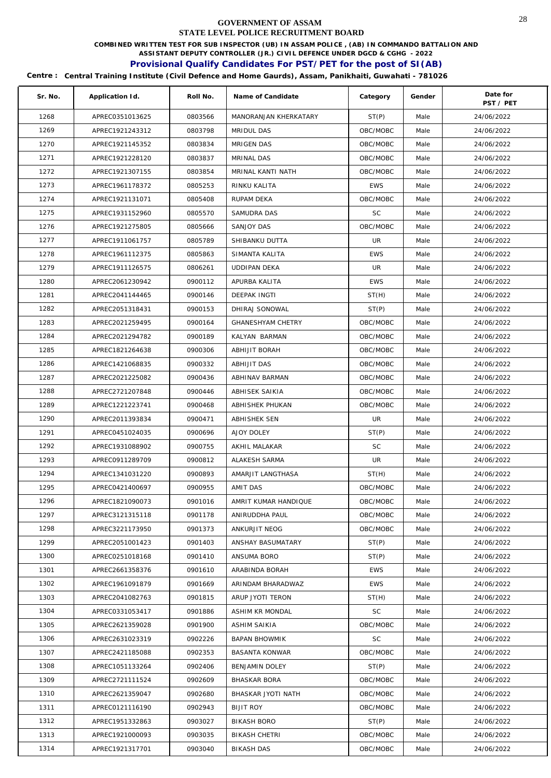**COMBINED WRITTEN TEST FOR SUB INSPECTOR (UB) IN ASSAM POLICE , (AB) IN COMMANDO BATTALION AND** 

**ASSISTANT DEPUTY CONTROLLER (JR.) CIVIL DEFENCE UNDER DGCD & CGHG - 2022** 

# **Provisional Qualify Candidates For PST/PET for the post of SI(AB)**

| Sr. No. | Application Id. | Roll No. | Name of Candidate        | Category   | Gender | Date for<br>PST / PET |
|---------|-----------------|----------|--------------------------|------------|--------|-----------------------|
| 1268    | APREC0351013625 | 0803566  | MANORANJAN KHERKATARY    | ST(P)      | Male   | 24/06/2022            |
| 1269    | APREC1921243312 | 0803798  | MRIDUL DAS               | OBC/MOBC   | Male   | 24/06/2022            |
| 1270    | APREC1921145352 | 0803834  | <b>MRIGEN DAS</b>        | OBC/MOBC   | Male   | 24/06/2022            |
| 1271    | APREC1921228120 | 0803837  | MRINAL DAS               | OBC/MOBC   | Male   | 24/06/2022            |
| 1272    | APREC1921307155 | 0803854  | MRINAL KANTI NATH        | OBC/MOBC   | Male   | 24/06/2022            |
| 1273    | APREC1961178372 | 0805253  | RINKU KALITA             | <b>EWS</b> | Male   | 24/06/2022            |
| 1274    | APREC1921131071 | 0805408  | RUPAM DEKA               | OBC/MOBC   | Male   | 24/06/2022            |
| 1275    | APREC1931152960 | 0805570  | <b>SAMUDRA DAS</b>       | <b>SC</b>  | Male   | 24/06/2022            |
| 1276    | APREC1921275805 | 0805666  | SANJOY DAS               | OBC/MOBC   | Male   | 24/06/2022            |
| 1277    | APREC1911061757 | 0805789  | SHIBANKU DUTTA           | UR         | Male   | 24/06/2022            |
| 1278    | APREC1961112375 | 0805863  | SIMANTA KALITA           | <b>EWS</b> | Male   | 24/06/2022            |
| 1279    | APREC1911126575 | 0806261  | <b>UDDIPAN DEKA</b>      | UR         | Male   | 24/06/2022            |
| 1280    | APREC2061230942 | 0900112  | APURBA KALITA            | <b>EWS</b> | Male   | 24/06/2022            |
| 1281    | APREC2041144465 | 0900146  | DEEPAK INGTI             | ST(H)      | Male   | 24/06/2022            |
| 1282    | APREC2051318431 | 0900153  | DHIRAJ SONOWAL           | ST(P)      | Male   | 24/06/2022            |
| 1283    | APREC2021259495 | 0900164  | <b>GHANESHYAM CHETRY</b> | OBC/MOBC   | Male   | 24/06/2022            |
| 1284    | APREC2021294782 | 0900189  | KALYAN BARMAN            | OBC/MOBC   | Male   | 24/06/2022            |
| 1285    | APREC1821264638 | 0900306  | ABHIJIT BORAH            | OBC/MOBC   | Male   | 24/06/2022            |
| 1286    | APREC1421068835 | 0900332  | ABHIJIT DAS              | OBC/MOBC   | Male   | 24/06/2022            |
| 1287    | APREC2021225082 | 0900436  | ABHINAV BARMAN           | OBC/MOBC   | Male   | 24/06/2022            |
| 1288    | APREC2721207848 | 0900446  | ABHISEK SAIKIA           | OBC/MOBC   | Male   | 24/06/2022            |
| 1289    | APREC1221223741 | 0900468  | ABHISHEK PHUKAN          | OBC/MOBC   | Male   | 24/06/2022            |
| 1290    | APREC2011393834 | 0900471  | ABHISHEK SEN             | UR         | Male   | 24/06/2022            |
| 1291    | APREC0451024035 | 0900696  | AJOY DOLEY               | ST(P)      | Male   | 24/06/2022            |
| 1292    | APREC1931088902 | 0900755  | AKHIL MALAKAR            | <b>SC</b>  | Male   | 24/06/2022            |
| 1293    | APREC0911289709 | 0900812  | ALAKESH SARMA            | UR         | Male   | 24/06/2022            |
| 1294    | APREC1341031220 | 0900893  | AMARJIT LANGTHASA        | ST(H)      | Male   | 24/06/2022            |
| 1295    | APREC0421400697 | 0900955  | AMIT DAS                 | OBC/MOBC   | Male   | 24/06/2022            |
| 1296    | APREC1821090073 | 0901016  | AMRIT KUMAR HANDIQUE     | OBC/MOBC   | Male   | 24/06/2022            |
| 1297    | APREC3121315118 | 0901178  | ANIRUDDHA PAUL           | OBC/MOBC   | Male   | 24/06/2022            |
| 1298    | APREC3221173950 | 0901373  | ANKURJIT NEOG            | OBC/MOBC   | Male   | 24/06/2022            |
| 1299    | APREC2051001423 | 0901403  | ANSHAY BASUMATARY        | ST(P)      | Male   | 24/06/2022            |
| 1300    | APREC0251018168 | 0901410  | ANSUMA BORO              | ST(P)      | Male   | 24/06/2022            |
| 1301    | APREC2661358376 | 0901610  | ARABINDA BORAH           | <b>EWS</b> | Male   | 24/06/2022            |
| 1302    | APREC1961091879 | 0901669  | ARINDAM BHARADWAZ        | <b>EWS</b> | Male   | 24/06/2022            |
| 1303    | APREC2041082763 | 0901815  | ARUP JYOTI TERON         | ST(H)      | Male   | 24/06/2022            |
| 1304    | APREC0331053417 | 0901886  | ASHIM KR MONDAL          | SC         | Male   | 24/06/2022            |
| 1305    | APREC2621359028 | 0901900  | ASHIM SAIKIA             | OBC/MOBC   | Male   | 24/06/2022            |
| 1306    | APREC2631023319 | 0902226  | <b>BAPAN BHOWMIK</b>     | SC         | Male   | 24/06/2022            |
| 1307    | APREC2421185088 | 0902353  | BASANTA KONWAR           | OBC/MOBC   | Male   | 24/06/2022            |
| 1308    | APREC1051133264 | 0902406  | BENJAMIN DOLEY           | ST(P)      | Male   | 24/06/2022            |
| 1309    | APREC2721111524 | 0902609  | <b>BHASKAR BORA</b>      | OBC/MOBC   | Male   | 24/06/2022            |
| 1310    | APREC2621359047 | 0902680  | BHASKAR JYOTI NATH       | OBC/MOBC   | Male   | 24/06/2022            |
| 1311    | APREC0121116190 | 0902943  | <b>BIJIT ROY</b>         | OBC/MOBC   | Male   | 24/06/2022            |
| 1312    | APREC1951332863 | 0903027  | <b>BIKASH BORO</b>       | ST(P)      | Male   | 24/06/2022            |
| 1313    | APREC1921000093 | 0903035  | <b>BIKASH CHETRI</b>     | OBC/MOBC   | Male   | 24/06/2022            |
| 1314    | APREC1921317701 | 0903040  | <b>BIKASH DAS</b>        | OBC/MOBC   | Male   | 24/06/2022            |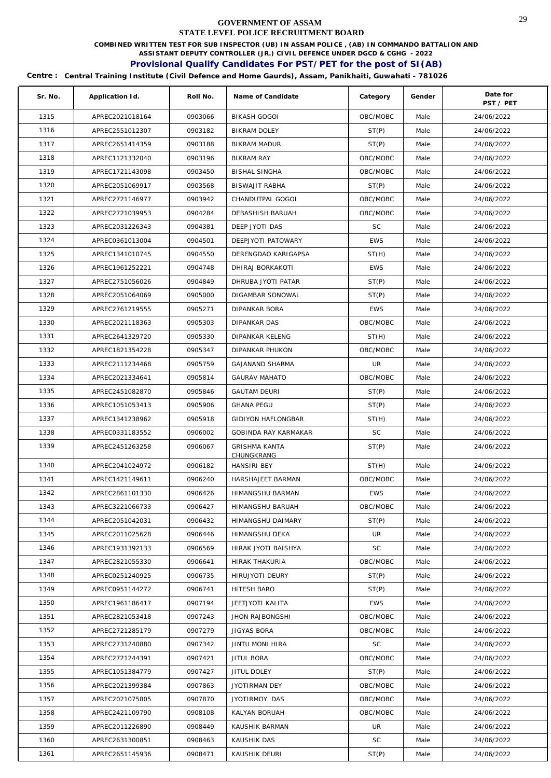**COMBINED WRITTEN TEST FOR SUB INSPECTOR (UB) IN ASSAM POLICE , (AB) IN COMMANDO BATTALION AND** 

**ASSISTANT DEPUTY CONTROLLER (JR.) CIVIL DEFENCE UNDER DGCD & CGHG - 2022** 

# **Provisional Qualify Candidates For PST/PET for the post of SI(AB)**

| Sr. No. | Application Id. | Roll No. | Name of Candidate         | Category   | Gender | Date for<br>PST / PET |
|---------|-----------------|----------|---------------------------|------------|--------|-----------------------|
| 1315    | APREC2021018164 | 0903066  | <b>BIKASH GOGOI</b>       | OBC/MOBC   | Male   | 24/06/2022            |
| 1316    | APREC2551012307 | 0903182  | BIKRAM DOLEY              | ST(P)      | Male   | 24/06/2022            |
| 1317    | APREC2651414359 | 0903188  | <b>BIKRAM MADUR</b>       | ST(P)      | Male   | 24/06/2022            |
| 1318    | APREC1121332040 | 0903196  | <b>BIKRAM RAY</b>         | OBC/MOBC   | Male   | 24/06/2022            |
| 1319    | APREC1721143098 | 0903450  | <b>BISHAL SINGHA</b>      | OBC/MOBC   | Male   | 24/06/2022            |
| 1320    | APREC2051069917 | 0903568  | <b>BISWAJIT RABHA</b>     | ST(P)      | Male   | 24/06/2022            |
| 1321    | APREC2721146977 | 0903942  | CHANDUTPAL GOGOI          | OBC/MOBC   | Male   | 24/06/2022            |
| 1322    | APREC2721039953 | 0904284  | DEBASHISH BARUAH          | OBC/MOBC   | Male   | 24/06/2022            |
| 1323    | APREC2031226343 | 0904381  | DEEP JYOTI DAS            | <b>SC</b>  | Male   | 24/06/2022            |
| 1324    | APREC0361013004 | 0904501  | DEEPJYOTI PATOWARY        | <b>EWS</b> | Male   | 24/06/2022            |
| 1325    | APREC1341010745 | 0904550  | DERENGDAO KARIGAPSA       | ST(H)      | Male   | 24/06/2022            |
| 1326    | APREC1961252221 | 0904748  | DHIRAJ BORKAKOTI          | <b>EWS</b> | Male   | 24/06/2022            |
| 1327    | APREC2751056026 | 0904849  | DHRUBA JYOTI PATAR        | ST(P)      | Male   | 24/06/2022            |
| 1328    | APREC2051064069 | 0905000  | DIGAMBAR SONOWAL          | ST(P)      | Male   | 24/06/2022            |
| 1329    | APREC2761219555 | 0905271  | DIPANKAR BORA             | <b>EWS</b> | Male   | 24/06/2022            |
| 1330    | APREC2021118363 | 0905303  | DIPANKAR DAS              | OBC/MOBC   | Male   | 24/06/2022            |
| 1331    | APREC2641329720 | 0905330  | DIPANKAR KELENG           | ST(H)      | Male   | 24/06/2022            |
| 1332    | APREC1821354228 | 0905347  | <b>DIPANKAR PHUKON</b>    | OBC/MOBC   | Male   | 24/06/2022            |
| 1333    | APREC2111234468 | 0905759  | <b>GAJANAND SHARMA</b>    | UR.        | Male   | 24/06/2022            |
| 1334    | APREC2021334641 | 0905814  | <b>GAURAV MAHATO</b>      | OBC/MOBC   | Male   | 24/06/2022            |
| 1335    | APREC2451082870 | 0905846  | <b>GAUTAM DEURI</b>       | ST(P)      | Male   | 24/06/2022            |
| 1336    | APREC1051053413 | 0905906  | <b>GHANA PEGU</b>         | ST(P)      | Male   | 24/06/2022            |
| 1337    | APREC1341238962 | 0905918  | <b>GIDIYON HAFLONGBAR</b> | ST(H)      | Male   | 24/06/2022            |
| 1338    | APREC0331183552 | 0906002  | GOBINDA RAY KARMAKAR      | <b>SC</b>  | Male   | 24/06/2022            |
| 1339    | APREC2451263258 | 0906067  | <b>GRISHMA KANTA</b>      | ST(P)      | Male   | 24/06/2022            |
|         |                 |          | CHUNGKRANG                |            |        |                       |
| 1340    | APREC2041024972 | 0906182  | <b>HANSIRI BEY</b>        | ST(H)      | Male   | 24/06/2022            |
| 1341    | APREC1421149611 | 0906240  | HARSHAJEET BARMAN         | OBC/MOBC   | Male   | 24/06/2022            |
| 1342    | APREC2861101330 | 0906426  | HIMANGSHU BARMAN          | <b>EWS</b> | Male   | 24/06/2022            |
| 1343    | APREC3221066733 | 0906427  | HIMANGSHU BARUAH          | OBC/MOBC   | Male   | 24/06/2022            |
| 1344    | APREC2051042031 | 0906432  | <b>HIMANGSHU DAIMARY</b>  | ST(P)      | Male   | 24/06/2022            |
| 1345    | APREC2011025628 | 0906446  | <b>HIMANGSHU DEKA</b>     | UR         | Male   | 24/06/2022            |
| 1346    | APREC1931392133 | 0906569  | HIRAK JYOTI BAISHYA       | SC         | Male   | 24/06/2022            |
| 1347    | APREC2821055330 | 0906641  | <b>HIRAK THAKURIA</b>     | OBC/MOBC   | Male   | 24/06/2022            |
| 1348    | APREC0251240925 | 0906735  | <b>HIRUJYOTI DEURY</b>    | ST(P)      | Male   | 24/06/2022            |
| 1349    | APREC0951144272 | 0906741  | <b>HITESH BARO</b>        | ST(P)      | Male   | 24/06/2022            |
| 1350    | APREC1961186417 | 0907194  | JEETJYOTI KALITA          | <b>EWS</b> | Male   | 24/06/2022            |
| 1351    | APREC2821053418 | 0907243  | JHON RAJBONGSHI           | OBC/MOBC   | Male   | 24/06/2022            |
| 1352    | APREC2721285179 | 0907279  | JIGYAS BORA               | OBC/MOBC   | Male   | 24/06/2022            |
| 1353    | APREC2731240880 | 0907342  | JINTU MONI HIRA           | SC         | Male   | 24/06/2022            |
| 1354    | APREC2721244391 | 0907421  | JITUL BORA                | OBC/MOBC   | Male   | 24/06/2022            |
| 1355    | APREC1051384779 | 0907427  | JITUL DOLEY               | ST(P)      | Male   | 24/06/2022            |
| 1356    | APREC2021399384 | 0907863  | JYOTIRMAN DEY             | OBC/MOBC   | Male   | 24/06/2022            |
| 1357    | APREC2021075805 | 0907870  | JYOTIRMOY DAS             | OBC/MOBC   | Male   | 24/06/2022            |
| 1358    | APREC2421109790 | 0908108  | KALYAN BORUAH             | OBC/MOBC   | Male   | 24/06/2022            |
| 1359    | APREC2011226890 | 0908449  | KAUSHIK BARMAN            | UR         | Male   | 24/06/2022            |
| 1360    | APREC2631300851 | 0908463  | KAUSHIK DAS               | SC         | Male   | 24/06/2022            |
| 1361    | APREC2651145936 | 0908471  | KAUSHIK DEURI             | ST(P)      | Male   | 24/06/2022            |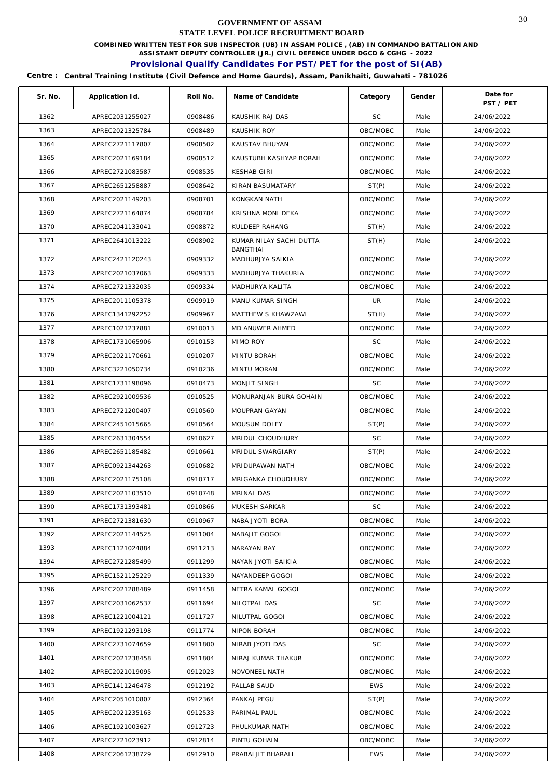**COMBINED WRITTEN TEST FOR SUB INSPECTOR (UB) IN ASSAM POLICE , (AB) IN COMMANDO BATTALION AND** 

**ASSISTANT DEPUTY CONTROLLER (JR.) CIVIL DEFENCE UNDER DGCD & CGHG - 2022** 

# **Provisional Qualify Candidates For PST/PET for the post of SI(AB)**

| Sr. No. | Application Id. | Roll No. | Name of Candidate                   | Category   | Gender | Date for<br>PST / PET |
|---------|-----------------|----------|-------------------------------------|------------|--------|-----------------------|
| 1362    | APREC2031255027 | 0908486  | KAUSHIK RAJ DAS                     | <b>SC</b>  | Male   | 24/06/2022            |
| 1363    | APREC2021325784 | 0908489  | KAUSHIK ROY                         | OBC/MOBC   | Male   | 24/06/2022            |
| 1364    | APREC2721117807 | 0908502  | KAUSTAV BHUYAN                      | OBC/MOBC   | Male   | 24/06/2022            |
| 1365    | APREC2021169184 | 0908512  | KAUSTUBH KASHYAP BORAH              | OBC/MOBC   | Male   | 24/06/2022            |
| 1366    | APREC2721083587 | 0908535  | <b>KESHAB GIRI</b>                  | OBC/MOBC   | Male   | 24/06/2022            |
| 1367    | APREC2651258887 | 0908642  | KIRAN BASUMATARY                    | ST(P)      | Male   | 24/06/2022            |
| 1368    | APREC2021149203 | 0908701  | KONGKAN NATH                        | OBC/MOBC   | Male   | 24/06/2022            |
| 1369    | APREC2721164874 | 0908784  | KRISHNA MONI DEKA                   | OBC/MOBC   | Male   | 24/06/2022            |
| 1370    | APREC2041133041 | 0908872  | KULDEEP RAHANG                      | ST(H)      | Male   | 24/06/2022            |
| 1371    | APREC2641013222 | 0908902  | KUMAR NILAY SACHI DUTTA<br>BANGTHAI | ST(H)      | Male   | 24/06/2022            |
| 1372    | APREC2421120243 | 0909332  | MADHURJYA SAIKIA                    | OBC/MOBC   | Male   | 24/06/2022            |
| 1373    | APREC2021037063 | 0909333  | MADHURJYA THAKURIA                  | OBC/MOBC   | Male   | 24/06/2022            |
| 1374    | APREC2721332035 | 0909334  | MADHURYA KALITA                     | OBC/MOBC   | Male   | 24/06/2022            |
| 1375    | APREC2011105378 | 0909919  | MANU KUMAR SINGH                    | UR         | Male   | 24/06/2022            |
| 1376    | APREC1341292252 | 0909967  | MATTHEW S KHAWZAWL                  | ST(H)      | Male   | 24/06/2022            |
| 1377    | APREC1021237881 | 0910013  | MD ANUWER AHMED                     | OBC/MOBC   | Male   | 24/06/2022            |
| 1378    | APREC1731065906 | 0910153  | MIMO ROY                            | <b>SC</b>  | Male   | 24/06/2022            |
| 1379    | APREC2021170661 | 0910207  | MINTU BORAH                         | OBC/MOBC   | Male   | 24/06/2022            |
| 1380    | APREC3221050734 | 0910236  | MINTU MORAN                         | OBC/MOBC   | Male   | 24/06/2022            |
| 1381    | APREC1731198096 | 0910473  | MONJIT SINGH                        | SC         | Male   | 24/06/2022            |
| 1382    | APREC2921009536 | 0910525  | MONURANJAN BURA GOHAIN              | OBC/MOBC   | Male   | 24/06/2022            |
| 1383    | APREC2721200407 | 0910560  | MOUPRAN GAYAN                       | OBC/MOBC   | Male   | 24/06/2022            |
| 1384    | APREC2451015665 | 0910564  | MOUSUM DOLEY                        | ST(P)      | Male   | 24/06/2022            |
| 1385    | APREC2631304554 | 0910627  | MRIDUL CHOUDHURY                    | <b>SC</b>  | Male   | 24/06/2022            |
| 1386    | APREC2651185482 | 0910661  | MRIDUL SWARGIARY                    | ST(P)      | Male   | 24/06/2022            |
| 1387    | APREC0921344263 | 0910682  | MRIDUPAWAN NATH                     | OBC/MOBC   | Male   | 24/06/2022            |
| 1388    | APREC2021175108 | 0910717  | MRIGANKA CHOUDHURY                  | OBC/MOBC   | Male   | 24/06/2022            |
| 1389    | APREC2021103510 | 0910748  | MRINAL DAS                          | OBC/MOBC   | Male   | 24/06/2022            |
| 1390    | APREC1731393481 | 0910866  | MUKESH SARKAR                       | <b>SC</b>  | Male   | 24/06/2022            |
| 1391    | APREC2721381630 | 0910967  | NABA JYOTI BORA                     | OBC/MOBC   | Male   | 24/06/2022            |
| 1392    | APREC2021144525 | 0911004  | NABAJIT GOGOI                       | OBC/MOBC   | Male   | 24/06/2022            |
| 1393    | APREC1121024884 | 0911213  | NARAYAN RAY                         | OBC/MOBC   | Male   | 24/06/2022            |
| 1394    | APREC2721285499 | 0911299  | NAYAN JYOTI SAIKIA                  | OBC/MOBC   | Male   | 24/06/2022            |
| 1395    | APREC1521125229 | 0911339  | NAYANDEEP GOGOI                     | OBC/MOBC   | Male   | 24/06/2022            |
| 1396    | APREC2021288489 | 0911458  | NETRA KAMAL GOGOI                   | OBC/MOBC   | Male   | 24/06/2022            |
| 1397    | APREC2031062537 | 0911694  | NILOTPAL DAS                        | SC         | Male   | 24/06/2022            |
| 1398    | APREC1221004121 | 0911727  | NILUTPAL GOGOI                      | OBC/MOBC   | Male   | 24/06/2022            |
| 1399    | APREC1921293198 | 0911774  | NIPON BORAH                         | OBC/MOBC   | Male   | 24/06/2022            |
| 1400    | APREC2731074659 | 0911800  | NIRAB JYOTI DAS                     | SC         | Male   | 24/06/2022            |
| 1401    | APREC2021238458 | 0911804  | NIRAJ KUMAR THAKUR                  | OBC/MOBC   | Male   | 24/06/2022            |
| 1402    | APREC2021019095 | 0912023  | NOVONEEL NATH                       | OBC/MOBC   | Male   | 24/06/2022            |
| 1403    | APREC1411246478 | 0912192  | PALLAB SAUD                         | <b>EWS</b> | Male   | 24/06/2022            |
| 1404    | APREC2051010807 | 0912364  | PANKAJ PEGU                         | ST(P)      | Male   | 24/06/2022            |
| 1405    | APREC2021235163 | 0912533  | PARIMAL PAUL                        | OBC/MOBC   | Male   | 24/06/2022            |
| 1406    | APREC1921003627 | 0912723  | PHULKUMAR NATH                      | OBC/MOBC   | Male   | 24/06/2022            |
| 1407    | APREC2721023912 | 0912814  | PINTU GOHAIN                        | OBC/MOBC   | Male   | 24/06/2022            |
| 1408    | APREC2061238729 | 0912910  | PRABALJIT BHARALI                   | <b>EWS</b> | Male   | 24/06/2022            |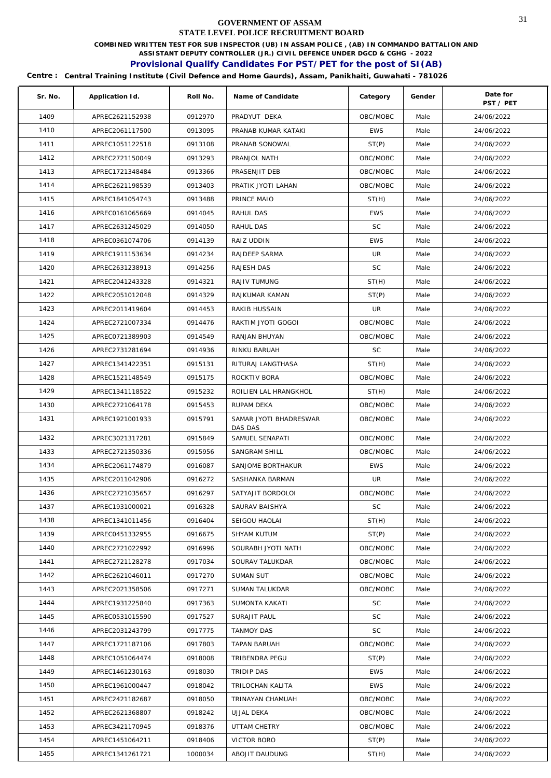**COMBINED WRITTEN TEST FOR SUB INSPECTOR (UB) IN ASSAM POLICE , (AB) IN COMMANDO BATTALION AND** 

**ASSISTANT DEPUTY CONTROLLER (JR.) CIVIL DEFENCE UNDER DGCD & CGHG - 2022** 

# **Provisional Qualify Candidates For PST/PET for the post of SI(AB)**

| Sr. No. | Application Id. | Roll No. | Name of Candidate      | Category   | Gender | Date for<br>PST / PET |
|---------|-----------------|----------|------------------------|------------|--------|-----------------------|
| 1409    | APREC2621152938 | 0912970  | PRADYUT DEKA           | OBC/MOBC   | Male   | 24/06/2022            |
| 1410    | APREC2061117500 | 0913095  | PRANAB KUMAR KATAKI    | <b>EWS</b> | Male   | 24/06/2022            |
| 1411    | APREC1051122518 | 0913108  | PRANAB SONOWAL         | ST(P)      | Male   | 24/06/2022            |
| 1412    | APREC2721150049 | 0913293  | PRANJOL NATH           | OBC/MOBC   | Male   | 24/06/2022            |
| 1413    | APREC1721348484 | 0913366  | PRASENJIT DEB          | OBC/MOBC   | Male   | 24/06/2022            |
| 1414    | APREC2621198539 | 0913403  | PRATIK JYOTI LAHAN     | OBC/MOBC   | Male   | 24/06/2022            |
| 1415    | APREC1841054743 | 0913488  | PRINCE MAIO            | ST(H)      | Male   | 24/06/2022            |
| 1416    | APREC0161065669 | 0914045  | RAHUL DAS              | <b>EWS</b> | Male   | 24/06/2022            |
| 1417    | APREC2631245029 | 0914050  | RAHUL DAS              | <b>SC</b>  | Male   | 24/06/2022            |
| 1418    | APREC0361074706 | 0914139  | RAIZ UDDIN             | <b>EWS</b> | Male   | 24/06/2022            |
| 1419    | APREC1911153634 | 0914234  | RAJDEEP SARMA          | UR         | Male   | 24/06/2022            |
| 1420    | APREC2631238913 | 0914256  | RAJESH DAS             | <b>SC</b>  | Male   | 24/06/2022            |
| 1421    | APREC2041243328 | 0914321  | RAJIV TUMUNG           | ST(H)      | Male   | 24/06/2022            |
| 1422    | APREC2051012048 | 0914329  | RAJKUMAR KAMAN         | ST(P)      | Male   | 24/06/2022            |
| 1423    | APREC2011419604 | 0914453  | RAKIB HUSSAIN          | UR         | Male   | 24/06/2022            |
| 1424    | APREC2721007334 | 0914476  | RAKTIM JYOTI GOGOI     | OBC/MOBC   | Male   | 24/06/2022            |
| 1425    | APREC0721389903 | 0914549  | RANJAN BHUYAN          | OBC/MOBC   | Male   | 24/06/2022            |
| 1426    | APREC2731281694 | 0914936  | RINKU BARUAH           | <b>SC</b>  | Male   | 24/06/2022            |
| 1427    | APREC1341422351 | 0915131  | RITURAJ LANGTHASA      | ST(H)      | Male   | 24/06/2022            |
| 1428    | APREC1521148549 | 0915175  | ROCKTIV BORA           | OBC/MOBC   | Male   | 24/06/2022            |
| 1429    | APREC1341118522 | 0915232  | ROILIEN LAL HRANGKHOL  | ST(H)      | Male   | 24/06/2022            |
| 1430    | APREC2721064178 | 0915453  | RUPAM DEKA             | OBC/MOBC   | Male   | 24/06/2022            |
| 1431    | APREC1921001933 | 0915791  | SAMAR JYOTI BHADRESWAR | OBC/MOBC   | Male   | 24/06/2022            |
|         |                 |          | DAS DAS                |            |        |                       |
| 1432    | APREC3021317281 | 0915849  | SAMUEL SENAPATI        | OBC/MOBC   | Male   | 24/06/2022            |
| 1433    | APREC2721350336 | 0915956  | SANGRAM SHILL          | OBC/MOBC   | Male   | 24/06/2022            |
| 1434    | APREC2061174879 | 0916087  | SANJOME BORTHAKUR      | <b>EWS</b> | Male   | 24/06/2022            |
| 1435    | APREC2011042906 | 0916272  | SASHANKA BARMAN        | UR         | Male   | 24/06/2022            |
| 1436    | APREC2721035657 | 0916297  | SATYAJIT BORDOLOI      | OBC/MOBC   | Male   | 24/06/2022            |
| 1437    | APREC1931000021 | 0916328  | SAURAV BAISHYA         | <b>SC</b>  | Male   | 24/06/2022            |
| 1438    | APREC1341011456 | 0916404  | SEIGOU HAOLAI          | ST(H)      | Male   | 24/06/2022            |
| 1439    | APREC0451332955 | 0916675  | <b>SHYAM KUTUM</b>     | ST(P)      | Male   | 24/06/2022            |
| 1440    | APREC2721022992 | 0916996  | SOURABH JYOTI NATH     | OBC/MOBC   | Male   | 24/06/2022            |
| 1441    | APREC2721128278 | 0917034  | SOURAV TALUKDAR        | OBC/MOBC   | Male   | 24/06/2022            |
| 1442    | APREC2621046011 | 0917270  | SUMAN SUT              | OBC/MOBC   | Male   | 24/06/2022            |
| 1443    | APREC2021358506 | 0917271  | SUMAN TALUKDAR         | OBC/MOBC   | Male   | 24/06/2022            |
| 1444    | APREC1931225840 | 0917363  | SUMONTA KAKATI         | SC         | Male   | 24/06/2022            |
| 1445    | APREC0531015590 | 0917527  | SURAJIT PAUL           | SC.        | Male   | 24/06/2022            |
| 1446    | APREC2031243799 | 0917775  | <b>TANMOY DAS</b>      | SC         | Male   | 24/06/2022            |
| 1447    | APREC1721187106 | 0917803  | TAPAN BARUAH           | OBC/MOBC   | Male   | 24/06/2022            |
| 1448    | APREC1051064474 | 0918008  | TRIBENDRA PEGU         | ST(P)      | Male   | 24/06/2022            |
| 1449    | APREC1461230163 | 0918030  | TRIDIP DAS             | <b>EWS</b> | Male   | 24/06/2022            |
| 1450    | APREC1961000447 | 0918042  | TRILOCHAN KALITA       | <b>EWS</b> | Male   | 24/06/2022            |
| 1451    | APREC2421182687 | 0918050  | TRINAYAN CHAMUAH       | OBC/MOBC   | Male   | 24/06/2022            |
| 1452    | APREC2621368807 | 0918242  | UJJAL DEKA             | OBC/MOBC   | Male   | 24/06/2022            |
| 1453    | APREC3421170945 | 0918376  | UTTAM CHETRY           | OBC/MOBC   | Male   | 24/06/2022            |
| 1454    | APREC1451064211 | 0918406  | VICTOR BORO            | ST(P)      | Male   | 24/06/2022            |
| 1455    | APREC1341261721 | 1000034  | ABOJIT DAUDUNG         | ST(H)      | Male   | 24/06/2022            |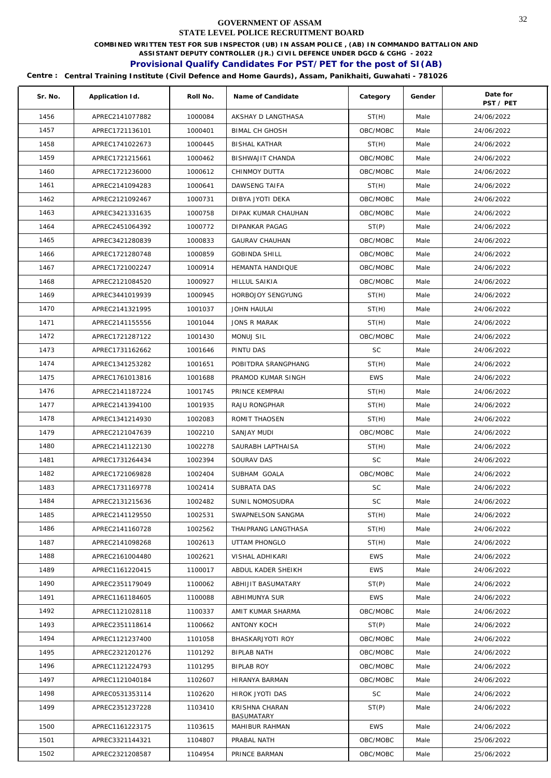**COMBINED WRITTEN TEST FOR SUB INSPECTOR (UB) IN ASSAM POLICE , (AB) IN COMMANDO BATTALION AND** 

**ASSISTANT DEPUTY CONTROLLER (JR.) CIVIL DEFENCE UNDER DGCD & CGHG - 2022** 

# **Provisional Qualify Candidates For PST/PET for the post of SI(AB)**

| Sr. No. | Application Id. | Roll No. | Name of Candidate            | Category   | Gender | Date for<br>PST / PET |
|---------|-----------------|----------|------------------------------|------------|--------|-----------------------|
| 1456    | APREC2141077882 | 1000084  | AKSHAY D LANGTHASA           | ST(H)      | Male   | 24/06/2022            |
| 1457    | APREC1721136101 | 1000401  | <b>BIMAL CH GHOSH</b>        | OBC/MOBC   | Male   | 24/06/2022            |
| 1458    | APREC1741022673 | 1000445  | <b>BISHAL KATHAR</b>         | ST(H)      | Male   | 24/06/2022            |
| 1459    | APREC1721215661 | 1000462  | BISHWAJIT CHANDA             | OBC/MOBC   | Male   | 24/06/2022            |
| 1460    | APREC1721236000 | 1000612  | CHINMOY DUTTA                | OBC/MOBC   | Male   | 24/06/2022            |
| 1461    | APREC2141094283 | 1000641  | DAWSENG TAIFA                | ST(H)      | Male   | 24/06/2022            |
| 1462    | APREC2121092467 | 1000731  | DIBYA JYOTI DEKA             | OBC/MOBC   | Male   | 24/06/2022            |
| 1463    | APREC3421331635 | 1000758  | DIPAK KUMAR CHAUHAN          | OBC/MOBC   | Male   | 24/06/2022            |
| 1464    | APREC2451064392 | 1000772  | <b>DIPANKAR PAGAG</b>        | ST(P)      | Male   | 24/06/2022            |
| 1465    | APREC3421280839 | 1000833  | <b>GAURAV CHAUHAN</b>        | OBC/MOBC   | Male   | 24/06/2022            |
| 1466    | APREC1721280748 | 1000859  | <b>GOBINDA SHILL</b>         | OBC/MOBC   | Male   | 24/06/2022            |
| 1467    | APREC1721002247 | 1000914  | HEMANTA HANDIQUE             | OBC/MOBC   | Male   | 24/06/2022            |
| 1468    | APREC2121084520 | 1000927  | HILLUL SAIKIA                | OBC/MOBC   | Male   | 24/06/2022            |
| 1469    | APREC3441019939 | 1000945  | HORBOJOY SENGYUNG            | ST(H)      | Male   | 24/06/2022            |
| 1470    | APREC2141321995 | 1001037  | JOHN HAULAI                  | ST(H)      | Male   | 24/06/2022            |
| 1471    | APREC2141155556 | 1001044  | <b>JONS R MARAK</b>          | ST(H)      | Male   | 24/06/2022            |
| 1472    | APREC1721287122 | 1001430  | MONUJ SIL                    | OBC/MOBC   | Male   | 24/06/2022            |
| 1473    | APREC1731162662 | 1001646  | PINTU DAS                    | <b>SC</b>  | Male   | 24/06/2022            |
| 1474    | APREC1341253282 | 1001651  | POBITDRA SRANGPHANG          | ST(H)      | Male   | 24/06/2022            |
| 1475    | APREC1761013816 | 1001688  | PRAMOD KUMAR SINGH           | <b>EWS</b> | Male   | 24/06/2022            |
| 1476    | APREC2141187224 | 1001745  | PRINCE KEMPRAI               | ST(H)      | Male   | 24/06/2022            |
| 1477    | APREC2141394100 | 1001935  | RAJU RONGPHAR                | ST(H)      | Male   | 24/06/2022            |
| 1478    | APREC1341214930 | 1002083  | ROMIT THAOSEN                | ST(H)      | Male   | 24/06/2022            |
| 1479    | APREC2121047639 | 1002210  | SANJAY MUDI                  | OBC/MOBC   | Male   | 24/06/2022            |
| 1480    | APREC2141122130 | 1002278  | SAURABH LAPTHAISA            | ST(H)      | Male   | 24/06/2022            |
| 1481    | APREC1731264434 | 1002394  | SOURAV DAS                   | <b>SC</b>  | Male   | 24/06/2022            |
| 1482    | APREC1721069828 | 1002404  | SUBHAM GOALA                 | OBC/MOBC   | Male   | 24/06/2022            |
| 1483    | APREC1731169778 | 1002414  | SUBRATA DAS                  | SC         | Male   | 24/06/2022            |
| 1484    | APREC2131215636 | 1002482  | SUNIL NOMOSUDRA              | SC         | Male   | 24/06/2022            |
| 1485    | APREC2141129550 | 1002531  | SWAPNELSON SANGMA            | ST(H)      | Male   | 24/06/2022            |
| 1486    | APREC2141160728 | 1002562  | THAIPRANG LANGTHASA          | ST(H)      | Male   | 24/06/2022            |
| 1487    | APREC2141098268 | 1002613  | UTTAM PHONGLO                | ST(H)      | Male   | 24/06/2022            |
| 1488    | APREC2161004480 | 1002621  | VISHAL ADHIKARI              | <b>EWS</b> | Male   | 24/06/2022            |
| 1489    | APREC1161220415 | 1100017  | ABDUL KADER SHEIKH           | <b>EWS</b> | Male   | 24/06/2022            |
| 1490    | APREC2351179049 | 1100062  | ABHIJIT BASUMATARY           | ST(P)      | Male   | 24/06/2022            |
| 1491    | APREC1161184605 | 1100088  | ABHIMUNYA SUR                | <b>EWS</b> | Male   | 24/06/2022            |
| 1492    | APREC1121028118 | 1100337  | AMIT KUMAR SHARMA            | OBC/MOBC   | Male   | 24/06/2022            |
| 1493    | APREC2351118614 | 1100662  | ANTONY KOCH                  | ST(P)      | Male   | 24/06/2022            |
| 1494    | APREC1121237400 | 1101058  | BHASKARJYOTI ROY             | OBC/MOBC   | Male   | 24/06/2022            |
| 1495    | APREC2321201276 | 1101292  | BIPLAB NATH                  | OBC/MOBC   | Male   | 24/06/2022            |
| 1496    | APREC1121224793 | 1101295  | BIPLAB ROY                   | OBC/MOBC   | Male   | 24/06/2022            |
| 1497    | APREC1121040184 | 1102607  | HIRANYA BARMAN               | OBC/MOBC   | Male   | 24/06/2022            |
| 1498    | APREC0531353114 | 1102620  | HIROK JYOTI DAS              | <b>SC</b>  | Male   | 24/06/2022            |
| 1499    | APREC2351237228 | 1103410  | KRISHNA CHARAN<br>BASUMATARY | ST(P)      | Male   | 24/06/2022            |
| 1500    | APREC1161223175 | 1103615  | MAHIBUR RAHMAN               | <b>EWS</b> | Male   | 24/06/2022            |
| 1501    | APREC3321144321 | 1104807  | PRABAL NATH                  | OBC/MOBC   | Male   | 25/06/2022            |
| 1502    | APREC2321208587 | 1104954  | PRINCE BARMAN                | OBC/MOBC   | Male   | 25/06/2022            |
|         |                 |          |                              |            |        |                       |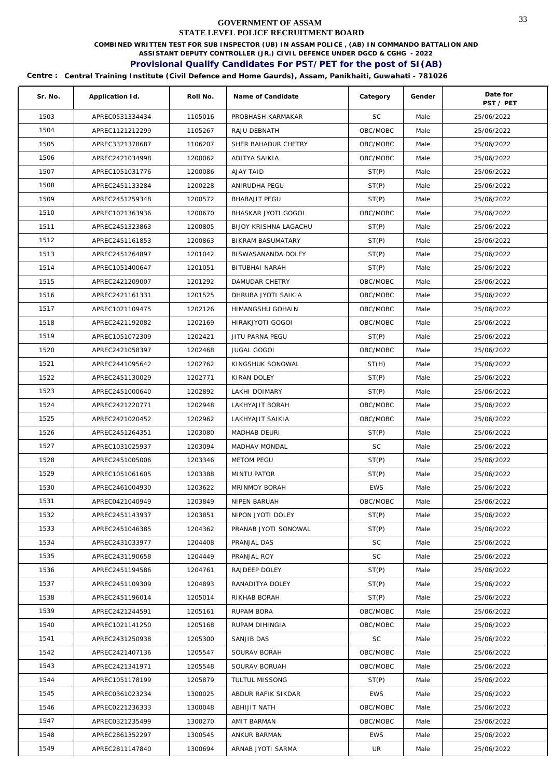**COMBINED WRITTEN TEST FOR SUB INSPECTOR (UB) IN ASSAM POLICE , (AB) IN COMMANDO BATTALION AND** 

**ASSISTANT DEPUTY CONTROLLER (JR.) CIVIL DEFENCE UNDER DGCD & CGHG - 2022** 

# **Provisional Qualify Candidates For PST/PET for the post of SI(AB)**

| Sr. No. | Application Id. | Roll No. | Name of Candidate     | Category   | Gender | Date for<br>PST / PET |
|---------|-----------------|----------|-----------------------|------------|--------|-----------------------|
| 1503    | APREC0531334434 | 1105016  | PROBHASH KARMAKAR     | <b>SC</b>  | Male   | 25/06/2022            |
| 1504    | APREC1121212299 | 1105267  | RAJU DEBNATH          | OBC/MOBC   | Male   | 25/06/2022            |
| 1505    | APREC3321378687 | 1106207  | SHER BAHADUR CHETRY   | OBC/MOBC   | Male   | 25/06/2022            |
| 1506    | APREC2421034998 | 1200062  | ADITYA SAIKIA         | OBC/MOBC   | Male   | 25/06/2022            |
| 1507    | APREC1051031776 | 1200086  | AJAY TAID             | ST(P)      | Male   | 25/06/2022            |
| 1508    | APREC2451133284 | 1200228  | ANIRUDHA PEGU         | ST(P)      | Male   | 25/06/2022            |
| 1509    | APREC2451259348 | 1200572  | <b>BHABAJIT PEGU</b>  | ST(P)      | Male   | 25/06/2022            |
| 1510    | APREC1021363936 | 1200670  | BHASKAR JYOTI GOGOI   | OBC/MOBC   | Male   | 25/06/2022            |
| 1511    | APREC2451323863 | 1200805  | BIJOY KRISHNA LAGACHU | ST(P)      | Male   | 25/06/2022            |
| 1512    | APREC2451161853 | 1200863  | BIKRAM BASUMATARY     | ST(P)      | Male   | 25/06/2022            |
| 1513    | APREC2451264897 | 1201042  | BISWASANANDA DOLEY    | ST(P)      | Male   | 25/06/2022            |
| 1514    | APREC1051400647 | 1201051  | BITUBHAI NARAH        | ST(P)      | Male   | 25/06/2022            |
| 1515    | APREC2421209007 | 1201292  | DAMUDAR CHETRY        | OBC/MOBC   | Male   | 25/06/2022            |
| 1516    | APREC2421161331 | 1201525  | DHRUBA JYOTI SAIKIA   | OBC/MOBC   | Male   | 25/06/2022            |
| 1517    | APREC1021109475 | 1202126  | HIMANGSHU GOHAIN      | OBC/MOBC   | Male   | 25/06/2022            |
| 1518    | APREC2421192082 | 1202169  | HIRAKJYOTI GOGOI      | OBC/MOBC   | Male   | 25/06/2022            |
| 1519    | APREC1051072309 | 1202421  | JITU PARNA PEGU       | ST(P)      | Male   | 25/06/2022            |
| 1520    | APREC2421058397 | 1202468  | <b>JUGAL GOGOI</b>    | OBC/MOBC   | Male   | 25/06/2022            |
| 1521    | APREC2441095642 | 1202762  | KINGSHUK SONOWAL      | ST(H)      | Male   | 25/06/2022            |
| 1522    | APREC2451130029 | 1202771  | KIRAN DOLEY           | ST(P)      | Male   | 25/06/2022            |
| 1523    | APREC2451000640 | 1202892  | LAKHI DOIMARY         | ST(P)      | Male   | 25/06/2022            |
| 1524    | APREC2421220771 | 1202948  | LAKHYAJIT BORAH       | OBC/MOBC   | Male   | 25/06/2022            |
| 1525    | APREC2421020452 | 1202962  | LAKHYAJIT SAIKIA      | OBC/MOBC   | Male   | 25/06/2022            |
| 1526    | APREC2451264351 | 1203080  | MADHAB DEURI          | ST(P)      | Male   | 25/06/2022            |
| 1527    | APREC1031025937 | 1203094  | MADHAV MONDAL         | <b>SC</b>  | Male   | 25/06/2022            |
| 1528    | APREC2451005006 | 1203346  | <b>METOM PEGU</b>     | ST(P)      | Male   | 25/06/2022            |
| 1529    | APREC1051061605 | 1203388  | <b>MINTU PATOR</b>    | ST(P)      | Male   | 25/06/2022            |
| 1530    | APREC2461004930 | 1203622  | MRINMOY BORAH         | <b>EWS</b> | Male   | 25/06/2022            |
| 1531    | APREC0421040949 | 1203849  | NIPEN BARUAH          | OBC/MOBC   | Male   | 25/06/2022            |
| 1532    | APREC2451143937 | 1203851  | NIPON JYOTI DOLEY     | ST(P)      | Male   | 25/06/2022            |
| 1533    | APREC2451046385 | 1204362  | PRANAB JYOTI SONOWAL  | ST(P)      | Male   | 25/06/2022            |
| 1534    | APREC2431033977 | 1204408  | PRANJAL DAS           | SC         | Male   | 25/06/2022            |
| 1535    | APREC2431190658 | 1204449  | PRANJAL ROY           | SC         | Male   | 25/06/2022            |
| 1536    | APREC2451194586 | 1204761  | RAJDEEP DOLEY         | ST(P)      | Male   | 25/06/2022            |
| 1537    | APREC2451109309 | 1204893  | RANADITYA DOLEY       | ST(P)      | Male   | 25/06/2022            |
| 1538    | APREC2451196014 | 1205014  | RIKHAB BORAH          | ST(P)      | Male   | 25/06/2022            |
| 1539    | APREC2421244591 | 1205161  | RUPAM BORA            | OBC/MOBC   | Male   | 25/06/2022            |
| 1540    | APREC1021141250 | 1205168  | RUPAM DIHINGIA        | OBC/MOBC   | Male   | 25/06/2022            |
| 1541    | APREC2431250938 | 1205300  | SANJIB DAS            | SC         | Male   | 25/06/2022            |
| 1542    | APREC2421407136 | 1205547  | SOURAV BORAH          | OBC/MOBC   | Male   | 25/06/2022            |
| 1543    | APREC2421341971 | 1205548  | SOURAV BORUAH         | OBC/MOBC   | Male   | 25/06/2022            |
| 1544    | APREC1051178199 | 1205879  | TULTUL MISSONG        | ST(P)      | Male   | 25/06/2022            |
| 1545    | APREC0361023234 | 1300025  | ABDUR RAFIK SIKDAR    | <b>EWS</b> | Male   | 25/06/2022            |
| 1546    | APREC0221236333 | 1300048  | ABHIJIT NATH          | OBC/MOBC   | Male   | 25/06/2022            |
| 1547    | APREC0321235499 | 1300270  | AMIT BARMAN           | OBC/MOBC   | Male   | 25/06/2022            |
| 1548    | APREC2861352297 | 1300545  | ANKUR BARMAN          | <b>EWS</b> | Male   | 25/06/2022            |
| 1549    | APREC2811147840 | 1300694  | ARNAB JYOTI SARMA     | UR         | Male   | 25/06/2022            |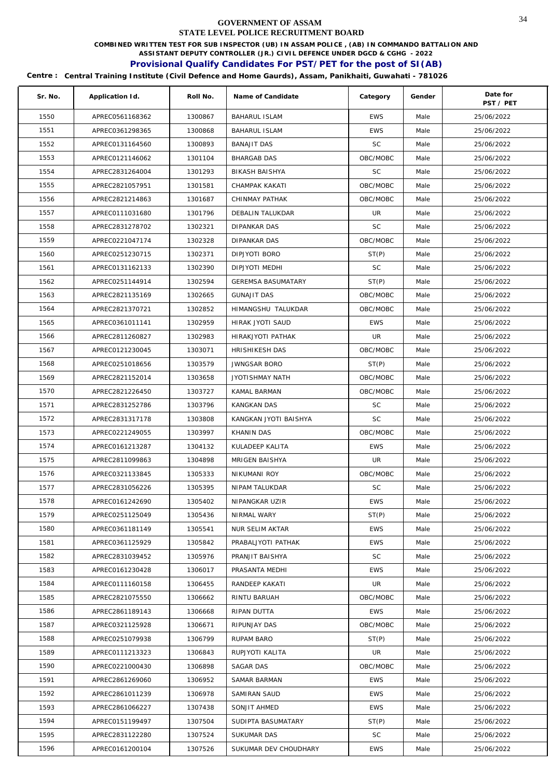**COMBINED WRITTEN TEST FOR SUB INSPECTOR (UB) IN ASSAM POLICE , (AB) IN COMMANDO BATTALION AND** 

**ASSISTANT DEPUTY CONTROLLER (JR.) CIVIL DEFENCE UNDER DGCD & CGHG - 2022** 

# **Provisional Qualify Candidates For PST/PET for the post of SI(AB)**

| Sr. No. | Application Id. | Roll No. | Name of Candidate         | Category   | Gender | Date for<br>PST / PET |
|---------|-----------------|----------|---------------------------|------------|--------|-----------------------|
| 1550    | APREC0561168362 | 1300867  | <b>BAHARUL ISLAM</b>      | <b>EWS</b> | Male   | 25/06/2022            |
| 1551    | APREC0361298365 | 1300868  | <b>BAHARUL ISLAM</b>      | <b>EWS</b> | Male   | 25/06/2022            |
| 1552    | APREC0131164560 | 1300893  | <b>BANAJIT DAS</b>        | SC         | Male   | 25/06/2022            |
| 1553    | APREC0121146062 | 1301104  | <b>BHARGAB DAS</b>        | OBC/MOBC   | Male   | 25/06/2022            |
| 1554    | APREC2831264004 | 1301293  | BIKASH BAISHYA            | SC         | Male   | 25/06/2022            |
| 1555    | APREC2821057951 | 1301581  | CHAMPAK KAKATI            | OBC/MOBC   | Male   | 25/06/2022            |
| 1556    | APREC2821214863 | 1301687  | CHINMAY PATHAK            | OBC/MOBC   | Male   | 25/06/2022            |
| 1557    | APREC0111031680 | 1301796  | DEBALIN TALUKDAR          | UR         | Male   | 25/06/2022            |
| 1558    | APREC2831278702 | 1302321  | DIPANKAR DAS              | <b>SC</b>  | Male   | 25/06/2022            |
| 1559    | APREC0221047174 | 1302328  | DIPANKAR DAS              | OBC/MOBC   | Male   | 25/06/2022            |
| 1560    | APREC0251230715 | 1302371  | DIPJYOTI BORO             | ST(P)      | Male   | 25/06/2022            |
| 1561    | APREC0131162133 | 1302390  | DIPJYOTI MEDHI            | <b>SC</b>  | Male   | 25/06/2022            |
| 1562    | APREC0251144914 | 1302594  | <b>GEREMSA BASUMATARY</b> | ST(P)      | Male   | 25/06/2022            |
| 1563    | APREC2821135169 | 1302665  | <b>GUNAJIT DAS</b>        | OBC/MOBC   | Male   | 25/06/2022            |
| 1564    | APREC2821370721 | 1302852  | HIMANGSHU TALUKDAR        | OBC/MOBC   | Male   | 25/06/2022            |
| 1565    | APREC0361011141 | 1302959  | HIRAK JYOTI SAUD          | <b>EWS</b> | Male   | 25/06/2022            |
| 1566    | APREC2811260827 | 1302983  | <b>HIRAKJYOTI PATHAK</b>  | UR         | Male   | 25/06/2022            |
| 1567    | APREC0121230045 | 1303071  | <b>HRISHIKESH DAS</b>     | OBC/MOBC   | Male   | 25/06/2022            |
| 1568    | APREC0251018656 | 1303579  | <b>JWNGSAR BORO</b>       | ST(P)      | Male   | 25/06/2022            |
| 1569    | APREC2821152014 | 1303658  | JYOTISHMAY NATH           | OBC/MOBC   | Male   | 25/06/2022            |
| 1570    | APREC2821226450 | 1303727  | KAMAL BARMAN              | OBC/MOBC   | Male   | 25/06/2022            |
| 1571    | APREC2831252786 | 1303796  | <b>KANGKAN DAS</b>        | <b>SC</b>  | Male   | 25/06/2022            |
| 1572    | APREC2831317178 | 1303808  | KANGKAN JYOTI BAISHYA     | <b>SC</b>  | Male   | 25/06/2022            |
| 1573    | APREC0221249055 | 1303997  | KHANIN DAS                | OBC/MOBC   | Male   | 25/06/2022            |
| 1574    | APREC0161213287 | 1304132  | KULADEEP KALITA           | <b>EWS</b> | Male   | 25/06/2022            |
| 1575    | APREC2811099863 | 1304898  | MRIGEN BAISHYA            | UR         | Male   | 25/06/2022            |
| 1576    | APREC0321133845 | 1305333  | NIKUMANI ROY              | OBC/MOBC   | Male   | 25/06/2022            |
| 1577    | APREC2831056226 | 1305395  | NIPAM TALUKDAR            | <b>SC</b>  | Male   | 25/06/2022            |
| 1578    | APREC0161242690 | 1305402  | NIPANGKAR UZIR            | <b>EWS</b> | Male   | 25/06/2022            |
| 1579    | APREC0251125049 | 1305436  | NIRMAL WARY               | ST(P)      | Male   | 25/06/2022            |
| 1580    | APREC0361181149 | 1305541  | <b>NUR SELIM AKTAR</b>    | <b>EWS</b> | Male   | 25/06/2022            |
| 1581    | APREC0361125929 | 1305842  | PRABALJYOTI PATHAK        | <b>EWS</b> | Male   | 25/06/2022            |
| 1582    | APREC2831039452 | 1305976  | PRANJIT BAISHYA           | SC         | Male   | 25/06/2022            |
| 1583    | APREC0161230428 | 1306017  | PRASANTA MEDHI            | <b>EWS</b> | Male   | 25/06/2022            |
| 1584    | APREC0111160158 | 1306455  | RANDEEP KAKATI            | UR         | Male   | 25/06/2022            |
| 1585    | APREC2821075550 | 1306662  | RINTU BARUAH              | OBC/MOBC   | Male   | 25/06/2022            |
| 1586    | APREC2861189143 | 1306668  | RIPAN DUTTA               | <b>EWS</b> | Male   | 25/06/2022            |
| 1587    | APREC0321125928 | 1306671  | RIPUNJAY DAS              | OBC/MOBC   | Male   | 25/06/2022            |
| 1588    | APREC0251079938 | 1306799  | RUPAM BARO                | ST(P)      | Male   | 25/06/2022            |
| 1589    | APREC0111213323 | 1306843  | RUPJYOTI KALITA           | UR         | Male   | 25/06/2022            |
| 1590    | APREC0221000430 | 1306898  | SAGAR DAS                 | OBC/MOBC   | Male   | 25/06/2022            |
| 1591    | APREC2861269060 | 1306952  | SAMAR BARMAN              | <b>EWS</b> | Male   | 25/06/2022            |
| 1592    | APREC2861011239 | 1306978  | SAMIRAN SAUD              | <b>EWS</b> | Male   | 25/06/2022            |
| 1593    | APREC2861066227 | 1307438  | SONJIT AHMED              | <b>EWS</b> | Male   | 25/06/2022            |
| 1594    | APREC0151199497 | 1307504  | SUDIPTA BASUMATARY        | ST(P)      | Male   | 25/06/2022            |
| 1595    | APREC2831122280 | 1307524  | SUKUMAR DAS               | SC         | Male   | 25/06/2022            |
| 1596    | APREC0161200104 | 1307526  | SUKUMAR DEV CHOUDHARY     | <b>EWS</b> | Male   | 25/06/2022            |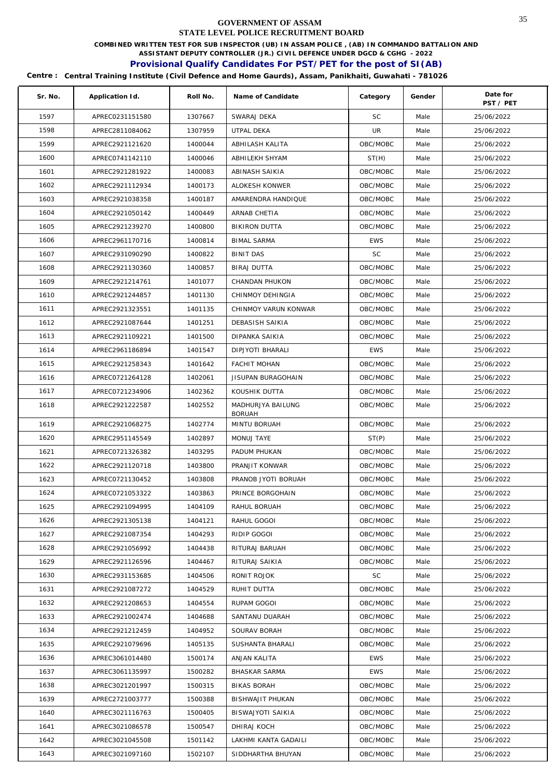**COMBINED WRITTEN TEST FOR SUB INSPECTOR (UB) IN ASSAM POLICE , (AB) IN COMMANDO BATTALION AND** 

**ASSISTANT DEPUTY CONTROLLER (JR.) CIVIL DEFENCE UNDER DGCD & CGHG - 2022** 

# **Provisional Qualify Candidates For PST/PET for the post of SI(AB)**

| Sr. No. | Application Id. | Roll No. | Name of Candidate                  | Category   | Gender | Date for<br>PST / PET |
|---------|-----------------|----------|------------------------------------|------------|--------|-----------------------|
| 1597    | APREC0231151580 | 1307667  | SWARAJ DEKA                        | <b>SC</b>  | Male   | 25/06/2022            |
| 1598    | APREC2811084062 | 1307959  | UTPAL DEKA                         | UR         | Male   | 25/06/2022            |
| 1599    | APREC2921121620 | 1400044  | ABHILASH KALITA                    | OBC/MOBC   | Male   | 25/06/2022            |
| 1600    | APREC0741142110 | 1400046  | ABHILEKH SHYAM                     | ST(H)      | Male   | 25/06/2022            |
| 1601    | APREC2921281922 | 1400083  | ABINASH SAIKIA                     | OBC/MOBC   | Male   | 25/06/2022            |
| 1602    | APREC2921112934 | 1400173  | ALOKESH KONWER                     | OBC/MOBC   | Male   | 25/06/2022            |
| 1603    | APREC2921038358 | 1400187  | AMARENDRA HANDIQUE                 | OBC/MOBC   | Male   | 25/06/2022            |
| 1604    | APREC2921050142 | 1400449  | ARNAB CHETIA                       | OBC/MOBC   | Male   | 25/06/2022            |
| 1605    | APREC2921239270 | 1400800  | <b>BIKIRON DUTTA</b>               | OBC/MOBC   | Male   | 25/06/2022            |
| 1606    | APREC2961170716 | 1400814  | <b>BIMAL SARMA</b>                 | <b>EWS</b> | Male   | 25/06/2022            |
| 1607    | APREC2931090290 | 1400822  | <b>BINIT DAS</b>                   | <b>SC</b>  | Male   | 25/06/2022            |
| 1608    | APREC2921130360 | 1400857  | <b>BIRAJ DUTTA</b>                 | OBC/MOBC   | Male   | 25/06/2022            |
| 1609    | APREC2921214761 | 1401077  | CHANDAN PHUKON                     | OBC/MOBC   | Male   | 25/06/2022            |
| 1610    | APREC2921244857 | 1401130  | CHINMOY DEHINGIA                   | OBC/MOBC   | Male   | 25/06/2022            |
| 1611    | APREC2921323551 | 1401135  | CHINMOY VARUN KONWAR               | OBC/MOBC   | Male   | 25/06/2022            |
| 1612    | APREC2921087644 | 1401251  | DEBASISH SAIKIA                    | OBC/MOBC   | Male   | 25/06/2022            |
| 1613    | APREC2921109221 | 1401500  | DIPANKA SAIKIA                     | OBC/MOBC   | Male   | 25/06/2022            |
| 1614    | APREC2961186894 | 1401547  | DIPJYOTI BHARALI                   | <b>EWS</b> | Male   | 25/06/2022            |
| 1615    | APREC2921258343 | 1401642  | <b>FACHIT MOHAN</b>                | OBC/MOBC   | Male   | 25/06/2022            |
| 1616    | APREC0721264128 | 1402061  | JISUPAN BURAGOHAIN                 | OBC/MOBC   | Male   | 25/06/2022            |
| 1617    | APREC0721234906 | 1402362  | KOUSHIK DUTTA                      | OBC/MOBC   | Male   | 25/06/2022            |
| 1618    | APREC2921222587 | 1402552  | MADHURJYA BAILUNG<br><b>BORUAH</b> | OBC/MOBC   | Male   | 25/06/2022            |
| 1619    | APREC2921068275 | 1402774  | MINTU BORUAH                       | OBC/MOBC   | Male   | 25/06/2022            |
| 1620    | APREC2951145549 | 1402897  | MONUJ TAYE                         | ST(P)      | Male   | 25/06/2022            |
| 1621    | APREC0721326382 | 1403295  | PADUM PHUKAN                       | OBC/MOBC   | Male   | 25/06/2022            |
| 1622    | APREC2921120718 | 1403800  | PRANJIT KONWAR                     | OBC/MOBC   | Male   | 25/06/2022            |
| 1623    | APREC0721130452 | 1403808  | PRANOB JYOTI BORUAH                | OBC/MOBC   | Male   | 25/06/2022            |
| 1624    | APREC0721053322 | 1403863  | PRINCE BORGOHAIN                   | OBC/MOBC   | Male   | 25/06/2022            |
| 1625    | APREC2921094995 | 1404109  | RAHUL BORUAH                       | OBC/MOBC   | Male   | 25/06/2022            |
| 1626    | APREC2921305138 | 1404121  | RAHUL GOGOI                        | OBC/MOBC   | Male   | 25/06/2022            |
| 1627    | APREC2921087354 | 1404293  | RIDIP GOGOI                        | OBC/MOBC   | Male   | 25/06/2022            |
| 1628    | APREC2921056992 | 1404438  | RITURAJ BARUAH                     | OBC/MOBC   | Male   | 25/06/2022            |
| 1629    | APREC2921126596 | 1404467  | RITURAJ SAIKIA                     | OBC/MOBC   | Male   | 25/06/2022            |
| 1630    | APREC2931153685 | 1404506  | RONIT ROJOK                        | SC         | Male   | 25/06/2022            |
| 1631    | APREC2921087272 | 1404529  | RUHIT DUTTA                        | OBC/MOBC   | Male   | 25/06/2022            |
| 1632    | APREC2921208653 | 1404554  | RUPAM GOGOI                        | OBC/MOBC   | Male   | 25/06/2022            |
| 1633    | APREC2921002474 | 1404688  | SANTANU DUARAH                     | OBC/MOBC   | Male   | 25/06/2022            |
| 1634    | APREC2921212459 | 1404952  | SOURAV BORAH                       | OBC/MOBC   | Male   | 25/06/2022            |
| 1635    | APREC2921079696 | 1405135  | SUSHANTA BHARALI                   | OBC/MOBC   | Male   | 25/06/2022            |
| 1636    | APREC3061014480 | 1500174  | ANJAN KALITA                       | <b>EWS</b> | Male   | 25/06/2022            |
| 1637    | APREC3061135997 | 1500282  | <b>BHASKAR SARMA</b>               | <b>EWS</b> | Male   | 25/06/2022            |
| 1638    | APREC3021201997 | 1500315  | <b>BIKAS BORAH</b>                 | OBC/MOBC   | Male   | 25/06/2022            |
| 1639    | APREC2721003777 | 1500388  | BISHWAJIT PHUKAN                   | OBC/MOBC   | Male   | 25/06/2022            |
| 1640    | APREC3021116763 | 1500405  | BISWAJYOTI SAIKIA                  | OBC/MOBC   | Male   | 25/06/2022            |
| 1641    | APREC3021086578 | 1500547  | DHIRAJ KOCH                        | OBC/MOBC   | Male   | 25/06/2022            |
| 1642    | APREC3021045508 | 1501142  | LAKHMI KANTA GADAILI               | OBC/MOBC   | Male   | 25/06/2022            |
| 1643    | APREC3021097160 | 1502107  | SIDDHARTHA BHUYAN                  | OBC/MOBC   | Male   | 25/06/2022            |